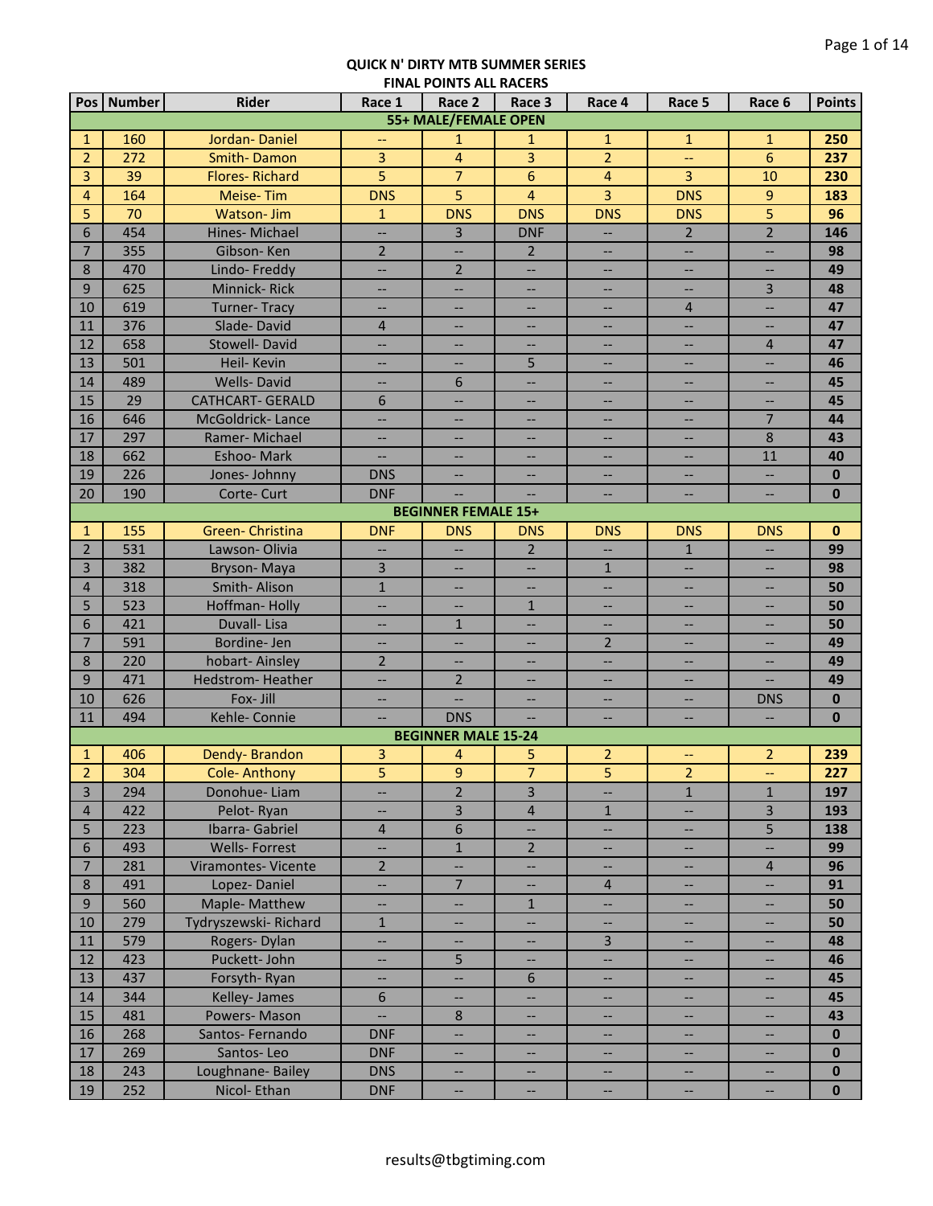|                                  | Pos   Number | <b>Rider</b>                         | Race 1                                  | Race 2                                               | Race 3                   | Race 4                                     | Race 5                                                        | Race 6                                               | <b>Points</b> |
|----------------------------------|--------------|--------------------------------------|-----------------------------------------|------------------------------------------------------|--------------------------|--------------------------------------------|---------------------------------------------------------------|------------------------------------------------------|---------------|
|                                  |              |                                      |                                         | <b>55+ MALE/FEMALE OPEN</b>                          |                          |                                            |                                                               |                                                      |               |
| $\mathbf{1}$                     | 160          | Jordan-Daniel                        | $-$                                     | $\mathbf{1}$                                         | $\mathbf{1}$             | $\mathbf{1}$                               | $\mathbf{1}$                                                  | $\mathbf{1}$                                         | 250           |
| $\overline{2}$                   | 272          | <b>Smith-Damon</b>                   | $\overline{3}$                          | $\overline{4}$                                       | $\overline{3}$           | $\overline{2}$                             | μL,                                                           | $6\phantom{a}$                                       | 237           |
| 3                                | 39           | <b>Flores-Richard</b>                | 5                                       | $\overline{7}$                                       | 6                        | $\overline{4}$                             | 3                                                             | 10                                                   | 230           |
| 4                                | 164          | Meise-Tim                            | <b>DNS</b>                              | 5                                                    | $\overline{\mathbf{4}}$  | $\overline{3}$                             | <b>DNS</b>                                                    | $\overline{9}$                                       | 183           |
| 5                                | 70           | <b>Watson-Jim</b>                    | $\mathbf{1}$                            | <b>DNS</b>                                           | <b>DNS</b>               | <b>DNS</b>                                 | <b>DNS</b>                                                    | $\overline{5}$                                       | 96            |
| 6                                | 454          | Hines-Michael                        | Ш,                                      | $\overline{3}$                                       | <b>DNF</b>               |                                            | $\overline{2}$                                                | $\overline{2}$                                       | 146           |
| $\overline{7}$                   | 355          | Gibson-Ken                           | $\overline{2}$                          | $\overline{\phantom{0}}$                             | $2^{\circ}$              | $\qquad \qquad -$                          | --                                                            | $\qquad \qquad -$                                    | 98            |
| 8                                | 470          | Lindo-Freddy                         | <u></u>                                 | $\overline{2}$                                       | $\overline{\phantom{a}}$ | $\overline{\phantom{a}}$                   | <u></u>                                                       | $\overline{\phantom{a}}$                             | 49            |
| 9                                | 625          | Minnick-Rick                         | <u></u>                                 | $\overline{\phantom{a}}$                             | $\overline{\phantom{0}}$ | $-$                                        | <u></u>                                                       | $\overline{3}$                                       | 48            |
| 10                               | 619          | <b>Turner-Tracy</b>                  | <u></u>                                 | $\overline{\phantom{a}}$                             | --                       | $\overline{\phantom{a}}$                   | $\overline{4}$                                                | <u>. .</u>                                           | 47            |
| 11                               | 376          | Slade-David                          | $\overline{4}$                          |                                                      | --                       |                                            | --                                                            | $-$                                                  | 47            |
| 12                               | 658          | <b>Stowell-David</b>                 | <u></u>                                 | $\overline{\phantom{a}}$                             | $\overline{\phantom{a}}$ | $\overline{\phantom{a}}$                   | $\overline{\phantom{a}}$                                      | $\overline{4}$                                       | 47            |
| 13                               | 501          | Heil- Kevin                          | --                                      | $\hspace{0.05cm} \dashv$                             | 5                        | --                                         | --                                                            | --                                                   | 46            |
| 14                               | 489          | <b>Wells-David</b>                   | --                                      | $\sqrt{6}$                                           | --                       | $\overline{\phantom{a}}$                   | --                                                            | $\qquad \qquad -$                                    | 45            |
| 15                               | 29           | <b>CATHCART- GERALD</b>              | 6                                       | $\overline{\phantom{a}}$                             | --                       | --                                         | --                                                            | $\overline{\phantom{a}}$                             | 45            |
| 16                               | 646          | McGoldrick-Lance                     | --                                      | $\overline{\phantom{a}}$                             | --                       | $-\!$                                      | --                                                            | $\overline{7}$                                       | 44            |
| 17                               | 297          | Ramer-Michael                        | $\overline{\phantom{a}}$                | $\overline{\phantom{a}}$                             | --                       | $-\!$                                      | $\qquad \qquad -$                                             | $\,8\,$                                              | 43            |
| 18                               | 662          | Eshoo-Mark                           | $\overline{\phantom{a}}$                | $\overline{\phantom{a}}$                             | $\overline{\phantom{a}}$ | $\overline{\phantom{a}}$                   | $\hspace{0.05cm} \ldots$                                      | 11                                                   | 40            |
| 19                               | 226          | Jones-Johnny                         | <b>DNS</b>                              | $\overline{\phantom{a}}$                             | $\overline{\phantom{a}}$ | $\overline{\phantom{a}}$                   | $\qquad \qquad -$                                             | Щ,                                                   | $\mathbf{0}$  |
| 20                               | 190          | Corte-Curt                           | <b>DNF</b>                              | $\overline{\phantom{a}}$                             | $\overline{\phantom{a}}$ | $\overline{\phantom{a}}$                   | --                                                            | Щ,                                                   | $\mathbf 0$   |
|                                  |              |                                      |                                         | <b>BEGINNER FEMALE 15+</b>                           |                          |                                            |                                                               |                                                      |               |
| $\mathbf{1}$                     | 155          | Green-Christina                      | <b>DNF</b>                              | <b>DNS</b>                                           | <b>DNS</b>               | <b>DNS</b>                                 | <b>DNS</b>                                                    | <b>DNS</b>                                           | $\mathbf 0$   |
| $\overline{2}$                   | 531          | Lawson-Olivia                        | $\overline{\phantom{a}}$                | $\overline{\phantom{0}}$                             | $\overline{2}$           | $\sim$                                     | $\mathbf{1}$                                                  |                                                      | 99            |
| $\overline{3}$                   | 382          | Bryson-Maya                          | 3                                       |                                                      | <u></u>                  | $\mathbf{1}$                               | --                                                            | --                                                   | 98            |
| $\overline{4}$                   | 318          | Smith-Alison                         | $\mathbf{1}$                            |                                                      | <u></u>                  | $\overline{\phantom{a}}$                   | --                                                            | $\overline{\phantom{a}}$                             | 50            |
| 5                                | 523          | Hoffman-Holly                        | Ш,                                      |                                                      | $\mathbf{1}$             | $\overline{\phantom{a}}$                   | --                                                            | --                                                   | 50            |
| 6                                | 421          | Duvall-Lisa                          | <b></b>                                 | $\mathbf{1}$                                         | <u></u>                  | <u></u>                                    | <u></u>                                                       | <u></u>                                              | 50            |
| $\overline{7}$                   | 591          | Bordine-Jen                          | <b></b>                                 | --                                                   | --                       | $\overline{2}$                             | $\overline{\phantom{a}}$                                      | <b></b>                                              | 49            |
| 8                                | 220          | hobart-Ainsley                       | $\overline{2}$                          |                                                      | --                       | --                                         | --                                                            | $\overline{\phantom{a}}$                             | 49            |
| 9                                | 471          | Hedstrom-Heather                     | <u></u>                                 | $\overline{2}$                                       | --                       | $\overline{\phantom{a}}$                   | $\overline{\phantom{a}}$                                      |                                                      | 49            |
| 10                               | 626          | Fox- Jill                            | $-$                                     |                                                      |                          |                                            | $\overline{\phantom{a}}$                                      | <b>DNS</b>                                           | $\mathbf{0}$  |
| 11                               | 494          | Kehle- Connie                        | $\overline{\phantom{a}}$                | <b>DNS</b>                                           |                          |                                            | --                                                            | $\overline{\phantom{a}}$                             | $\bf{0}$      |
|                                  |              |                                      |                                         | <b>BEGINNER MALE 15-24</b>                           |                          |                                            |                                                               |                                                      |               |
| 1                                | 406<br>304   | Dendy-Brandon                        | 3                                       | 4                                                    | 5<br>$\overline{7}$      | $\overline{2}$                             | --                                                            | $\overline{2}$                                       | 239           |
| $\overline{2}$<br>$\overline{3}$ |              | Cole-Anthony<br>Donohue-Liam         | 5<br><u></u>                            | $\overline{9}$<br>$\overline{2}$                     | $\overline{3}$           | 5<br><u></u>                               | 2<br>$\overline{1}$                                           | $\overline{\phantom{m}}$<br>$\mathbf{1}$             | 227           |
|                                  | 294          | Pelot-Ryan                           |                                         |                                                      |                          |                                            | $\overline{\phantom{a}}$                                      | $\overline{3}$                                       | 197           |
| $\overline{4}$                   | 422          |                                      | $\overline{\phantom{m}}$                | $\overline{3}$                                       | $\sqrt{4}$               | $\mathbf{1}$                               |                                                               | 5                                                    | 193           |
| 5<br>$\sqrt{6}$                  | 223          | Ibarra- Gabriel                      | 4                                       | $\sqrt{6}$<br>$1\,$                                  | --<br>$\overline{2}$     | $\overline{\phantom{a}}$                   | --                                                            |                                                      | 138           |
|                                  | 493          | <b>Wells-Forrest</b>                 | --<br>$\overline{2}$                    |                                                      |                          | $\overline{\phantom{a}}$                   | --                                                            | $\overline{\phantom{a}}$                             | 99            |
| $\overline{7}$<br>8              | 281<br>491   | Viramontes-Vicente<br>Lopez-Daniel   |                                         | --<br>$\overline{7}$                                 | --                       | --                                         | н,                                                            | $\overline{4}$                                       | 96<br>91      |
| 9                                | 560          | Maple- Matthew                       | --<br>$\hspace{0.05cm} \dashrightarrow$ | --                                                   | --<br>$\mathbf{1}$       | $\overline{4}$<br>$\overline{\phantom{a}}$ | --<br>--                                                      | --<br>$\hspace{0.05cm} \dashrightarrow$              | 50            |
| 10                               | 279          |                                      | $\mathbf{1}$                            |                                                      | $\overline{\phantom{m}}$ |                                            |                                                               |                                                      | 50            |
| 11                               | 579          | Tydryszewski-Richard<br>Rogers-Dylan | Щ,                                      | $\overline{\phantom{a}}$<br>$\overline{\phantom{a}}$ | --                       | $\overline{\phantom{a}}$<br>$\overline{3}$ | $\hspace{0.05cm} \dashrightarrow$<br>$\overline{\phantom{a}}$ | $\hspace{0.05cm} \ldots$<br>$\hspace{0.05cm} \ldots$ | 48            |
| 12                               | 423          | Puckett-John                         | --                                      | 5                                                    | $\overline{\phantom{a}}$ | $\overline{\phantom{a}}$                   | --                                                            | $\overline{\phantom{a}}$                             | 46            |
| 13                               | 437          | Forsyth-Ryan                         | --                                      | $\overline{\phantom{a}}$                             | 6                        | $\overline{\phantom{a}}$                   | --                                                            | $\overline{\phantom{a}}$                             | 45            |
| 14                               | 344          | Kelley-James                         | 6                                       | $\overline{\phantom{0}}$                             | <u></u>                  | --                                         | --                                                            | --                                                   | 45            |
| 15                               | 481          | Powers-Mason                         | <u></u>                                 | 8                                                    |                          |                                            | --                                                            | --                                                   | 43            |
| 16                               | 268          | Santos-Fernando                      | <b>DNF</b>                              | $\overline{\phantom{a}}$                             |                          | $-$                                        | --                                                            | $\overline{\phantom{a}}$                             | $\mathbf{0}$  |
| 17                               | 269          | Santos-Leo                           | <b>DNF</b>                              |                                                      |                          | $\overline{\phantom{a}}$                   | Ш,                                                            | $\overline{\phantom{a}}$                             | $\mathbf{0}$  |
| 18                               | 243          | Loughnane-Bailey                     | <b>DNS</b>                              |                                                      | --                       | --                                         | --                                                            | --                                                   | $\bf{0}$      |
| 19                               | 252          | Nicol-Ethan                          | <b>DNF</b>                              |                                                      | --                       | --                                         | --                                                            | --                                                   | $\mathbf{0}$  |
|                                  |              |                                      |                                         |                                                      |                          |                                            |                                                               |                                                      |               |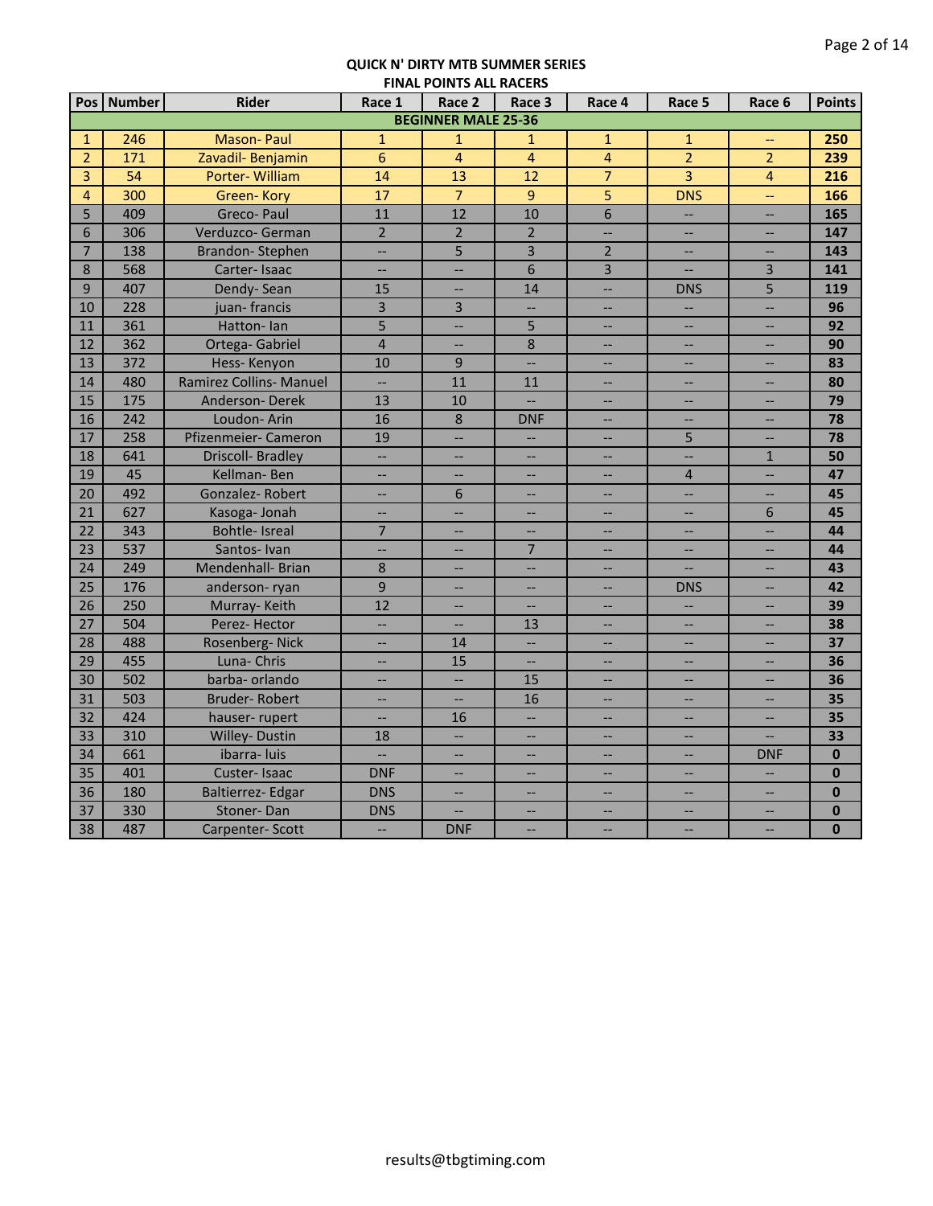|                |                 |                          | .                        |                            |                          |                          |                          |                          |               |
|----------------|-----------------|--------------------------|--------------------------|----------------------------|--------------------------|--------------------------|--------------------------|--------------------------|---------------|
|                | Pos   Number    | <b>Rider</b>             | Race 1                   | Race 2                     | Race 3                   | Race 4                   | Race 5                   | Race 6                   | <b>Points</b> |
|                |                 |                          |                          | <b>BEGINNER MALE 25-36</b> |                          |                          |                          |                          |               |
| $\mathbf{1}$   | 246             | <b>Mason-Paul</b>        | $\mathbf{1}$             | $\mathbf{1}$               | 1                        | $\mathbf{1}$             | $\mathbf{1}$             | $-$                      | 250           |
| $\overline{2}$ | 171             | Zavadil- Benjamin        | $\overline{6}$           | $\overline{4}$             | $\overline{4}$           | $\overline{4}$           | $\overline{2}$           | $\overline{2}$           | 239           |
| 3              | $\overline{54}$ | Porter-William           | 14                       | $\overline{13}$            | $\overline{12}$          | $\overline{7}$           | $\overline{3}$           | $\overline{4}$           | 216           |
| $\overline{4}$ | 300             | Green-Kory               | 17                       | $\overline{7}$             | 9                        | 5                        | <b>DNS</b>               | Ц.,                      | 166           |
| 5              | 409             | <b>Greco-Paul</b>        | 11                       | $\overline{12}$            | 10                       | $\overline{6}$           | $\overline{\phantom{a}}$ | $\overline{\phantom{a}}$ | 165           |
| 6              | 306             | Verduzco- German         | $\overline{2}$           | $\overline{2}$             | $\overline{2}$           | Ш,                       | $\overline{\phantom{a}}$ | $\overline{\phantom{a}}$ | 147           |
| $\overline{7}$ | 138             | <b>Brandon-Stephen</b>   | $\overline{\phantom{a}}$ | 5                          | 3                        | $\overline{2}$           | $\overline{\phantom{a}}$ | --                       | 143           |
| 8              | 568             | Carter-Isaac             | $\overline{\phantom{a}}$ | $\overline{\phantom{0}}$   | 6                        | $\overline{3}$           | $\overline{\phantom{a}}$ | $\overline{3}$           | 141           |
| $\overline{9}$ | 407             | Dendy-Sean               | 15                       | $-$                        | 14                       | $\overline{\phantom{a}}$ | <b>DNS</b>               | $\overline{5}$           | 119           |
| 10             | 228             | juan-francis             | $\overline{\mathbf{3}}$  | 3                          |                          |                          | $\overline{\phantom{a}}$ | $\overline{a}$           | 96            |
| 11             | 361             | Hatton-lan               | 5                        | Ш,                         | 5                        | $\overline{\phantom{a}}$ | $\overline{\phantom{a}}$ | $-$                      | 92            |
| 12             | 362             | Ortega- Gabriel          | $\overline{4}$           | $\overline{\phantom{0}}$   | 8                        | --                       | --                       | --                       | 90            |
| 13             | 372             | Hess-Kenyon              | 10                       | 9                          | $\overline{\phantom{a}}$ | $-$                      | $\overline{\phantom{m}}$ | $\overline{\phantom{a}}$ | 83            |
| 14             | 480             | Ramirez Collins- Manuel  | Ш,                       | 11                         | 11                       | $\qquad \qquad -$        | $\overline{\phantom{m}}$ | $\overline{\phantom{a}}$ | 80            |
| 15             | 175             | Anderson-Derek           | 13                       | 10                         |                          |                          | $\overline{\phantom{a}}$ |                          | 79            |
| 16             | 242             | Loudon-Arin              | 16                       | 8                          | <b>DNF</b>               | $\overline{\phantom{0}}$ | $\overline{\phantom{a}}$ | $\overline{a}$           | 78            |
| 17             | 258             | Pfizenmeier- Cameron     | 19                       |                            |                          |                          | 5                        |                          | 78            |
| 18             | 641             | <b>Driscoll- Bradley</b> | $\overline{a}$           |                            |                          |                          | $\overline{\phantom{a}}$ | $\mathbf{1}$             | 50            |
| 19             | 45              | Kellman-Ben              | $\sim$                   | $\overline{\phantom{0}}$   | <u></u>                  | $\overline{a}$           | $\overline{4}$           | Ш,                       | 47            |
| 20             | 492             | Gonzalez-Robert          | $\overline{\phantom{a}}$ | 6                          | --                       | --                       | $\overline{\phantom{a}}$ | <b></b>                  | 45            |
| 21             | 627             | Kasoga- Jonah            | $\overline{\phantom{a}}$ | $\overline{\phantom{a}}$   | --                       | $\overline{\phantom{a}}$ | $\overline{\phantom{a}}$ | 6                        | 45            |
| 22             | 343             | <b>Bohtle-Isreal</b>     | $\overline{7}$           |                            |                          | --                       | --                       | LL.                      | 44            |
| 23             | 537             | Santos-Ivan              | Щ,                       |                            | $\overline{7}$           | --                       | $\sim$                   | $-$                      | 44            |
| 24             | 249             | Mendenhall- Brian        | 8                        |                            |                          |                          |                          |                          | 43            |
| 25             | 176             | anderson-ryan            | 9                        | $\overline{\phantom{a}}$   | --                       | <u></u>                  | <b>DNS</b>               | <u></u>                  | 42            |
| 26             | 250             | Murray-Keith             | 12                       | $\overline{\phantom{a}}$   | $\overline{\phantom{0}}$ | $-$                      | $\overline{\phantom{a}}$ | $--$                     | 39            |
| 27             | 504             | Perez-Hector             | $\overline{\phantom{a}}$ | $\qquad \qquad -$          | 13                       | --                       | $-\hbox{--}$             | $-$                      | 38            |
| 28             | 488             | Rosenberg-Nick           | $\overline{\phantom{a}}$ | 14                         | $\overline{\phantom{a}}$ | $\overline{\phantom{0}}$ | $\overline{\phantom{a}}$ | $\overline{\phantom{a}}$ | 37            |
| 29             | 455             | Luna- Chris              | $\overline{\phantom{a}}$ | 15                         | --                       | --                       | --                       | $\overline{\phantom{0}}$ | 36            |
| 30             | 502             | barba- orlando           | --                       |                            | 15                       |                          | <u></u>                  | ш.                       | 36            |
| 31             | 503             | <b>Bruder-Robert</b>     | $\overline{\phantom{a}}$ | $\overline{\phantom{a}}$   | 16                       | $\overline{\phantom{a}}$ | --                       | $-$                      | 35            |
| 32             | 424             | hauser-rupert            | ш.,                      | 16                         | $\overline{\phantom{a}}$ | Ш,                       | --                       | --                       | 35            |
| 33             | 310             | Willey- Dustin           | 18                       | $\overline{\phantom{m}}$   | Ш,                       | $\overline{\phantom{a}}$ | $\overline{\phantom{m}}$ | Ш,                       | 33            |
| 34             | 661             | ibarra- luis             | $\overline{\phantom{a}}$ | $\qquad \qquad -$          | --                       | $\overline{\phantom{a}}$ | $\overline{\phantom{m}}$ | <b>DNF</b>               | $\bf{0}$      |
| 35             | 401             | Custer-Isaac             | <b>DNF</b>               |                            | --                       |                          | $\overline{\phantom{a}}$ | ш.,                      | $\bf{0}$      |
| 36             | 180             | Baltierrez- Edgar        | <b>DNS</b>               | $-$                        | $\overline{a}$           | $\overline{\phantom{0}}$ | $\overline{\phantom{a}}$ | $\overline{\phantom{a}}$ | $\mathbf{0}$  |
| 37             | 330             | Stoner-Dan               | <b>DNS</b>               |                            |                          | --                       | --                       | --                       | $\bf{0}$      |
| 38             | 487             | Carpenter-Scott          | $\overline{\phantom{a}}$ | <b>DNF</b>                 | <u></u>                  | <u></u>                  | $\overline{\phantom{a}}$ | $-$                      | $\bf{0}$      |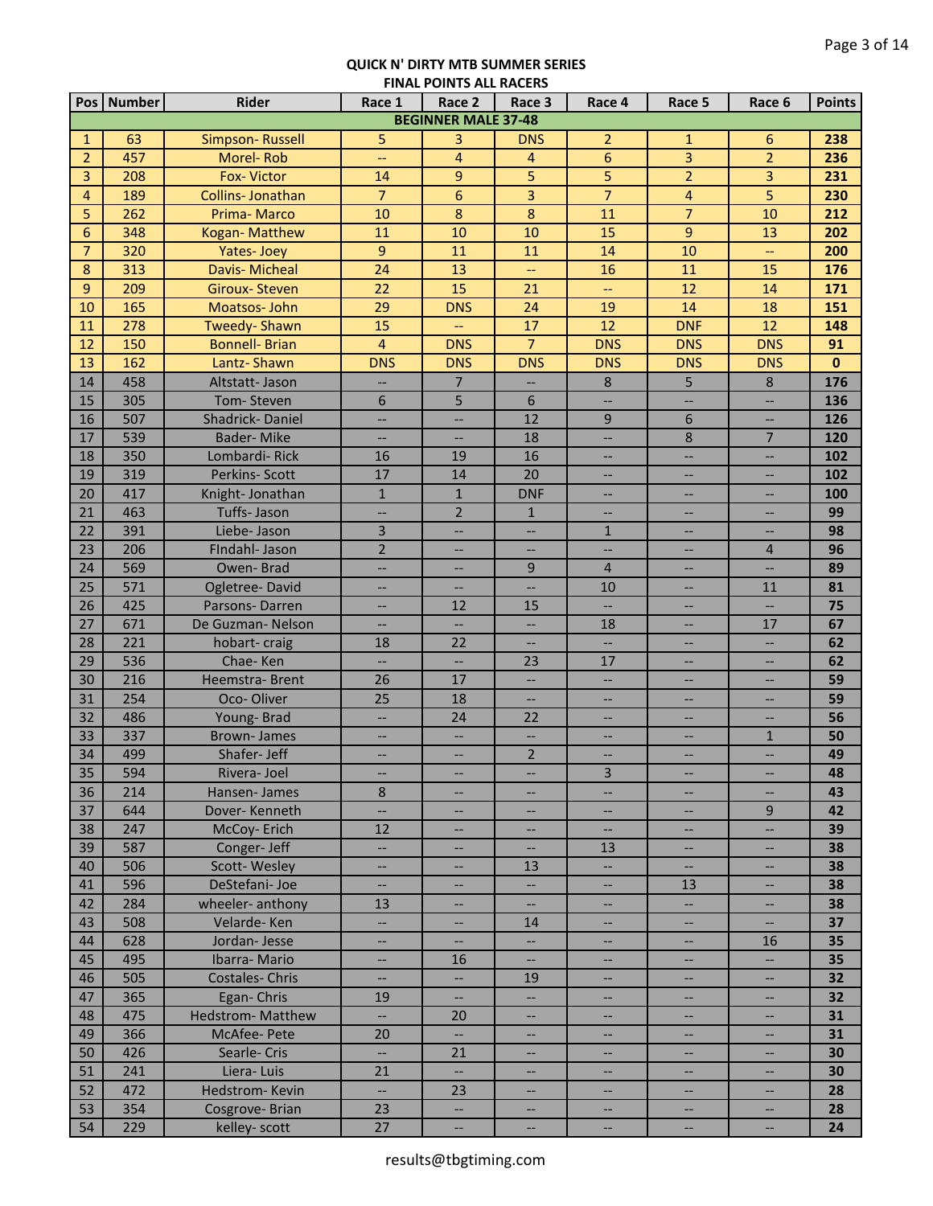|                 | Pos Number | <b>Rider</b>             | Race 1                   | Race 2                     | Race 3                   | Race 4                   | Race 5                   | Race 6                   | <b>Points</b> |
|-----------------|------------|--------------------------|--------------------------|----------------------------|--------------------------|--------------------------|--------------------------|--------------------------|---------------|
|                 |            |                          |                          | <b>BEGINNER MALE 37-48</b> |                          |                          |                          |                          |               |
| $\mathbf{1}$    | 63         | Simpson-Russell          | 5                        | 3                          | <b>DNS</b>               | $\overline{2}$           | $\mathbf{1}$             | 6                        | 238           |
| $\overline{2}$  | 457        | Morel-Rob                | μL,                      | $\overline{4}$             | $\overline{4}$           | $\overline{6}$           | $\overline{3}$           | $\overline{2}$           | 236           |
| 3               | 208        | <b>Fox-Victor</b>        | 14                       | 9                          | 5                        | 5                        | $\overline{2}$           | 3                        | 231           |
| 4               | 189        | Collins- Jonathan        | $\overline{7}$           | $6\overline{6}$            | 3                        | $\overline{7}$           | $\overline{4}$           | 5                        | 230           |
| 5               | 262        | Prima-Marco              | 10                       | $\bf 8$                    | $\overline{8}$           | 11                       | $\overline{7}$           | 10                       | 212           |
| 6               | 348        | Kogan-Matthew            | 11                       | 10                         | 10                       | 15                       | 9                        | 13                       | 202           |
| $\overline{7}$  | 320        | Yates-Joey               | $\overline{9}$           | 11                         | 11                       | 14                       | 10                       | --                       | 200           |
| 8               | 313        | Davis- Micheal           | 24                       | 13                         | $\overline{\phantom{a}}$ | 16                       | 11                       | 15                       | 176           |
| 9               | 209        | <b>Giroux-Steven</b>     | 22                       | 15                         | 21                       | $\overline{\phantom{m}}$ | 12                       | 14                       | 171           |
| 10              | 165        | Moatsos-John             | 29                       | <b>DNS</b>                 | 24                       | 19                       | 14                       | 18                       | 151           |
| 11              | 278        | <b>Tweedy-Shawn</b>      | 15                       | --                         | 17                       | 12                       | <b>DNF</b>               | 12                       | 148           |
| 12              | 150        | <b>Bonnell- Brian</b>    | $\overline{4}$           | <b>DNS</b>                 | $\overline{7}$           | <b>DNS</b>               | <b>DNS</b>               | <b>DNS</b>               | 91            |
| 13              | 162        | Lantz-Shawn              | <b>DNS</b>               | <b>DNS</b>                 | <b>DNS</b>               | <b>DNS</b>               | <b>DNS</b>               | <b>DNS</b>               | $\mathbf 0$   |
| 14              | 458        | Altstatt- Jason          | --                       | $7\overline{ }$            | $\overline{\phantom{a}}$ | $8\phantom{1}$           | 5                        | 8                        | 176           |
| 15              | 305        | Tom-Steven               | 6                        | 5                          | 6                        | $\overline{\phantom{a}}$ | --                       | $\overline{\phantom{a}}$ | 136           |
| 16              | 507        | Shadrick-Daniel          | --                       | --                         | 12                       | $\overline{9}$           | 6                        | --                       | 126           |
| 17              | 539        | <b>Bader-Mike</b>        | --                       | --                         | 18                       | $\overline{\phantom{a}}$ | 8                        | $\overline{7}$           | 120           |
| 18              | 350        | Lombardi-Rick            | 16                       | 19                         | 16                       | $\overline{\phantom{a}}$ | $\overline{\phantom{a}}$ | $\qquad \qquad -$        | 102           |
| 19              | 319        | Perkins-Scott            | 17                       | 14                         | 20                       | $\overline{\phantom{a}}$ | $\overline{\phantom{a}}$ | $\qquad \qquad -$        | 102           |
| 20              | 417        | Knight-Jonathan          | $\mathbf{1}$             | $\mathbf{1}$               | <b>DNF</b>               | --                       | $\overline{\phantom{a}}$ | $\overline{\phantom{a}}$ | 100           |
| 21              | 463        | Tuffs- Jason             | $\overline{\phantom{a}}$ | $\overline{2}$             | $\mathbf{1}$             | $\overline{\phantom{a}}$ | $\overline{\phantom{a}}$ | $\qquad \qquad -$        | 99            |
| 22              | 391        | Liebe- Jason             | 3                        | Ш.                         | $\overline{\phantom{a}}$ | $\mathbf{1}$             | <u></u>                  | $\overline{\phantom{0}}$ | 98            |
| 23              | 206        | FIndahl- Jason           | $\overline{2}$           |                            | --                       | Щ,                       | --                       | $\overline{4}$           | 96            |
| 24              | 569        | Owen-Brad                | Ш,                       |                            | 9                        | $\overline{4}$           | --                       | ш.,                      | 89            |
| 25              | 571        | Ogletree-David           | $\overline{\phantom{a}}$ |                            | $\overline{\phantom{a}}$ | 10                       | $\overline{\phantom{a}}$ | 11                       | 81            |
| 26              | 425        | Parsons-Darren           | Ш,                       | 12                         | 15                       | <u></u>                  | --                       | <u></u>                  | 75            |
| 27              | 671        | De Guzman-Nelson         | Ш,                       | <u></u>                    | <u></u>                  | 18                       | --                       | 17                       | 67            |
| 28              | 221        | hobart-craig             | 18                       | 22                         |                          | Ш,                       | $\overline{\phantom{a}}$ | <u></u>                  | 62            |
| 29              | 536        | Chae-Ken                 | <b></b>                  |                            | 23                       | 17                       | --                       | --                       | 62            |
| 30              | 216        | Heemstra-Brent           | 26                       | 17                         |                          |                          | $\overline{\phantom{a}}$ | $-$                      | 59            |
| 31              | 254        | Oco-Oliver               | 25                       | 18                         |                          |                          | $\overline{\phantom{a}}$ | $-$                      | 59            |
| 32              | 486        | Young-Brad               | <b></b>                  | 24                         | 22                       | --                       | $\qquad \qquad -$        | --                       | 56            |
| 33              | 337        | <b>Brown-James</b>       | $\overline{\phantom{a}}$ | $\overline{\phantom{a}}$   |                          | --                       | $\qquad \qquad -$        | $\mathbf{1}$             | 50            |
| 34              | 499        | Shafer-Jeff              | $\overline{a}$           |                            | $\overline{2}$           |                          | -−                       | ш.,                      | 49            |
| $\overline{35}$ | 594        | Rivera-Joel              | $\overline{\phantom{m}}$ |                            | --                       | 3                        | $\qquad \qquad -$        | --                       | 48            |
| 36              | 214        | Hansen-James             | $\,8\,$                  | $\overline{\phantom{a}}$   | --                       | $\qquad \qquad -$        | $-$                      |                          | 43            |
| 37              | 644        | Dover-Kenneth            | $\qquad \qquad -$        | $\qquad \qquad -$          | $\overline{\phantom{a}}$ | $\qquad \qquad -$        | $\qquad \qquad -$        | $9\,$                    | 42            |
| 38              | 247        | McCoy-Erich              | 12                       | $\hspace{0.05cm}$ –        | --                       | $\overline{\phantom{a}}$ | --                       | --                       | 39            |
| 39              | 587        | Conger-Jeff              | --                       | $\overline{\phantom{a}}$   | $\hspace{0.05cm} -$      | 13                       | --                       | $\qquad \qquad -$        | 38            |
| 40              | 506        | Scott-Wesley             | --                       | --                         | 13                       | $\overline{\phantom{a}}$ | --                       | $\overline{\phantom{a}}$ | 38            |
| 41              | 596        | DeStefani-Joe            | $\overline{\phantom{a}}$ | $\overline{\phantom{a}}$   | --                       | --                       | 13                       | $\hspace{0.05cm} \dashv$ | 38            |
| 42              | 284        | wheeler- anthony         | 13                       | ÷                          | $\hspace{0.05cm} \dashv$ | --                       | --                       | $\overline{\phantom{a}}$ | 38            |
| 43              | 508        | Velarde-Ken              | $\overline{\phantom{a}}$ | $\overline{\phantom{a}}$   | 14                       | $\overline{\phantom{a}}$ | $\hspace{0.05cm} \ldots$ | $\hspace{0.05cm} \ldots$ | 37            |
| 44              | 628        | Jordan-Jesse             | $\hspace{0.05cm} \ldots$ | $\overline{\phantom{a}}$   | $\overline{\phantom{a}}$ | $\overline{\phantom{a}}$ | --                       | 16                       | 35            |
| 45              | 495        | Ibarra-Mario             | $\overline{\phantom{a}}$ | 16                         | $\overline{\phantom{a}}$ | $\overline{\phantom{a}}$ | $\overline{\phantom{a}}$ | $\overline{\phantom{a}}$ | 35            |
| 46              | 505        | <b>Costales-Chris</b>    | $\overline{\phantom{a}}$ | $\overline{\phantom{a}}$   | 19                       | --                       | $\overline{\phantom{a}}$ | $\qquad \qquad -$        | 32            |
| 47              | 365        | Egan-Chris               | 19                       | <u></u>                    | ш.,                      | ш,                       | --                       | --                       | 32            |
| 48              | 475        | <b>Hedstrom- Matthew</b> | u.                       | 20                         | --                       | н.                       | --                       | --                       | 31            |
| 49              | 366        | McAfee-Pete              | 20                       | $\overline{\phantom{0}}$   | --                       | --                       | $\overline{\phantom{a}}$ | --                       | 31            |
| 50              | 426        | Searle-Cris              | <u>. .</u>               | 21                         |                          | $\overline{\phantom{0}}$ | $\overline{\phantom{a}}$ | <u></u>                  | 30            |
| 51              | 241        | Liera-Luis               | 21                       | <b>--</b>                  | $\overline{\phantom{a}}$ | --                       | --                       | $\overline{\phantom{a}}$ | 30            |
| 52              | 472        | Hedstrom-Kevin           | u,                       | 23                         | --                       | --                       | --                       | --                       | 28            |
| 53              | 354        | Cosgrove-Brian           | 23                       | --                         | --                       |                          | --                       | --                       | 28            |
| 54              | 229        | kelley-scott             | 27                       | --                         | --                       |                          | --                       | --                       | 24            |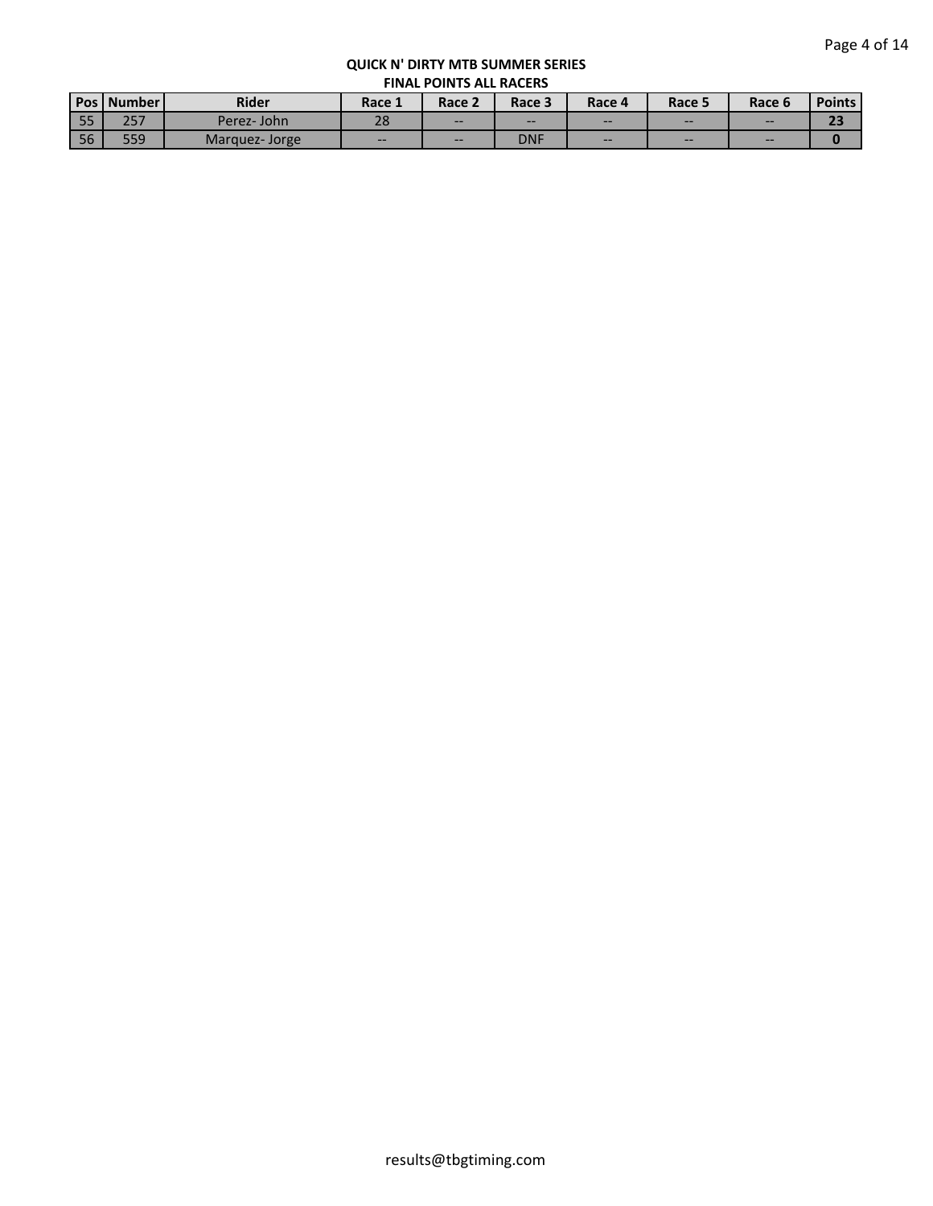| <b>Pos</b> | Number      | <b>Rider</b>  | Race 1 | Race 2 | Race 3     | Race 4 | Race 5 | Race 6 | <b>Points</b> |  |
|------------|-------------|---------------|--------|--------|------------|--------|--------|--------|---------------|--|
| 55         | 207<br>ر دے | Perez-John    | 28     | $- -$  | --         | $- -$  | $- -$  | $- -$  | æ             |  |
| 56         | 559         | Marguez-Jorge | $- -$  | $- -$  | <b>DNF</b> | $- -$  | $- -$  | $- -$  |               |  |
|            |             |               |        |        |            |        |        |        |               |  |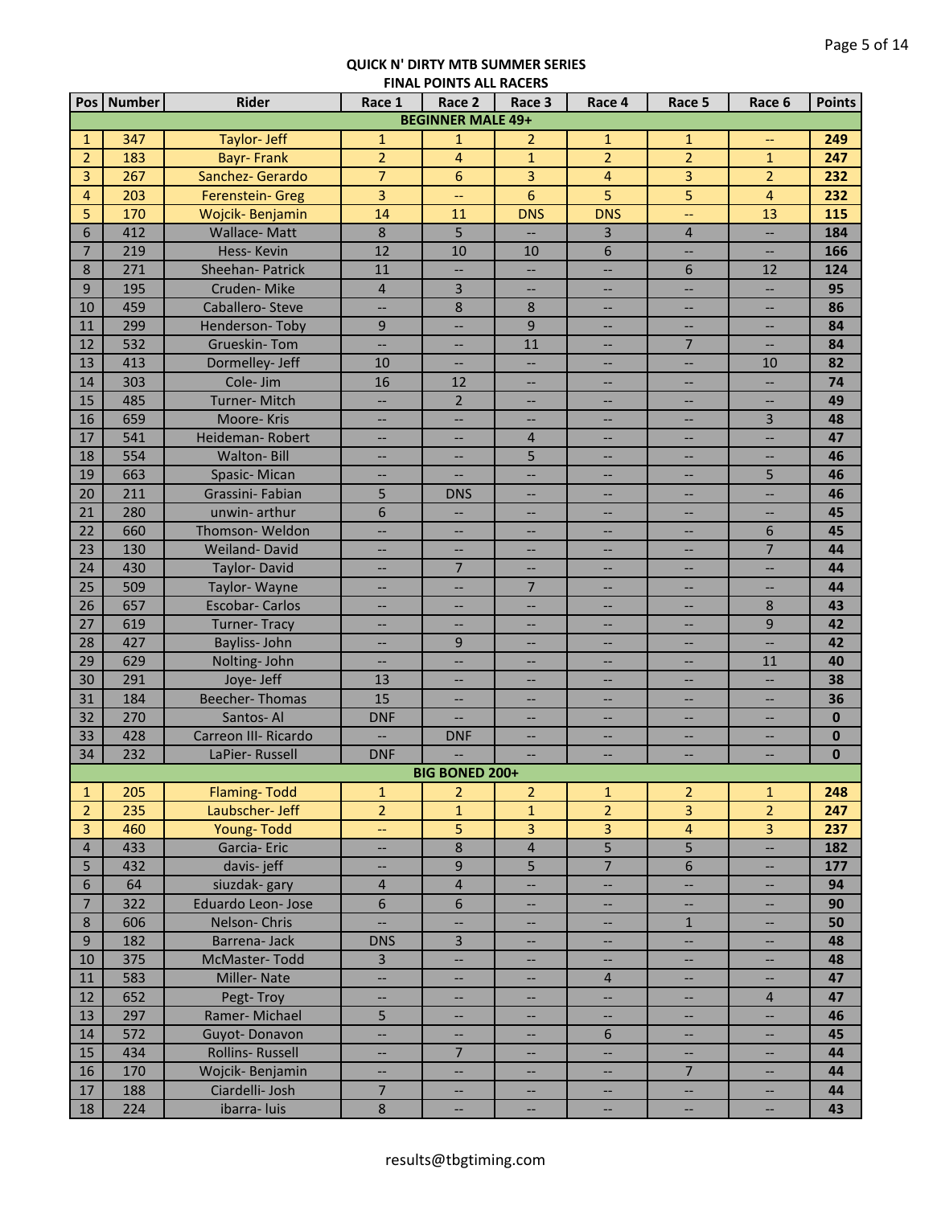|                 | Pos   Number | <b>Rider</b>            | Race 1                   | Race 2                   | Race 3                   | Race 4                   | Race 5                   | Race 6                   | <b>Points</b> |
|-----------------|--------------|-------------------------|--------------------------|--------------------------|--------------------------|--------------------------|--------------------------|--------------------------|---------------|
|                 |              |                         |                          | <b>BEGINNER MALE 49+</b> |                          |                          |                          |                          |               |
| $\mathbf{1}$    | 347          | Taylor- Jeff            | $\mathbf{1}$             | $\mathbf{1}$             | $\overline{2}$           | $\mathbf{1}$             | $\mathbf{1}$             | $-$                      | 249           |
| $\overline{2}$  | 183          | <b>Bayr-Frank</b>       | $\overline{2}$           | $\overline{4}$           | $\mathbf{1}$             | $\overline{2}$           | $\overline{2}$           | $\mathbf{1}$             | 247           |
| 3               | 267          | Sanchez- Gerardo        | $\overline{7}$           | 6                        | 3                        | 4                        | 3                        | $\overline{2}$           | 232           |
| 4               | 203          | Ferenstein- Greg        | 3                        | --                       | 6                        | 5                        | 5                        | $\overline{4}$           | 232           |
| 5               | 170          | Wojcik-Benjamin         | 14                       | 11                       | <b>DNS</b>               | <b>DNS</b>               | --                       | 13                       | 115           |
| 6               | 412          | <b>Wallace-Matt</b>     | $\,8\,$                  | 5                        |                          | 3                        | $\overline{4}$           | --                       | 184           |
| $\overline{7}$  | 219          | Hess-Kevin              | 12                       | 10                       | 10                       | 6                        | $\overline{\phantom{a}}$ | $\overline{\phantom{a}}$ | 166           |
| 8               | 271          | <b>Sheehan-Patrick</b>  | 11                       | $\overline{\phantom{a}}$ | Ш,                       | Ш,                       | 6                        | 12                       | 124           |
| 9               | 195          | Cruden-Mike             | $\overline{4}$           | 3                        | $\overline{\phantom{a}}$ | $\overline{\phantom{0}}$ | <u></u>                  | <u></u>                  | 95            |
| 10              | 459          | Caballero-Steve         | Ш,                       | $\,8\,$                  | 8                        | н.                       | $\overline{\phantom{a}}$ | --                       | 86            |
| 11              | 299          | Henderson-Toby          | 9                        | $\overline{\phantom{a}}$ | 9                        |                          | --                       |                          | 84            |
| 12              | 532          | <b>Grueskin-Tom</b>     | $\overline{\phantom{a}}$ | $\overline{\phantom{a}}$ | 11                       | $\overline{\phantom{a}}$ | $\overline{7}$           | --                       | 84            |
| 13              | 413          | Dormelley- Jeff         | 10                       | $\qquad \qquad -$        | $\overline{\phantom{a}}$ | $\overline{\phantom{a}}$ | $\overline{\phantom{a}}$ | 10                       | 82            |
| 14              | 303          | Cole- Jim               | 16                       | 12                       | $\overline{\phantom{a}}$ | $\overline{\phantom{a}}$ | --                       | $\overline{\phantom{a}}$ | 74            |
| 15              | 485          | Turner-Mitch            | Щ,                       | $\mathbf 2$              | --                       | $\overline{\phantom{a}}$ | --                       | --                       | 49            |
| 16              | 659          | Moore-Kris              | --                       | --                       | --                       | $\hspace{0.05cm} \dashv$ | --                       | 3                        | 48            |
| 17              | 541          | Heideman-Robert         | --                       | $-\!$                    | $\overline{4}$           | $\hspace{0.05cm} \dashv$ | --                       | --                       | 47            |
| 18              | 554          | <b>Walton-Bill</b>      | $\overline{\phantom{a}}$ | $\overline{\phantom{m}}$ | 5                        | $\overline{\phantom{a}}$ | $\overline{\phantom{a}}$ | $\overline{\phantom{m}}$ | 46            |
| 19              | 663          | Spasic-Mican            | <u></u>                  | $\overline{\phantom{a}}$ | <u></u>                  | $\overline{\phantom{a}}$ | $\overline{\phantom{a}}$ | 5                        | 46            |
| 20              | 211          | Grassini- Fabian        | 5                        | <b>DNS</b>               | <u></u>                  | --                       | $\overline{\phantom{a}}$ | <u></u>                  | 46            |
| 21              | 280          | unwin-arthur            | 6                        | Ш,                       | --                       | ш,                       | $\overline{\phantom{a}}$ | $\overline{\phantom{a}}$ | 45            |
| 22              | 660          | Thomson-Weldon          | $\overline{a}$           | $\overline{\phantom{0}}$ | Ш,                       | Щ.                       | $\overline{\phantom{a}}$ | 6                        | 45            |
| 23              | 130          | <b>Weiland-David</b>    | $-$                      | --                       | --                       | <u></u>                  | --                       | $\overline{7}$           | 44            |
| 24              | 430          | Taylor-David            | --                       | $\overline{7}$           |                          | н.                       | --                       | --                       | 44            |
| 25              | 509          | Taylor-Wayne            | $\overline{\phantom{a}}$ |                          | $\overline{7}$           | $\overline{\phantom{0}}$ | $\overline{\phantom{a}}$ | <u></u>                  | 44            |
| 26              | 657          | <b>Escobar-Carlos</b>   | --                       |                          | --                       | --                       | $\overline{\phantom{a}}$ | 8                        | 43            |
| 27              | 619          | <b>Turner-Tracy</b>     | <b></b>                  | $\overline{\phantom{a}}$ | --                       | --                       | --                       | 9                        | 42            |
| 28              | 427          | Bayliss-John            | <b></b>                  | 9                        | --                       | $\overline{\phantom{0}}$ | --                       | <u></u>                  | 42            |
| 29              | 629          | Nolting-John            | --                       | $\qquad \qquad -$        | --                       | --                       | $-$                      | 11                       | 40            |
| 30              | 291          | Joye- Jeff              | 13                       |                          | --                       |                          | $\overline{\phantom{a}}$ | <u></u>                  | 38            |
| 31              | 184          | <b>Beecher-Thomas</b>   | 15                       |                          | --                       |                          | $\overline{\phantom{a}}$ | $-$                      | 36            |
| 32              | 270          | Santos-Al               | <b>DNF</b>               |                          | <u></u>                  | --                       | $\qquad \qquad -$        | $\overline{\phantom{a}}$ | $\mathbf{0}$  |
| 33              | 428          | Carreon III- Ricardo    | $\overline{\phantom{0}}$ | <b>DNF</b>               | --                       | --                       | $-$                      | $\overline{\phantom{a}}$ | $\bf{0}$      |
| 34              | 232          | LaPier-Russell          | <b>DNF</b>               | $\overline{\phantom{m}}$ | <u></u>                  |                          | --                       | --                       | $\mathbf{0}$  |
|                 |              |                         |                          | <b>BIG BONED 200+</b>    |                          |                          |                          |                          |               |
| $\mathbf{1}$    | 205          | <b>Flaming-Todd</b>     | $\mathbf{1}$             | 2                        | 2                        | $1\,$                    | $\overline{2}$           | $\mathbf{1}$             | 248           |
| $\overline{2}$  | 235          | Laubscher-Jeff          | $\overline{2}$           | $\mathbf{1}$             | $\mathbf{1}$             | $\overline{2}$           | $\overline{3}$           | $\overline{2}$           | 247           |
| $\overline{3}$  | 460          | Young-Todd              | 44                       | 5                        | 3                        | $\overline{3}$           | $\overline{4}$           | 3                        | 237           |
| $\overline{4}$  | 433          | Garcia-Eric             | --                       | $\bf 8$                  | $\overline{\mathbf{4}}$  | $\overline{5}$           | $\overline{5}$           | --                       | 182           |
| 5               | 432          | davis-jeff              | --                       | $9$                      | 5                        | $\overline{7}$           | $6\,$                    | $\overline{\phantom{a}}$ | 177           |
| 6               | 64           | siuzdak-gary            | $\overline{4}$           | $\overline{4}$           | --                       | $\overline{\phantom{a}}$ | --                       | $\overline{\phantom{a}}$ | 94            |
| $7\overline{ }$ | 322          | Eduardo Leon-Jose       | 6                        | 6                        | $\overline{\phantom{a}}$ | --                       | --                       | $\qquad \qquad -$        | 90            |
| 8               | 606          | Nelson-Chris            | Щ,                       | $\hspace{0.05cm} \ldots$ | $\overline{\phantom{a}}$ | $\overline{\phantom{a}}$ | $\mathbf{1}$             | $\overline{\phantom{a}}$ | 50            |
| 9               | 182          | Barrena-Jack            | <b>DNS</b>               | $\overline{3}$           | --                       | $\overline{\phantom{a}}$ | --                       | $\qquad \qquad -$        | 48            |
| 10              | 375          | McMaster-Todd           | $\overline{3}$           | $\overline{\phantom{a}}$ | --                       | --                       | $\overline{\phantom{a}}$ | $\qquad \qquad -$        | 48            |
| 11              | 583          | Miller-Nate             | Щ,                       | $\overline{\phantom{a}}$ | $-$                      | $\overline{4}$           | --                       | --                       | 47            |
| 12              | 652          | Pegt-Troy               | --                       | --                       | --                       | ш,                       | --                       | $\overline{4}$           | 47            |
| 13              | 297          | Ramer-Michael           | 5                        |                          | --                       | --                       | --                       | --                       | 46            |
| 14              | 572          | Guyot-Donavon           | <b></b>                  |                          | --                       | 6                        | $\overline{\phantom{a}}$ | --                       | 45            |
| 15              | 434          | <b>Rollins- Russell</b> | <u></u>                  | $\overline{7}$           |                          | Щ,                       | $\overline{\phantom{a}}$ | Ш,                       | 44            |
| 16              | 170          | Wojcik-Benjamin         | --                       | $\overline{\phantom{a}}$ | --                       | $-$                      | $\overline{7}$           | $\overline{\phantom{a}}$ | 44            |
| 17              | 188          | Ciardelli- Josh         | $\overline{7}$           | $\overline{\phantom{a}}$ | --                       | --                       | <b></b>                  | --                       | 44            |
| 18              | 224          | ibarra-luis             | $8\phantom{1}$           |                          |                          |                          | --                       | --                       | 43            |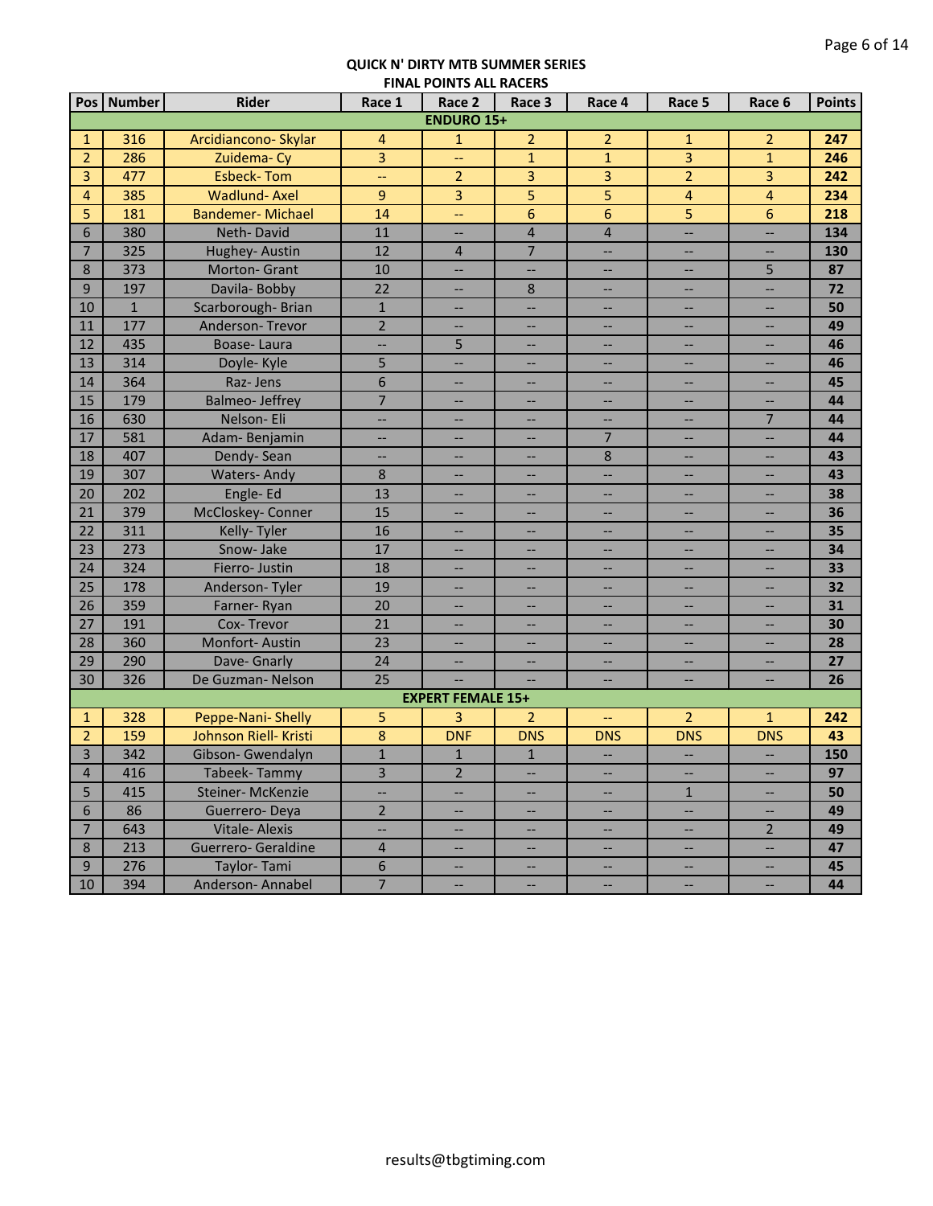|                | Pos Number   | Rider                   | Race 1                   | Race 2                   | THAL FORTS ALL MACLIN<br>Race 3   | Race 4                            | Race 5                            | Race 6                   | <b>Points</b> |
|----------------|--------------|-------------------------|--------------------------|--------------------------|-----------------------------------|-----------------------------------|-----------------------------------|--------------------------|---------------|
|                |              |                         |                          | <b>ENDURO 15+</b>        |                                   |                                   |                                   |                          |               |
| $\mathbf{1}$   | 316          | Arcidiancono-Skylar     | 4                        | $\mathbf{1}$             | $\overline{2}$                    | $\overline{2}$                    | $\mathbf{1}$                      | 2                        | 247           |
| $\overline{2}$ | 286          | Zuidema-Cy              | 3                        | --                       | $\mathbf{1}$                      | $\mathbf{1}$                      | 3                                 | $\mathbf{1}$             | 246           |
| 3              | 477          | <b>Esbeck-Tom</b>       | 44                       | $\overline{2}$           | 3                                 | 3                                 | $\overline{2}$                    | 3                        | 242           |
| $\overline{4}$ | 385          | <b>Wadlund-Axel</b>     | 9                        | 3                        | 5                                 | 5                                 | $\overline{\mathbf{4}}$           | $\overline{\mathbf{4}}$  | 234           |
| 5              | 181          | <b>Bandemer-Michael</b> | 14                       | <u></u>                  | 6                                 | 6                                 | 5                                 | 6                        | 218           |
| 6              | 380          | Neth-David              | 11                       |                          | $\overline{\mathbf{4}}$           | $\overline{\mathbf{4}}$           | <u></u>                           | <u></u>                  | 134           |
| $\overline{7}$ | 325          | Hughey-Austin           | 12                       | $\overline{4}$           | $\overline{7}$                    | $\qquad \qquad -$                 | $\overline{\phantom{a}}$          | $-$                      | 130           |
| 8              | 373          | Morton- Grant           | 10                       | $\overline{\phantom{0}}$ | <u></u>                           | $\qquad \qquad -$                 | $\overline{\phantom{a}}$          | 5                        | 87            |
| 9              | 197          | Davila-Bobby            | 22                       | --                       | 8                                 | $\overline{\phantom{a}}$          | $-\hbox{--}$                      | $\overline{\phantom{a}}$ | 72            |
| 10             | $\mathbf{1}$ | Scarborough-Brian       | $\mathbf{1}$             | --                       | $\overline{\phantom{a}}$          | --                                | --                                | --                       | 50            |
| 11             | 177          | Anderson-Trevor         | $\overline{2}$           | --                       | --                                | --                                | $-\hbox{--}$                      | $\qquad \qquad -$        | 49            |
| 12             | 435          | Boase-Laura             | --                       | 5                        | --                                | $-\!$                             | $\qquad \qquad -$                 | --                       | 46            |
| 13             | 314          | Doyle- Kyle             | 5                        | --                       | $\overline{\phantom{a}}$          | $\overline{\phantom{m}}$          | $\overline{\phantom{a}}$          | $\overline{\phantom{a}}$ | 46            |
| 14             | 364          | Raz-Jens                | 6                        | --                       | $\overline{\phantom{m}}$          | $\overline{\phantom{m}}$          | $\overline{\phantom{m}}$          | $\overline{\phantom{a}}$ | 45            |
| 15             | 179          | <b>Balmeo-Jeffrey</b>   | $\overline{7}$           | --                       | $\overline{\phantom{a}}$          | --                                | --                                | $\qquad \qquad -$        | 44            |
| 16             | 630          | Nelson-Eli              | Щ,                       | --                       | --                                | Ш,                                | $\overline{\phantom{a}}$          | $\overline{7}$           | 44            |
| 17             | 581          | Adam-Benjamin           | Щ,                       | --                       | Ш,                                | $\overline{7}$                    | $-$                               | $\overline{\phantom{a}}$ | 44            |
| 18             | 407          | Dendy-Sean              | ц,                       | --                       |                                   | $\bf 8$                           |                                   | <u></u>                  | 43            |
| 19             | 307          | <b>Waters-Andy</b>      | 8                        | --                       | --                                |                                   | н.                                | Ш,                       | 43            |
| 20             | 202          | Engle-Ed                | 13                       | --                       | $\overline{\phantom{a}}$          | --                                | $\overline{\phantom{a}}$          | Ш,                       | 38            |
| 21             | 379          | McCloskey- Conner       | 15                       |                          | --                                | --                                | --                                | <u></u>                  | 36            |
| 22             | 311          | Kelly-Tyler             | 16                       | --                       | $\overline{\phantom{a}}$          | --                                | --                                | Ш,                       | 35            |
| 23             | 273          | Snow-Jake               | 17                       |                          | --                                | --                                | --                                | <u></u>                  | 34            |
| 24             | 324          | Fierro-Justin           | 18                       |                          |                                   |                                   | --                                |                          | 33            |
| 25             | 178          | Anderson-Tyler          | 19                       |                          | --                                |                                   | --                                |                          | 32            |
| 26             | 359          | Farner-Ryan             | 20                       |                          | --                                | --                                | $\overline{\phantom{a}}$          |                          | 31            |
| 27             | 191          | Cox-Trevor              | 21                       | --                       | --                                | --                                |                                   | $-$                      | 30            |
| 28             | 360          | Monfort-Austin          | 23                       | --                       | $\overline{\phantom{a}}$          | --                                | --<br>$\overline{\phantom{a}}$    | $-$                      | 28            |
| 29             | 290          | Dave- Gnarly            | 24                       | --                       | $\overline{\phantom{a}}$          |                                   |                                   | <u></u>                  | 27            |
| 30             |              | De Guzman-Nelson        | 25                       |                          |                                   | $\overline{\phantom{a}}$          | $\overline{\phantom{a}}$          |                          |               |
|                | 326          |                         |                          | <b>EXPERT FEMALE 15+</b> |                                   |                                   |                                   | $-$                      | 26            |
| $\mathbf{1}$   | 328          | Peppe-Nani- Shelly      | 5                        | 3                        | $\overline{2}$                    |                                   | $\overline{2}$                    | $\mathbf{1}$             | 242           |
| $\overline{2}$ | 159          | Johnson Riell- Kristi   | 8                        | <b>DNF</b>               | <b>DNS</b>                        | --<br><b>DNS</b>                  | <b>DNS</b>                        | <b>DNS</b>               | 43            |
| 3              | 342          | Gibson- Gwendalyn       | $\mathbf{1}$             | $\mathbf{1}$             | $1\,$                             |                                   |                                   |                          | 150           |
|                |              |                         |                          |                          |                                   | $\hspace{0.05cm} \dashv$          | $\overline{\phantom{a}}$          | $\overline{\phantom{a}}$ |               |
| 4              | 416          | Tabeek-Tammy            | 3                        | 2                        | $\overline{\phantom{a}}$          | 44                                | $\overline{\phantom{a}}$          | $\qquad \qquad -$        | 97            |
| 5              | 415          | Steiner-McKenzie        | --                       | --                       | --                                | $\overline{\phantom{a}}$          | $\mathbf{1}$                      | --                       | 50            |
| 6              | 86           | Guerrero-Deya           | $\overline{2}$           | --                       | $\overline{\phantom{a}}$          | $\overline{\phantom{a}}$          | --                                | --                       | 49            |
| $\overline{7}$ | 643          | Vitale-Alexis           | $\overline{\phantom{a}}$ | $\overline{\phantom{a}}$ | $\hspace{0.05cm} \dashrightarrow$ | $\hspace{0.05cm} \dashrightarrow$ | $\hspace{0.05cm} \dashrightarrow$ | $\overline{2}$           | 49            |
| 8              | 213          | Guerrero- Geraldine     | $\overline{4}$           | $\overline{\phantom{a}}$ | $\overline{\phantom{a}}$          | $\overline{\phantom{a}}$          | $\overline{\phantom{a}}$          | $\overline{\phantom{a}}$ | 47            |
| 9              | 276          | Taylor-Tami             | $6\,$                    | $\overline{\phantom{0}}$ | $\overline{\phantom{a}}$          | $\overline{\phantom{a}}$          | $\hspace{0.05cm} \dashrightarrow$ | $\hspace{0.05cm} \ldots$ | 45            |
| 10             | 394          | Anderson-Annabel        | $\overline{7}$           | --                       | $\overline{\phantom{a}}$          | --                                | --                                | Щ,                       | 44            |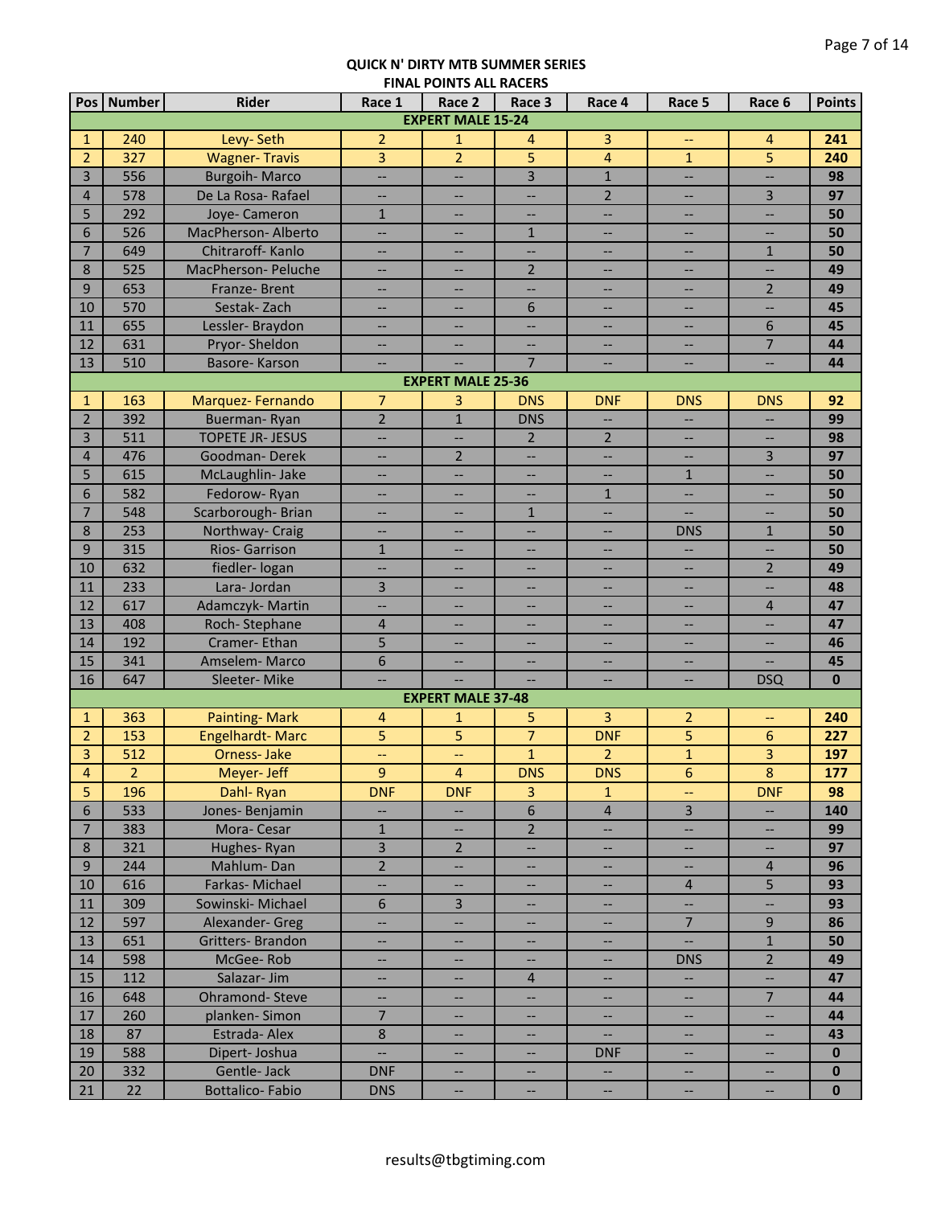|                 | Pos   Number | <b>Rider</b>            | Race 1                   | Race 2                   | Race 3                   | Race 4                            | Race 5                            | Race 6                   | <b>Points</b> |
|-----------------|--------------|-------------------------|--------------------------|--------------------------|--------------------------|-----------------------------------|-----------------------------------|--------------------------|---------------|
|                 |              |                         |                          | <b>EXPERT MALE 15-24</b> |                          |                                   |                                   |                          |               |
| $\mathbf{1}$    | 240          | Levy-Seth               | $\overline{2}$           | $\mathbf{1}$             | 4                        | 3                                 | $-\!$                             | 4                        | 241           |
| $\overline{2}$  | 327          | <b>Wagner-Travis</b>    | 3                        | $\overline{2}$           | 5                        | $\overline{4}$                    | $\mathbf 1$                       | 5                        | 240           |
| 3               | 556          | <b>Burgoih-Marco</b>    | <u></u>                  |                          | $\overline{3}$           | $\mathbf{1}$                      | <u></u>                           | ш.,                      | 98            |
| $\overline{4}$  | 578          | De La Rosa- Rafael      | --                       | --                       | --                       | $\overline{2}$                    | $-$                               | $\overline{3}$           | 97            |
| 5               | 292          | Joye- Cameron           | $\mathbf{1}$             | $\overline{\phantom{a}}$ | --                       | $\qquad \qquad -$                 | $\overline{\phantom{a}}$          | Щ,                       | 50            |
| 6               | 526          | MacPherson-Alberto      | <u></u>                  |                          | $1\,$                    | --                                | --                                | <u></u>                  | 50            |
| $\overline{7}$  | 649          | Chitraroff-Kanlo        | Ш,                       |                          |                          |                                   | --                                | $\mathbf{1}$             | 50            |
| 8               | 525          | MacPherson- Peluche     | $- -$                    | --                       | $\overline{2}$           | --                                | --                                | --                       | 49            |
| 9               | 653          | Franze-Brent            | $-$                      | $\overline{\phantom{a}}$ | $\overline{\phantom{a}}$ | $\overline{\phantom{a}}$          | $\overline{\phantom{a}}$          | $\overline{2}$           | 49            |
| 10              | 570          | Sestak-Zach             | --                       | --                       | 6                        | --                                | --                                | ш,                       | 45            |
| 11              | 655          | Lessler-Braydon         | --                       | --                       | $\overline{\phantom{a}}$ | $\overline{\phantom{a}}$          | --                                | 6                        | 45            |
| 12              | 631          | Pryor-Sheldon           | --                       | --                       | --                       | $\overline{\phantom{a}}$          | --                                | $\overline{7}$           | 44            |
| 13              | 510          | Basore-Karson           | $\overline{\phantom{a}}$ |                          | $\overline{7}$           | $\hspace{0.05cm} \ldots$          | $\overline{\phantom{a}}$          | $\overline{\phantom{a}}$ | 44            |
|                 |              |                         |                          | <b>EXPERT MALE 25-36</b> |                          |                                   |                                   |                          |               |
| $\mathbf{1}$    | 163          | Marquez-Fernando        | $\overline{7}$           | 3                        | <b>DNS</b>               | <b>DNF</b>                        | <b>DNS</b>                        | <b>DNS</b>               | 92            |
| $\overline{2}$  | 392          | Buerman-Ryan            | $\overline{2}$           | $\mathbf{1}$             | <b>DNS</b>               | $\overline{\phantom{m}}$          | ш,                                | --                       | 99            |
| 3               | 511          | <b>TOPETE JR- JESUS</b> | <u></u>                  | $\overline{\phantom{a}}$ | $\overline{2}$           | $\overline{2}$                    | --                                | $\overline{\phantom{a}}$ | 98            |
| $\overline{4}$  | 476          | Goodman-Derek           | <u></u>                  | $\overline{2}$           | $\overline{\phantom{a}}$ | $\overline{\phantom{a}}$          | <u></u>                           | $\overline{3}$           | 97            |
| 5               | 615          | McLaughlin- Jake        | Ш,                       | <u></u>                  | <u></u>                  | $\overline{\phantom{0}}$          | $\mathbf{1}$                      | Ш,                       | 50            |
| 6               | 582          | Fedorow-Ryan            | Ш,                       |                          | --                       | $\mathbf{1}$                      | --                                | --                       | 50            |
| $\overline{7}$  | 548          | Scarborough-Brian       | $-$                      |                          | $\mathbf{1}$             |                                   | <u></u>                           | --                       | 50            |
| 8               | 253          | Northway- Craig         | --                       |                          |                          |                                   | <b>DNS</b>                        | $\mathbf{1}$             | 50            |
| $\overline{9}$  | 315          | <b>Rios-Garrison</b>    | $\mathbf{1}$             |                          | --                       | $\overline{\phantom{a}}$          | <b></b>                           | <u>. .</u>               | 50            |
| 10              | 632          | fiedler- logan          | <u></u>                  |                          | --                       | $\overline{\phantom{a}}$          | --                                | $\overline{2}$           | 49            |
| 11              | 233          | Lara-Jordan             | 3                        |                          | --                       |                                   | --                                | <u></u>                  | 48            |
| 12              | 617          | Adamczyk-Martin         | --                       |                          | --                       |                                   | --                                | $\overline{4}$           | 47            |
| 13              | 408          | Roch-Stephane           | $\overline{4}$           |                          | --                       |                                   | $\overline{\phantom{a}}$          | $-$                      | 47            |
| 14              | 192          | Cramer-Ethan            | 5                        |                          |                          |                                   | --                                |                          | 46            |
| 15              | 341          | Amselem-Marco           | 6                        |                          | --                       | $\overline{\phantom{a}}$          | --                                | --                       | 45            |
| 16              | 647          | Sleeter-Mike            | <u></u>                  |                          |                          |                                   | --                                | <b>DSQ</b>               | $\mathbf 0$   |
|                 |              |                         |                          | <b>EXPERT MALE 37-48</b> |                          |                                   |                                   |                          |               |
| $\mathbf{1}$    | 363          | <b>Painting-Mark</b>    | $\overline{4}$           | $\mathbf{1}$             | 5                        | 3                                 | 2                                 | $-$                      | 240           |
| $\overline{2}$  | 153          | <b>Engelhardt-Marc</b>  | 5                        | $\overline{5}$           | $\overline{7}$           | <b>DNF</b>                        | 5                                 | $6\phantom{1}6$          | 227           |
| 3               | 512          | <b>Orness-Jake</b>      | Ц.                       | $\overline{\phantom{m}}$ | $\mathbf 1$              | 2 <sup>1</sup>                    | $\mathbf 1$                       | 3                        | 197           |
| 4               | 2            | Meyer- Jeff             | 9                        | 4                        | <b>DNS</b>               | <b>DNS</b>                        | 6                                 | 8                        | 177           |
| $\overline{5}$  | 196          | Dahl-Ryan               | <b>DNF</b>               | <b>DNF</b>               | $\overline{3}$           | $\mathbf{1}$                      | Щ,                                | <b>DNF</b>               | 98            |
| $\sqrt{6}$      | 533          | Jones-Benjamin          | --                       | --                       | $6\,$                    | $\overline{4}$                    | $\overline{3}$                    | --                       | 140           |
| $7\overline{ }$ | 383          | Mora-Cesar              | $\mathbf{1}$             | $\overline{\phantom{a}}$ | $\overline{2}$           | $\hspace{0.05cm} \dashrightarrow$ | 44                                | $\overline{\phantom{a}}$ | 99            |
| 8               | 321          | Hughes-Ryan             | $\overline{3}$           | $\overline{2}$           | --                       | --                                | --                                | $\overline{\phantom{a}}$ | 97            |
| 9               | 244          | Mahlum-Dan              | $\overline{2}$           | --                       | $\overline{\phantom{a}}$ | $\overline{\phantom{a}}$          | $\hspace{0.05cm} \dashrightarrow$ | $\overline{4}$           | 96            |
| 10              | 616          | Farkas-Michael          | --                       | $\overline{\phantom{a}}$ | $\overline{\phantom{a}}$ | $\overline{\phantom{a}}$          | $\overline{4}$                    | 5                        | 93            |
| 11              | 309          | Sowinski- Michael       | 6                        | $\overline{3}$           | $\overline{\phantom{a}}$ | $\overline{\phantom{a}}$          | Щ,                                | $\overline{\phantom{a}}$ | 93            |
| 12              | 597          | Alexander- Greg         | Щ,                       | $\overline{\phantom{a}}$ | --                       | $\overline{\phantom{a}}$          | $\overline{7}$                    | 9                        | 86            |
| 13              | 651          | Gritters-Brandon        | --                       | --                       | --                       | $\overline{\phantom{a}}$          | <u></u>                           | $\mathbf{1}$             | 50            |
| 14              | 598          | McGee-Rob               | $-$                      |                          | --                       | --                                | <b>DNS</b>                        | $\overline{2}$           | 49            |
| 15              | 112          | Salazar- Jim            | $\overline{\phantom{a}}$ |                          | $\overline{4}$           | $-$                               | Ш,                                | <u></u>                  | 47            |
| 16              | 648          | Ohramond-Steve          | --                       |                          | --                       |                                   | --                                | $\overline{7}$           | 44            |
| 17              | 260          | planken-Simon           | $\overline{7}$           | --                       | --                       | $\overline{\phantom{a}}$          | --                                | <u></u>                  | 44            |
| 18              | 87           | Estrada-Alex            | 8<br>Щ,                  |                          | --                       | $\overline{\phantom{a}}$          | --                                | --                       | 43            |
| 19              | 588          | Dipert-Joshua           |                          |                          | --                       | <b>DNF</b>                        | --                                | <b></b>                  | $\bf{0}$      |
| 20              | 332          | Gentle-Jack             | <b>DNF</b>               |                          | --                       |                                   | --                                | --                       | $\bf{0}$      |
| 21              | 22           | <b>Bottalico-Fabio</b>  | <b>DNS</b>               |                          | --                       |                                   | --                                | --                       | $\bf{0}$      |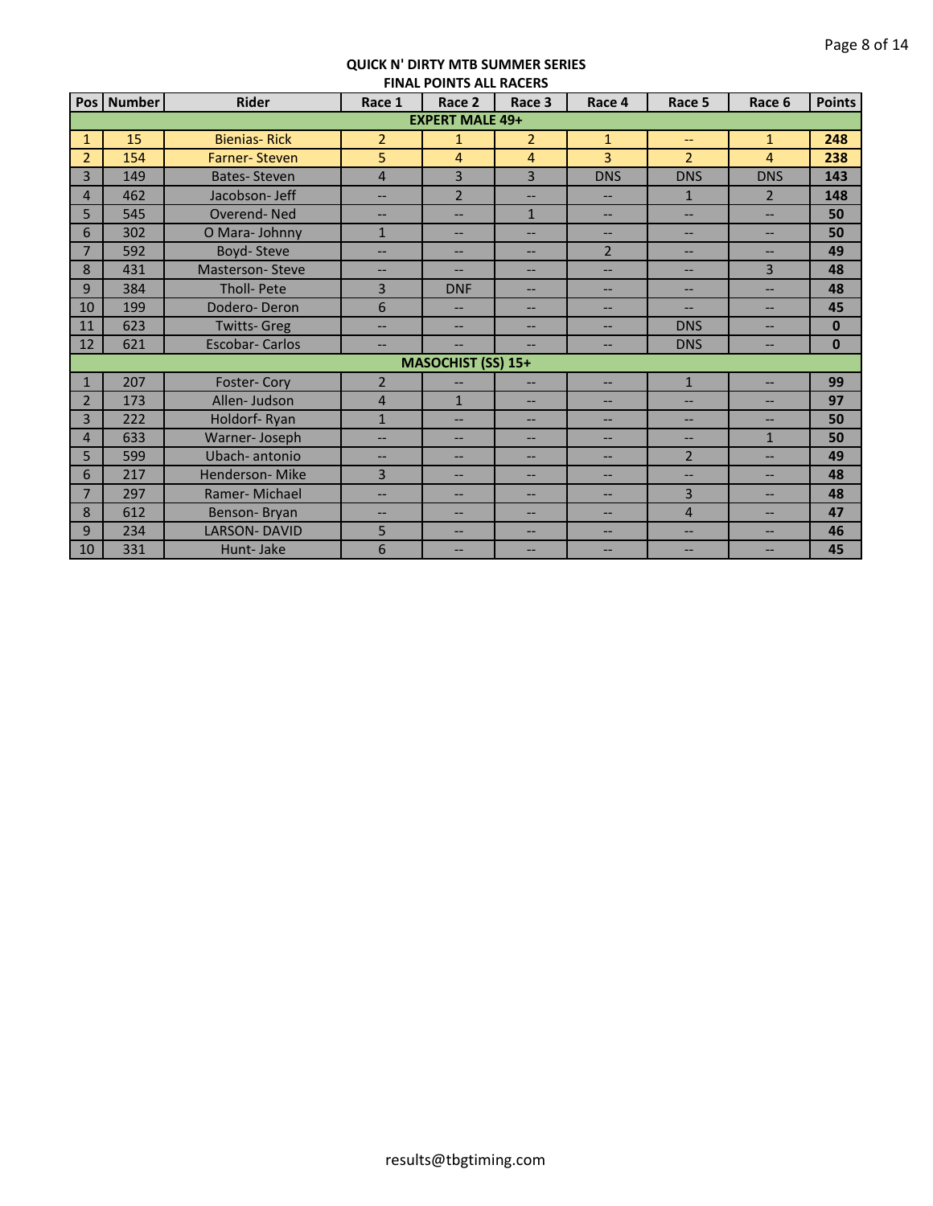|                |            |                        |                          | <b>FINAL FUINTS ALL INACLINS</b> |                          |                          |                          |                   |               |
|----------------|------------|------------------------|--------------------------|----------------------------------|--------------------------|--------------------------|--------------------------|-------------------|---------------|
|                | Pos Number | <b>Rider</b>           | Race 1                   | Race 2                           | Race 3                   | Race 4                   | Race 5                   | Race 6            | <b>Points</b> |
|                |            |                        |                          | <b>EXPERT MALE 49+</b>           |                          |                          |                          |                   |               |
| $\mathbf{1}$   | 15         | <b>Bienias-Rick</b>    | $\overline{2}$           | $\mathbf{1}$                     | $\overline{2}$           | $\mathbf{1}$             | $\overline{\phantom{0}}$ | $\mathbf{1}$      | 248           |
| $\overline{2}$ | 154        | <b>Farner-Steven</b>   | 5                        | 4                                | $\overline{4}$           | $\overline{3}$           | $\overline{2}$           | 4                 | 238           |
| $\overline{3}$ | 149        | <b>Bates-Steven</b>    | $\overline{4}$           | 3                                | 3                        | <b>DNS</b>               | <b>DNS</b>               | <b>DNS</b>        | 143           |
| $\overline{4}$ | 462        | Jacobson- Jeff         | $\overline{a}$           | $\overline{2}$                   | $\overline{\phantom{0}}$ | $\overline{\phantom{0}}$ | $\mathbf{1}$             | $\overline{2}$    | 148           |
| 5              | 545        | Overend-Ned            | $-$                      | $\overline{\phantom{a}}$         | $\mathbf{1}$             | $\overline{\phantom{a}}$ | $\overline{\phantom{0}}$ | $\overline{a}$    | 50            |
| 6              | 302        | O Mara-Johnny          | $\mathbf{1}$             | $\overline{\phantom{a}}$         | $--$                     | $\qquad \qquad -$        | $\qquad \qquad -$        | $--$              | 50            |
| $\overline{7}$ | 592        | Boyd-Steve             | $--$                     | $\overline{\phantom{a}}$         | $\overline{\phantom{a}}$ | $\overline{2}$           | $\qquad \qquad -$        | $\qquad \qquad -$ | 49            |
| 8              | 431        | <b>Masterson-Steve</b> | $--$                     | --                               | $\overline{\phantom{a}}$ | $\overline{\phantom{0}}$ | $\qquad \qquad -$        | $\overline{3}$    | 48            |
| 9              | 384        | Tholl- Pete            | $\overline{3}$           | <b>DNF</b>                       | $\overline{\phantom{a}}$ | --                       | $\overline{\phantom{a}}$ | --                | 48            |
| 10             | 199        | Dodero-Deron           | 6                        |                                  | --                       | --                       | --                       | --                | 45            |
| 11             | 623        | <b>Twitts- Greg</b>    | ÷-                       | $\overline{a}$                   | $-$                      | $-$                      | <b>DNS</b>               | $-$               | $\mathbf{0}$  |
| 12             | 621        | <b>Escobar-Carlos</b>  | $--$                     |                                  |                          | $-$                      | <b>DNS</b>               | $-$               | $\bf{0}$      |
|                |            |                        |                          | <b>MASOCHIST (SS) 15+</b>        |                          |                          |                          |                   |               |
| $\mathbf{1}$   | 207        | Foster-Cory            | $\overline{2}$           | --                               | $- -$                    | $\overline{\phantom{a}}$ | $\mathbf{1}$             | $\overline{a}$    | 99            |
| $\overline{2}$ | 173        | Allen-Judson           | $\overline{4}$           | $\mathbf{1}$                     | $\overline{\phantom{0}}$ | $\overline{\phantom{0}}$ | $\overline{\phantom{a}}$ | --                | 97            |
| $\overline{3}$ | 222        | Holdorf-Ryan           | $\mathbf{1}$             | $\overline{\phantom{a}}$         | $\overline{\phantom{a}}$ | $\overline{\phantom{0}}$ | $\overline{\phantom{a}}$ | --                | 50            |
| $\overline{4}$ | 633        | Warner-Joseph          | $\overline{\phantom{0}}$ | $\overline{\phantom{a}}$         | $\qquad \qquad -$        | --                       | $\overline{\phantom{a}}$ | $\mathbf{1}$      | 50            |
| 5              | 599        | Ubach-antonio          | $\overline{\phantom{0}}$ | $\overline{\phantom{a}}$         | $\overline{\phantom{0}}$ | $\overline{\phantom{0}}$ | $\overline{2}$           | --                | 49            |
| 6              | 217        | Henderson-Mike         | $\overline{3}$           | $\overline{a}$                   | $--$                     | $\overline{a}$           | $\qquad \qquad -$        | $--$              | 48            |
| 7              | 297        | Ramer-Michael          | $-$                      | $\overline{\phantom{a}}$         | $\qquad \qquad -$        | $\qquad \qquad -$        | $\overline{3}$           | $--$              | 48            |
| 8              | 612        | Benson-Bryan           | $--$                     | $\overline{\phantom{a}}$         | $\overline{\phantom{a}}$ | $\overline{\phantom{0}}$ | $\overline{4}$           | $--$              | 47            |
| 9              | 234        | <b>LARSON-DAVID</b>    | 5                        | $\qquad \qquad -$                | --                       | --                       | $\overline{\phantom{a}}$ | $\qquad \qquad -$ | 46            |
| 10             | 331        | Hunt-Jake              | 6                        | --                               | --                       | --                       | --                       | --                | 45            |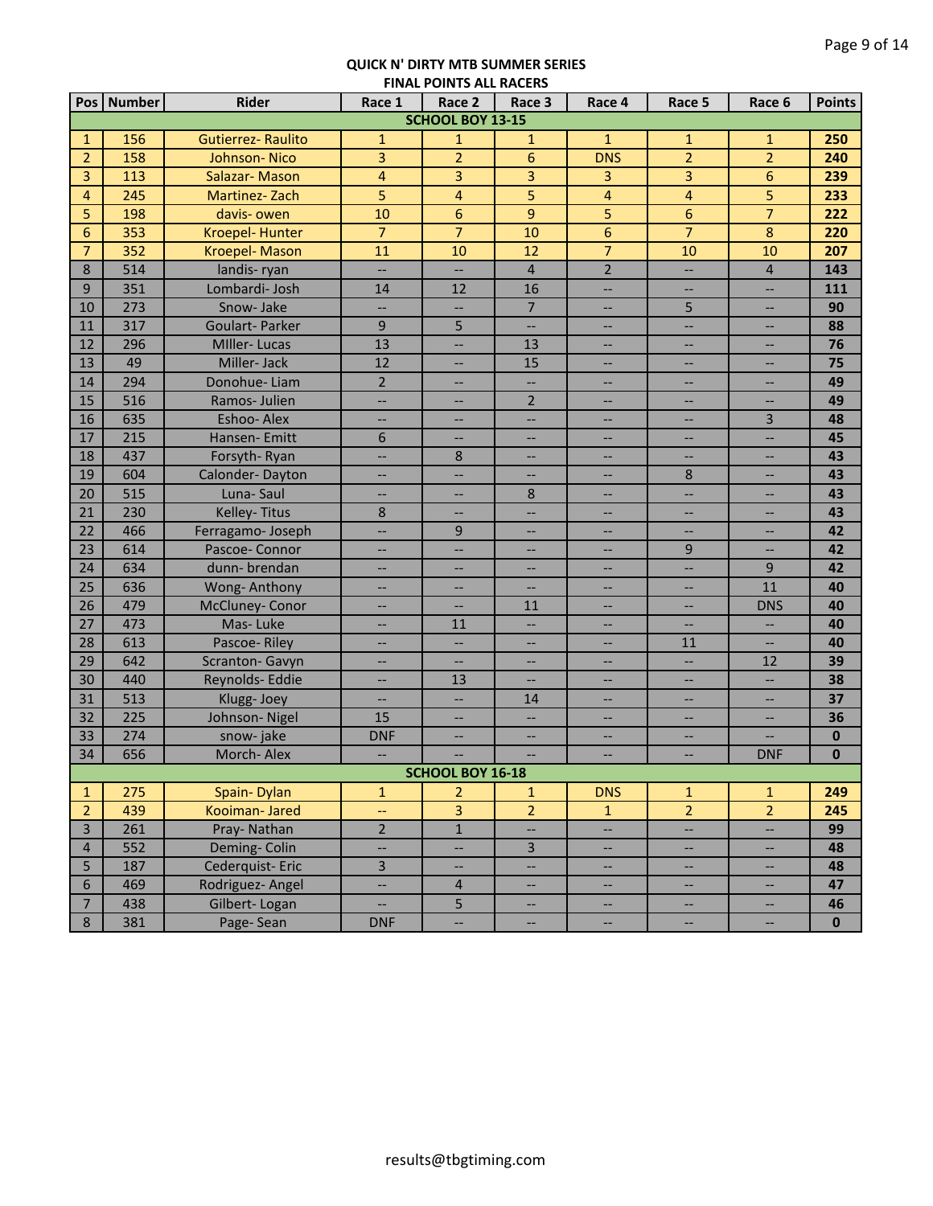|                  |               |                           |                          | <b>THAL FORTS ALL RACLIS</b> |                          |                                                     |                   |                          |               |
|------------------|---------------|---------------------------|--------------------------|------------------------------|--------------------------|-----------------------------------------------------|-------------------|--------------------------|---------------|
| Pos <sup> </sup> | <b>Number</b> | Rider                     | Race 1                   | Race 2                       | Race 3                   | Race 4                                              | Race 5            | Race 6                   | <b>Points</b> |
|                  |               |                           |                          | <b>SCHOOL BOY 13-15</b>      |                          |                                                     |                   |                          |               |
| $\mathbf{1}$     | 156           | <b>Gutierrez- Raulito</b> | $\mathbf{1}$             | $\mathbf{1}$                 | $\mathbf{1}$             | $\mathbf{1}$                                        | $\mathbf{1}$      | $\mathbf{1}$             | 250           |
| $\overline{2}$   | 158           | Johnson-Nico              | 3                        | $\overline{2}$               | $6\phantom{1}6$          | <b>DNS</b>                                          | $\overline{2}$    | $\overline{2}$           | 240           |
| 3                | 113           | Salazar-Mason             | $\overline{4}$           | 3                            | 3                        | 3                                                   | 3                 | 6                        | 239           |
| $\overline{4}$   | 245           | Martinez-Zach             | 5                        | $\overline{4}$               | 5                        | $\overline{\mathbf{4}}$                             | 4                 | 5                        | 233           |
| 5                | 198           | davis-owen                | 10                       | 6                            | 9                        | 5                                                   | 6                 | $\overline{7}$           | 222           |
| 6                | 353           | Kroepel-Hunter            | $\overline{7}$           | $\overline{7}$               | 10                       | $6\phantom{1}$                                      | $\overline{7}$    | $\bf 8$                  | 220           |
| $\overline{7}$   | 352           | Kroepel-Mason             | 11                       | 10                           | 12                       | $\overline{7}$                                      | 10                | 10                       | 207           |
| 8                | 514           | landis-ryan               | --                       |                              | $\overline{4}$           | $\overline{2}$                                      | <u></u>           | $\sqrt{4}$               | 143           |
| 9                | 351           | Lombardi- Josh            | 14                       | 12                           | 16                       | --                                                  | --                | $\overline{\phantom{a}}$ | 111           |
| 10               | 273           | Snow-Jake                 | --                       | --                           | $\overline{7}$           | --                                                  | 5                 | $\qquad \qquad -$        | 90            |
| 11               | 317           | Goulart-Parker            | 9                        | 5                            | $\overline{\phantom{a}}$ | --                                                  | --                | $\qquad \qquad -$        | 88            |
| 12               | 296           | <b>MIller-Lucas</b>       | 13                       | --                           | 13                       | --                                                  | --                | $-\,$                    | 76            |
| 13               | 49            | Miller-Jack               | 12                       | $\overline{\phantom{a}}$     | 15                       | $\overline{\phantom{a}}$                            | $\qquad \qquad -$ | $\overline{\phantom{a}}$ | 75            |
| 14               | 294           | Donohue-Liam              | $\overline{2}$           | $\overline{\phantom{a}}$     | $\overline{\phantom{a}}$ | $\overline{\phantom{a}}$                            | $\qquad \qquad -$ | $\overline{\phantom{a}}$ | 49            |
| 15               | 516           | Ramos-Julien              | --                       | --                           | $\overline{2}$           | $\overline{\phantom{a}}$                            | --                | $-\,$                    | 49            |
| 16               | 635           | Eshoo-Alex                | $\overline{\phantom{a}}$ | --                           | <u></u>                  | $\qquad \qquad -$                                   | --                | $\overline{3}$           | 48            |
| 17               | 215           | Hansen-Emitt              | 6                        | <u></u>                      | $\overline{\phantom{a}}$ | $\overline{\phantom{a}}$                            | --                | Ц.                       | 45            |
| 18               | 437           | Forsyth-Ryan              | ш.,                      | 8                            | --                       |                                                     | --                | --                       | 43            |
| 19               | 604           | Calonder-Dayton           | --                       |                              | $\overline{\phantom{a}}$ | $\overline{\phantom{a}}$                            | 8                 | --                       | 43            |
| 20               | 515           | Luna-Saul                 | --                       | --                           | 8                        |                                                     | --                | --                       | 43            |
| 21               | 230           | Kelley-Titus              | 8                        |                              | --                       |                                                     | --                | --                       | 43            |
| 22               | 466           | Ferragamo-Joseph          | <u></u>                  | 9                            | <u></u>                  |                                                     | --                | <u></u>                  | 42            |
| 23               | 614           | Pascoe-Connor             | <b></b>                  |                              | --                       |                                                     | 9                 | --                       | 42            |
| 24               | 634           | dunn-brendan              | --                       |                              | $-$                      |                                                     | --                | $9$                      | 42            |
| 25               | 636           | Wong-Anthony              | $-$                      |                              |                          |                                                     | --                | 11                       | 40            |
| 26               | 479           | McCluney- Conor           | --                       |                              | 11                       |                                                     | --                | <b>DNS</b>               | 40            |
| 27               | 473           | Mas-Luke                  | $-$                      | 11                           | $\overline{\phantom{a}}$ |                                                     | --                | --                       | 40            |
| 28               | 613           | Pascoe-Riley              | --                       | $\overline{\phantom{a}}$     | $\overline{\phantom{a}}$ | $-$                                                 | 11                | --                       | 40            |
| 29               | 642           | Scranton-Gavyn            | $\overline{\phantom{a}}$ |                              | $\overline{\phantom{a}}$ | $-$                                                 | --                | 12                       | 39            |
| 30               | 440           | Reynolds- Eddie           | <u></u>                  | 13                           |                          |                                                     | --                | --                       | 38            |
| 31               | 513           | Klugg-Joey                | --                       |                              | 14                       |                                                     |                   |                          | 37            |
| 32               | 225           | Johnson-Nigel             | 15                       | --                           | $\overline{\phantom{a}}$ | $\overline{\phantom{a}}$                            | --                | --                       | 36            |
| 33               | 274           | snow-jake                 | <b>DNF</b>               | --                           | $\overline{\phantom{a}}$ |                                                     | --                |                          | $\bf{0}$      |
| 34               | 656           | Morch-Alex                | --                       | --                           | --                       | $\hspace{0.05cm} -\hspace{0.05cm} -\hspace{0.05cm}$ | --                | <b>DNF</b>               | $\bf{0}$      |
|                  |               |                           |                          | <b>SCHOOL BOY 16-18</b>      |                          |                                                     |                   |                          |               |
| $\mathbf{1}$     | 275           | Spain-Dylan               | $\mathbf{1}$             | $\overline{2}$               | $\mathbf{1}$             | <b>DNS</b>                                          | $\mathbf{1}$      | $\mathbf{1}$             | 249           |
| $\overline{2}$   | 439           | Kooiman-Jared             | --                       | 3                            | $\overline{2}$           | $\mathbf{1}$                                        | $\overline{2}$    | $\overline{2}$           | 245           |
| $\overline{3}$   | 261           | Pray-Nathan               | $\overline{2}$           | $\mathbf 1$                  | $\overline{\phantom{a}}$ | --                                                  | н,                | --                       | 99            |
| $\overline{4}$   | 552           | Deming-Colin              | --                       | --                           | $\overline{3}$           | --                                                  | --                | $\overline{\phantom{a}}$ | 48            |
| 5                | 187           | Cederquist-Eric           | $\overline{3}$           | --                           | $\overline{\phantom{a}}$ | --                                                  | --                | $\overline{\phantom{a}}$ | 48            |
| 6                | 469           | Rodriguez- Angel          | Ц.                       | $\overline{4}$               | Щ,                       | --                                                  | --                | $\overline{\phantom{a}}$ | 47            |
| $\overline{7}$   | 438           | Gilbert-Logan             | Щ,                       | 5                            | --                       | $\overline{\phantom{a}}$                            | --                | $\hspace{0.05cm} \ldots$ | 46            |
| 8                | 381           | Page-Sean                 | <b>DNF</b>               |                              | <u></u>                  | Ш,                                                  | --                | Ц.                       | $\mathbf 0$   |
|                  |               |                           |                          |                              |                          |                                                     |                   |                          |               |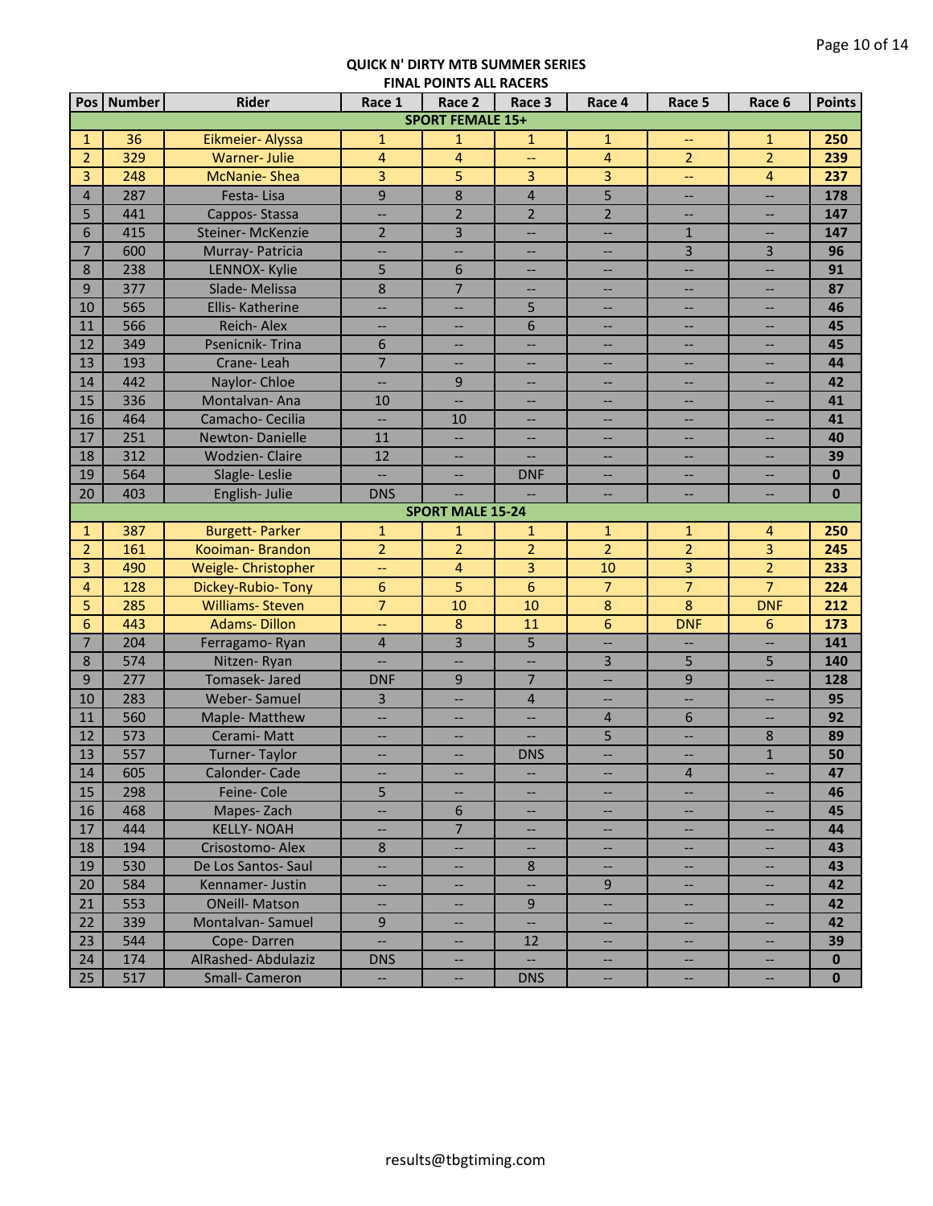| Pos   Number<br><b>SPORT FEMALE 15+</b><br>36<br>Eikmeier- Alyssa<br>$\mathbf{1}$<br>$\mathbf{1}$<br>250<br>$\mathbf{1}$<br>$\mathbf{1}$<br>$\mathbf{1}$<br>$\mathbf{1}$<br>$-\!$<br>$\overline{2}$<br>$\overline{2}$<br>329<br>$\overline{4}$<br>$\overline{4}$<br>$\overline{4}$<br>$\overline{2}$<br><b>Warner-Julie</b><br>239<br>44<br>3<br>3<br>248<br><b>McNanie-Shea</b><br>5<br>3<br>3<br>$\overline{4}$<br>237<br>$\overline{\phantom{a}}$<br>9<br>5<br>8<br>$\overline{\mathbf{4}}$<br>287<br>Festa-Lisa<br>$\overline{4}$<br>178<br>--<br>--<br>$\overline{2}$<br>$\overline{2}$<br>$\overline{2}$<br>5<br>147<br>441<br>Cappos-Stassa<br>--<br>--<br>--<br>$\overline{2}$<br>3<br>6<br>415<br>Steiner-McKenzie<br>$\mathbf{1}$<br>147<br>--<br>$\overline{\phantom{a}}$<br>$\overline{\phantom{a}}$<br>$\overline{3}$<br>$\overline{7}$<br>$\mathsf{3}$<br>600<br>Murray- Patricia<br>96<br>$\overline{\phantom{a}}$<br>--<br>--<br>--<br>5<br>6<br>8<br>238<br>LENNOX- Kylie<br>91<br>--<br>--<br>--<br>--<br>$\overline{7}$<br>8<br>9<br>377<br>Slade-Melissa<br>87<br>$\overline{\phantom{a}}$<br>--<br>--<br>$\hspace{0.05cm} -\hspace{0.05cm} -\hspace{0.05cm}$<br>565<br>5<br>10<br>Ellis-Katherine<br>46<br>--<br>--<br>$\hspace{0.05cm} -\hspace{0.05cm} -\hspace{0.05cm}$<br>--<br>--<br>6<br>566<br>11<br>Reich-Alex<br>45<br>--<br>--<br>--<br>--<br>$\hspace{0.05cm} \hspace{0.02cm} \cdots$<br>12<br>349<br>Psenicnik-Trina<br>6<br>45<br>$\overline{\phantom{a}}$<br>$\qquad \qquad -$<br>$- -$<br>$- -$<br>$\overline{\phantom{a}}$<br>$\overline{7}$<br>13<br>193<br>Crane-Leah<br>44<br>$\overline{\phantom{a}}$<br>$\overline{\phantom{m}}$<br>$\overline{\phantom{a}}$<br>$\hspace{0.05cm} -\hspace{0.05cm} -\hspace{0.05cm}$<br>--<br>442<br>14<br>Naylor-Chloe<br>9<br>42<br>Щ,<br>$\overline{\phantom{a}}$<br>$\overline{\phantom{a}}$<br>--<br>$\overline{\phantom{a}}$<br>15<br>336<br>Montalvan-Ana<br>41<br>10<br>Ш,<br>--<br>$\qquad \qquad -$<br>--<br>$- -$<br>16<br>464<br>Camacho- Cecilia<br>$\overline{\phantom{a}}$<br>10<br>41<br><u></u><br>$\overline{\phantom{a}}$<br>--<br>--<br>17<br>251<br><b>Newton-Danielle</b><br>11<br>40<br>--<br>н.<br>--<br>18<br>312<br><b>Wodzien-Claire</b><br>12<br>39<br>$\overline{\phantom{0}}$<br>--<br>--<br>19<br>564<br>u.<br>$\bf{0}$<br>Slagle-Leslie<br><b>DNF</b><br>$\overline{\phantom{0}}$<br>$-$<br>403<br>20<br>English-Julie<br><b>DNS</b><br>$\bf{0}$<br>--<br>--<br><b>SPORT MALE 15-24</b><br>387<br><b>Burgett-Parker</b><br>$\mathbf{1}$<br>$\mathbf{1}$<br>$\overline{4}$<br>$\mathbf{1}$<br>$\mathbf{1}$<br>250<br>$\mathbf{1}$<br>$\mathbf{1}$<br>$\overline{2}$<br>$\overline{2}$<br>$\overline{2}$<br>$\overline{2}$<br>$\overline{2}$<br>3<br>$\overline{2}$<br>161<br>Kooiman-Brandon<br>245<br>3<br>$\overline{2}$<br>3<br>3<br>490<br>Weigle- Christopher<br>$\overline{4}$<br>10<br>233<br>44<br>$\overline{7}$<br>6<br>$\overline{7}$<br>$\overline{7}$<br>128<br>Dickey-Rubio-Tony<br>5<br>224<br>4<br>6<br>$\overline{7}$<br>8<br>8<br>5<br>285<br><b>Williams-Steven</b><br>10<br>10<br>212<br><b>DNF</b><br><b>Adams-Dillon</b><br>8<br>11<br>$6\phantom{1}6$<br>6<br>443<br><b>DNF</b><br>6<br>173<br>ц.,<br>3<br>204<br>5<br>$\overline{7}$<br>$\overline{4}$<br>141<br>Ferragamo-Ryan<br>--<br>$\overline{a}$<br>$\overline{\phantom{0}}$<br>574<br>$\overline{3}$<br>5<br>5<br>8<br>Nitzen-Ryan<br>140<br><u></u><br>$\overline{7}$<br>9<br>277<br>Tomasek- Jared<br>9<br>$9$<br><b>DNF</b><br>128<br><u></u><br>$\overline{\phantom{a}}$<br>10<br>283<br>$\overline{3}$<br>$\overline{4}$<br>Weber-Samuel<br>95<br><u></u><br>--<br>$\overline{\phantom{a}}$<br>$\overline{\phantom{a}}$<br>560<br>6<br>11<br>Maple-Matthew<br>4<br>92<br>--<br>--<br>$-$<br>12<br>5<br>573<br>8<br>Cerami-Matt<br>89<br>$\overline{\phantom{a}}$<br>--<br>--<br>--<br>557<br>13<br>$\mathbf{1}$<br>Turner-Taylor<br><b>DNS</b><br>50<br>$\overline{\phantom{a}}$<br>$\overline{\phantom{a}}$<br>--<br>--<br>605<br>Calonder-Cade<br>$\overline{4}$<br>47<br>14<br>--<br>--<br>$\hspace{0.05cm} \dashv$<br>--<br>$\overline{\phantom{a}}$<br>5<br>15<br>298<br>46<br>Feine-Cole<br>$\overline{\phantom{a}}$<br>--<br>$\overline{\phantom{a}}$<br>$\overline{\phantom{a}}$<br>--<br>16<br>468<br>Mapes-Zach<br>6<br>45<br>--<br>$\overline{\phantom{a}}$<br>$\overline{\phantom{a}}$<br>$\overline{\phantom{a}}$<br>$\overline{\phantom{a}}$<br>7 <sup>1</sup><br>17<br>444<br><b>KELLY- NOAH</b><br>44<br>$\overline{\phantom{a}}$<br>$\hspace{0.05cm} \ldots$<br>--<br>$\overline{\phantom{a}}$<br>--<br>18<br>194<br>Crisostomo- Alex<br>8<br>43<br>н,<br>$\overline{\phantom{a}}$<br>$\overline{\phantom{a}}$<br>$\overline{\phantom{a}}$<br>--<br>530<br>De Los Santos-Saul<br>19<br>Щ,<br>8<br>43<br>$\overline{\phantom{a}}$<br>$\overline{\phantom{a}}$<br>--<br>$\overline{\phantom{a}}$<br>584<br>Kennamer-Justin<br>9<br>20<br><u></u><br>42<br>$-$<br>--<br>--<br>553<br><b>ONeill- Matson</b><br>9<br>21<br>42<br>$\overline{\phantom{a}}$<br>--<br>--<br>--<br>22<br>339<br>Montalvan-Samuel<br>9<br><u></u><br>42<br>$\overline{\phantom{a}}$<br>--<br>$\Box$<br>23<br>544<br>Cope-Darren<br>12<br>39<br>--<br>--<br>24<br>174<br>AlRashed-Abdulaziz<br><b>DNS</b><br>$\overline{\phantom{a}}$<br>$\mathbf{0}$<br>--<br>$\qquad \qquad -$<br>$\mathbf{0}$<br><b>DNS</b><br>$\overline{\phantom{a}}$<br>$\overline{\phantom{a}}$<br>-- |    |     | <b>Rider</b>         | Race 1 | <b>FINAL FUINTS ALL INACLIS</b><br>Race 2 |        |        |        |        | <b>Points</b> |
|-----------------------------------------------------------------------------------------------------------------------------------------------------------------------------------------------------------------------------------------------------------------------------------------------------------------------------------------------------------------------------------------------------------------------------------------------------------------------------------------------------------------------------------------------------------------------------------------------------------------------------------------------------------------------------------------------------------------------------------------------------------------------------------------------------------------------------------------------------------------------------------------------------------------------------------------------------------------------------------------------------------------------------------------------------------------------------------------------------------------------------------------------------------------------------------------------------------------------------------------------------------------------------------------------------------------------------------------------------------------------------------------------------------------------------------------------------------------------------------------------------------------------------------------------------------------------------------------------------------------------------------------------------------------------------------------------------------------------------------------------------------------------------------------------------------------------------------------------------------------------------------------------------------------------------------------------------------------------------------------------------------------------------------------------------------------------------------------------------------------------------------------------------------------------------------------------------------------------------------------------------------------------------------------------------------------------------------------------------------------------------------------------------------------------------------------------------------------------------------------------------------------------------------------------------------------------------------------------------------------------------------------------------------------------------------------------------------------------------------------------------------------------------------------------------------------------------------------------------------------------------------------------------------------------------------------------------------------------------------------------------------------------------------------------------------------------------------------------------------------------------------------------------------------------------------------------------------------------------------------------------------------------------------------------------------------------------------------------------------------------------------------------------------------------------------------------------------------------------------------------------------------------------------------------------------------------------------------------------------------------------------------------------------------------------------------------------------------------------------------------------------------------------------------------------------------------------------------------------------------------------------------------------------------------------------------------------------------------------------------------------------------------------------------------------------------------------------------------------------------------------------------------------------------------------------------------------------------------------------------------------------------------------------------------------------------------------------------------------------------------------------------------------------------------------------------------------------------------------------------------------------------------------------------------------------------------------------------------------------------------------------------------------------------------------------------------------------------------------------------------------------------------------------------------------------------------------------------------------------------------------------------------------------------------------------------------------------------------------------------------------------------------------------------------------------------------------------------------------------------------------------------------------------------------------------------------------------------------------------------------------------------------------------------------------------------------------------------------------------------------------------------------------------------------------------------------------------------|----|-----|----------------------|--------|-------------------------------------------|--------|--------|--------|--------|---------------|
|                                                                                                                                                                                                                                                                                                                                                                                                                                                                                                                                                                                                                                                                                                                                                                                                                                                                                                                                                                                                                                                                                                                                                                                                                                                                                                                                                                                                                                                                                                                                                                                                                                                                                                                                                                                                                                                                                                                                                                                                                                                                                                                                                                                                                                                                                                                                                                                                                                                                                                                                                                                                                                                                                                                                                                                                                                                                                                                                                                                                                                                                                                                                                                                                                                                                                                                                                                                                                                                                                                                                                                                                                                                                                                                                                                                                                                                                                                                                                                                                                                                                                                                                                                                                                                                                                                                                                                                                                                                                                                                                                                                                                                                                                                                                                                                                                                                                                                                                                                                                                                                                                                                                                                                                                                                                                                                                                                                                                                                                 |    |     |                      |        |                                           | Race 3 | Race 4 | Race 5 | Race 6 |               |
|                                                                                                                                                                                                                                                                                                                                                                                                                                                                                                                                                                                                                                                                                                                                                                                                                                                                                                                                                                                                                                                                                                                                                                                                                                                                                                                                                                                                                                                                                                                                                                                                                                                                                                                                                                                                                                                                                                                                                                                                                                                                                                                                                                                                                                                                                                                                                                                                                                                                                                                                                                                                                                                                                                                                                                                                                                                                                                                                                                                                                                                                                                                                                                                                                                                                                                                                                                                                                                                                                                                                                                                                                                                                                                                                                                                                                                                                                                                                                                                                                                                                                                                                                                                                                                                                                                                                                                                                                                                                                                                                                                                                                                                                                                                                                                                                                                                                                                                                                                                                                                                                                                                                                                                                                                                                                                                                                                                                                                                                 |    |     |                      |        |                                           |        |        |        |        |               |
|                                                                                                                                                                                                                                                                                                                                                                                                                                                                                                                                                                                                                                                                                                                                                                                                                                                                                                                                                                                                                                                                                                                                                                                                                                                                                                                                                                                                                                                                                                                                                                                                                                                                                                                                                                                                                                                                                                                                                                                                                                                                                                                                                                                                                                                                                                                                                                                                                                                                                                                                                                                                                                                                                                                                                                                                                                                                                                                                                                                                                                                                                                                                                                                                                                                                                                                                                                                                                                                                                                                                                                                                                                                                                                                                                                                                                                                                                                                                                                                                                                                                                                                                                                                                                                                                                                                                                                                                                                                                                                                                                                                                                                                                                                                                                                                                                                                                                                                                                                                                                                                                                                                                                                                                                                                                                                                                                                                                                                                                 |    |     |                      |        |                                           |        |        |        |        |               |
|                                                                                                                                                                                                                                                                                                                                                                                                                                                                                                                                                                                                                                                                                                                                                                                                                                                                                                                                                                                                                                                                                                                                                                                                                                                                                                                                                                                                                                                                                                                                                                                                                                                                                                                                                                                                                                                                                                                                                                                                                                                                                                                                                                                                                                                                                                                                                                                                                                                                                                                                                                                                                                                                                                                                                                                                                                                                                                                                                                                                                                                                                                                                                                                                                                                                                                                                                                                                                                                                                                                                                                                                                                                                                                                                                                                                                                                                                                                                                                                                                                                                                                                                                                                                                                                                                                                                                                                                                                                                                                                                                                                                                                                                                                                                                                                                                                                                                                                                                                                                                                                                                                                                                                                                                                                                                                                                                                                                                                                                 |    |     |                      |        |                                           |        |        |        |        |               |
|                                                                                                                                                                                                                                                                                                                                                                                                                                                                                                                                                                                                                                                                                                                                                                                                                                                                                                                                                                                                                                                                                                                                                                                                                                                                                                                                                                                                                                                                                                                                                                                                                                                                                                                                                                                                                                                                                                                                                                                                                                                                                                                                                                                                                                                                                                                                                                                                                                                                                                                                                                                                                                                                                                                                                                                                                                                                                                                                                                                                                                                                                                                                                                                                                                                                                                                                                                                                                                                                                                                                                                                                                                                                                                                                                                                                                                                                                                                                                                                                                                                                                                                                                                                                                                                                                                                                                                                                                                                                                                                                                                                                                                                                                                                                                                                                                                                                                                                                                                                                                                                                                                                                                                                                                                                                                                                                                                                                                                                                 |    |     |                      |        |                                           |        |        |        |        |               |
|                                                                                                                                                                                                                                                                                                                                                                                                                                                                                                                                                                                                                                                                                                                                                                                                                                                                                                                                                                                                                                                                                                                                                                                                                                                                                                                                                                                                                                                                                                                                                                                                                                                                                                                                                                                                                                                                                                                                                                                                                                                                                                                                                                                                                                                                                                                                                                                                                                                                                                                                                                                                                                                                                                                                                                                                                                                                                                                                                                                                                                                                                                                                                                                                                                                                                                                                                                                                                                                                                                                                                                                                                                                                                                                                                                                                                                                                                                                                                                                                                                                                                                                                                                                                                                                                                                                                                                                                                                                                                                                                                                                                                                                                                                                                                                                                                                                                                                                                                                                                                                                                                                                                                                                                                                                                                                                                                                                                                                                                 |    |     |                      |        |                                           |        |        |        |        |               |
|                                                                                                                                                                                                                                                                                                                                                                                                                                                                                                                                                                                                                                                                                                                                                                                                                                                                                                                                                                                                                                                                                                                                                                                                                                                                                                                                                                                                                                                                                                                                                                                                                                                                                                                                                                                                                                                                                                                                                                                                                                                                                                                                                                                                                                                                                                                                                                                                                                                                                                                                                                                                                                                                                                                                                                                                                                                                                                                                                                                                                                                                                                                                                                                                                                                                                                                                                                                                                                                                                                                                                                                                                                                                                                                                                                                                                                                                                                                                                                                                                                                                                                                                                                                                                                                                                                                                                                                                                                                                                                                                                                                                                                                                                                                                                                                                                                                                                                                                                                                                                                                                                                                                                                                                                                                                                                                                                                                                                                                                 |    |     |                      |        |                                           |        |        |        |        |               |
|                                                                                                                                                                                                                                                                                                                                                                                                                                                                                                                                                                                                                                                                                                                                                                                                                                                                                                                                                                                                                                                                                                                                                                                                                                                                                                                                                                                                                                                                                                                                                                                                                                                                                                                                                                                                                                                                                                                                                                                                                                                                                                                                                                                                                                                                                                                                                                                                                                                                                                                                                                                                                                                                                                                                                                                                                                                                                                                                                                                                                                                                                                                                                                                                                                                                                                                                                                                                                                                                                                                                                                                                                                                                                                                                                                                                                                                                                                                                                                                                                                                                                                                                                                                                                                                                                                                                                                                                                                                                                                                                                                                                                                                                                                                                                                                                                                                                                                                                                                                                                                                                                                                                                                                                                                                                                                                                                                                                                                                                 |    |     |                      |        |                                           |        |        |        |        |               |
|                                                                                                                                                                                                                                                                                                                                                                                                                                                                                                                                                                                                                                                                                                                                                                                                                                                                                                                                                                                                                                                                                                                                                                                                                                                                                                                                                                                                                                                                                                                                                                                                                                                                                                                                                                                                                                                                                                                                                                                                                                                                                                                                                                                                                                                                                                                                                                                                                                                                                                                                                                                                                                                                                                                                                                                                                                                                                                                                                                                                                                                                                                                                                                                                                                                                                                                                                                                                                                                                                                                                                                                                                                                                                                                                                                                                                                                                                                                                                                                                                                                                                                                                                                                                                                                                                                                                                                                                                                                                                                                                                                                                                                                                                                                                                                                                                                                                                                                                                                                                                                                                                                                                                                                                                                                                                                                                                                                                                                                                 |    |     |                      |        |                                           |        |        |        |        |               |
|                                                                                                                                                                                                                                                                                                                                                                                                                                                                                                                                                                                                                                                                                                                                                                                                                                                                                                                                                                                                                                                                                                                                                                                                                                                                                                                                                                                                                                                                                                                                                                                                                                                                                                                                                                                                                                                                                                                                                                                                                                                                                                                                                                                                                                                                                                                                                                                                                                                                                                                                                                                                                                                                                                                                                                                                                                                                                                                                                                                                                                                                                                                                                                                                                                                                                                                                                                                                                                                                                                                                                                                                                                                                                                                                                                                                                                                                                                                                                                                                                                                                                                                                                                                                                                                                                                                                                                                                                                                                                                                                                                                                                                                                                                                                                                                                                                                                                                                                                                                                                                                                                                                                                                                                                                                                                                                                                                                                                                                                 |    |     |                      |        |                                           |        |        |        |        |               |
|                                                                                                                                                                                                                                                                                                                                                                                                                                                                                                                                                                                                                                                                                                                                                                                                                                                                                                                                                                                                                                                                                                                                                                                                                                                                                                                                                                                                                                                                                                                                                                                                                                                                                                                                                                                                                                                                                                                                                                                                                                                                                                                                                                                                                                                                                                                                                                                                                                                                                                                                                                                                                                                                                                                                                                                                                                                                                                                                                                                                                                                                                                                                                                                                                                                                                                                                                                                                                                                                                                                                                                                                                                                                                                                                                                                                                                                                                                                                                                                                                                                                                                                                                                                                                                                                                                                                                                                                                                                                                                                                                                                                                                                                                                                                                                                                                                                                                                                                                                                                                                                                                                                                                                                                                                                                                                                                                                                                                                                                 |    |     |                      |        |                                           |        |        |        |        |               |
|                                                                                                                                                                                                                                                                                                                                                                                                                                                                                                                                                                                                                                                                                                                                                                                                                                                                                                                                                                                                                                                                                                                                                                                                                                                                                                                                                                                                                                                                                                                                                                                                                                                                                                                                                                                                                                                                                                                                                                                                                                                                                                                                                                                                                                                                                                                                                                                                                                                                                                                                                                                                                                                                                                                                                                                                                                                                                                                                                                                                                                                                                                                                                                                                                                                                                                                                                                                                                                                                                                                                                                                                                                                                                                                                                                                                                                                                                                                                                                                                                                                                                                                                                                                                                                                                                                                                                                                                                                                                                                                                                                                                                                                                                                                                                                                                                                                                                                                                                                                                                                                                                                                                                                                                                                                                                                                                                                                                                                                                 |    |     |                      |        |                                           |        |        |        |        |               |
|                                                                                                                                                                                                                                                                                                                                                                                                                                                                                                                                                                                                                                                                                                                                                                                                                                                                                                                                                                                                                                                                                                                                                                                                                                                                                                                                                                                                                                                                                                                                                                                                                                                                                                                                                                                                                                                                                                                                                                                                                                                                                                                                                                                                                                                                                                                                                                                                                                                                                                                                                                                                                                                                                                                                                                                                                                                                                                                                                                                                                                                                                                                                                                                                                                                                                                                                                                                                                                                                                                                                                                                                                                                                                                                                                                                                                                                                                                                                                                                                                                                                                                                                                                                                                                                                                                                                                                                                                                                                                                                                                                                                                                                                                                                                                                                                                                                                                                                                                                                                                                                                                                                                                                                                                                                                                                                                                                                                                                                                 |    |     |                      |        |                                           |        |        |        |        |               |
|                                                                                                                                                                                                                                                                                                                                                                                                                                                                                                                                                                                                                                                                                                                                                                                                                                                                                                                                                                                                                                                                                                                                                                                                                                                                                                                                                                                                                                                                                                                                                                                                                                                                                                                                                                                                                                                                                                                                                                                                                                                                                                                                                                                                                                                                                                                                                                                                                                                                                                                                                                                                                                                                                                                                                                                                                                                                                                                                                                                                                                                                                                                                                                                                                                                                                                                                                                                                                                                                                                                                                                                                                                                                                                                                                                                                                                                                                                                                                                                                                                                                                                                                                                                                                                                                                                                                                                                                                                                                                                                                                                                                                                                                                                                                                                                                                                                                                                                                                                                                                                                                                                                                                                                                                                                                                                                                                                                                                                                                 |    |     |                      |        |                                           |        |        |        |        |               |
|                                                                                                                                                                                                                                                                                                                                                                                                                                                                                                                                                                                                                                                                                                                                                                                                                                                                                                                                                                                                                                                                                                                                                                                                                                                                                                                                                                                                                                                                                                                                                                                                                                                                                                                                                                                                                                                                                                                                                                                                                                                                                                                                                                                                                                                                                                                                                                                                                                                                                                                                                                                                                                                                                                                                                                                                                                                                                                                                                                                                                                                                                                                                                                                                                                                                                                                                                                                                                                                                                                                                                                                                                                                                                                                                                                                                                                                                                                                                                                                                                                                                                                                                                                                                                                                                                                                                                                                                                                                                                                                                                                                                                                                                                                                                                                                                                                                                                                                                                                                                                                                                                                                                                                                                                                                                                                                                                                                                                                                                 |    |     |                      |        |                                           |        |        |        |        |               |
|                                                                                                                                                                                                                                                                                                                                                                                                                                                                                                                                                                                                                                                                                                                                                                                                                                                                                                                                                                                                                                                                                                                                                                                                                                                                                                                                                                                                                                                                                                                                                                                                                                                                                                                                                                                                                                                                                                                                                                                                                                                                                                                                                                                                                                                                                                                                                                                                                                                                                                                                                                                                                                                                                                                                                                                                                                                                                                                                                                                                                                                                                                                                                                                                                                                                                                                                                                                                                                                                                                                                                                                                                                                                                                                                                                                                                                                                                                                                                                                                                                                                                                                                                                                                                                                                                                                                                                                                                                                                                                                                                                                                                                                                                                                                                                                                                                                                                                                                                                                                                                                                                                                                                                                                                                                                                                                                                                                                                                                                 |    |     |                      |        |                                           |        |        |        |        |               |
|                                                                                                                                                                                                                                                                                                                                                                                                                                                                                                                                                                                                                                                                                                                                                                                                                                                                                                                                                                                                                                                                                                                                                                                                                                                                                                                                                                                                                                                                                                                                                                                                                                                                                                                                                                                                                                                                                                                                                                                                                                                                                                                                                                                                                                                                                                                                                                                                                                                                                                                                                                                                                                                                                                                                                                                                                                                                                                                                                                                                                                                                                                                                                                                                                                                                                                                                                                                                                                                                                                                                                                                                                                                                                                                                                                                                                                                                                                                                                                                                                                                                                                                                                                                                                                                                                                                                                                                                                                                                                                                                                                                                                                                                                                                                                                                                                                                                                                                                                                                                                                                                                                                                                                                                                                                                                                                                                                                                                                                                 |    |     |                      |        |                                           |        |        |        |        |               |
|                                                                                                                                                                                                                                                                                                                                                                                                                                                                                                                                                                                                                                                                                                                                                                                                                                                                                                                                                                                                                                                                                                                                                                                                                                                                                                                                                                                                                                                                                                                                                                                                                                                                                                                                                                                                                                                                                                                                                                                                                                                                                                                                                                                                                                                                                                                                                                                                                                                                                                                                                                                                                                                                                                                                                                                                                                                                                                                                                                                                                                                                                                                                                                                                                                                                                                                                                                                                                                                                                                                                                                                                                                                                                                                                                                                                                                                                                                                                                                                                                                                                                                                                                                                                                                                                                                                                                                                                                                                                                                                                                                                                                                                                                                                                                                                                                                                                                                                                                                                                                                                                                                                                                                                                                                                                                                                                                                                                                                                                 |    |     |                      |        |                                           |        |        |        |        |               |
|                                                                                                                                                                                                                                                                                                                                                                                                                                                                                                                                                                                                                                                                                                                                                                                                                                                                                                                                                                                                                                                                                                                                                                                                                                                                                                                                                                                                                                                                                                                                                                                                                                                                                                                                                                                                                                                                                                                                                                                                                                                                                                                                                                                                                                                                                                                                                                                                                                                                                                                                                                                                                                                                                                                                                                                                                                                                                                                                                                                                                                                                                                                                                                                                                                                                                                                                                                                                                                                                                                                                                                                                                                                                                                                                                                                                                                                                                                                                                                                                                                                                                                                                                                                                                                                                                                                                                                                                                                                                                                                                                                                                                                                                                                                                                                                                                                                                                                                                                                                                                                                                                                                                                                                                                                                                                                                                                                                                                                                                 |    |     |                      |        |                                           |        |        |        |        |               |
|                                                                                                                                                                                                                                                                                                                                                                                                                                                                                                                                                                                                                                                                                                                                                                                                                                                                                                                                                                                                                                                                                                                                                                                                                                                                                                                                                                                                                                                                                                                                                                                                                                                                                                                                                                                                                                                                                                                                                                                                                                                                                                                                                                                                                                                                                                                                                                                                                                                                                                                                                                                                                                                                                                                                                                                                                                                                                                                                                                                                                                                                                                                                                                                                                                                                                                                                                                                                                                                                                                                                                                                                                                                                                                                                                                                                                                                                                                                                                                                                                                                                                                                                                                                                                                                                                                                                                                                                                                                                                                                                                                                                                                                                                                                                                                                                                                                                                                                                                                                                                                                                                                                                                                                                                                                                                                                                                                                                                                                                 |    |     |                      |        |                                           |        |        |        |        |               |
|                                                                                                                                                                                                                                                                                                                                                                                                                                                                                                                                                                                                                                                                                                                                                                                                                                                                                                                                                                                                                                                                                                                                                                                                                                                                                                                                                                                                                                                                                                                                                                                                                                                                                                                                                                                                                                                                                                                                                                                                                                                                                                                                                                                                                                                                                                                                                                                                                                                                                                                                                                                                                                                                                                                                                                                                                                                                                                                                                                                                                                                                                                                                                                                                                                                                                                                                                                                                                                                                                                                                                                                                                                                                                                                                                                                                                                                                                                                                                                                                                                                                                                                                                                                                                                                                                                                                                                                                                                                                                                                                                                                                                                                                                                                                                                                                                                                                                                                                                                                                                                                                                                                                                                                                                                                                                                                                                                                                                                                                 |    |     |                      |        |                                           |        |        |        |        |               |
|                                                                                                                                                                                                                                                                                                                                                                                                                                                                                                                                                                                                                                                                                                                                                                                                                                                                                                                                                                                                                                                                                                                                                                                                                                                                                                                                                                                                                                                                                                                                                                                                                                                                                                                                                                                                                                                                                                                                                                                                                                                                                                                                                                                                                                                                                                                                                                                                                                                                                                                                                                                                                                                                                                                                                                                                                                                                                                                                                                                                                                                                                                                                                                                                                                                                                                                                                                                                                                                                                                                                                                                                                                                                                                                                                                                                                                                                                                                                                                                                                                                                                                                                                                                                                                                                                                                                                                                                                                                                                                                                                                                                                                                                                                                                                                                                                                                                                                                                                                                                                                                                                                                                                                                                                                                                                                                                                                                                                                                                 |    |     |                      |        |                                           |        |        |        |        |               |
|                                                                                                                                                                                                                                                                                                                                                                                                                                                                                                                                                                                                                                                                                                                                                                                                                                                                                                                                                                                                                                                                                                                                                                                                                                                                                                                                                                                                                                                                                                                                                                                                                                                                                                                                                                                                                                                                                                                                                                                                                                                                                                                                                                                                                                                                                                                                                                                                                                                                                                                                                                                                                                                                                                                                                                                                                                                                                                                                                                                                                                                                                                                                                                                                                                                                                                                                                                                                                                                                                                                                                                                                                                                                                                                                                                                                                                                                                                                                                                                                                                                                                                                                                                                                                                                                                                                                                                                                                                                                                                                                                                                                                                                                                                                                                                                                                                                                                                                                                                                                                                                                                                                                                                                                                                                                                                                                                                                                                                                                 |    |     |                      |        |                                           |        |        |        |        |               |
|                                                                                                                                                                                                                                                                                                                                                                                                                                                                                                                                                                                                                                                                                                                                                                                                                                                                                                                                                                                                                                                                                                                                                                                                                                                                                                                                                                                                                                                                                                                                                                                                                                                                                                                                                                                                                                                                                                                                                                                                                                                                                                                                                                                                                                                                                                                                                                                                                                                                                                                                                                                                                                                                                                                                                                                                                                                                                                                                                                                                                                                                                                                                                                                                                                                                                                                                                                                                                                                                                                                                                                                                                                                                                                                                                                                                                                                                                                                                                                                                                                                                                                                                                                                                                                                                                                                                                                                                                                                                                                                                                                                                                                                                                                                                                                                                                                                                                                                                                                                                                                                                                                                                                                                                                                                                                                                                                                                                                                                                 |    |     |                      |        |                                           |        |        |        |        |               |
|                                                                                                                                                                                                                                                                                                                                                                                                                                                                                                                                                                                                                                                                                                                                                                                                                                                                                                                                                                                                                                                                                                                                                                                                                                                                                                                                                                                                                                                                                                                                                                                                                                                                                                                                                                                                                                                                                                                                                                                                                                                                                                                                                                                                                                                                                                                                                                                                                                                                                                                                                                                                                                                                                                                                                                                                                                                                                                                                                                                                                                                                                                                                                                                                                                                                                                                                                                                                                                                                                                                                                                                                                                                                                                                                                                                                                                                                                                                                                                                                                                                                                                                                                                                                                                                                                                                                                                                                                                                                                                                                                                                                                                                                                                                                                                                                                                                                                                                                                                                                                                                                                                                                                                                                                                                                                                                                                                                                                                                                 |    |     |                      |        |                                           |        |        |        |        |               |
|                                                                                                                                                                                                                                                                                                                                                                                                                                                                                                                                                                                                                                                                                                                                                                                                                                                                                                                                                                                                                                                                                                                                                                                                                                                                                                                                                                                                                                                                                                                                                                                                                                                                                                                                                                                                                                                                                                                                                                                                                                                                                                                                                                                                                                                                                                                                                                                                                                                                                                                                                                                                                                                                                                                                                                                                                                                                                                                                                                                                                                                                                                                                                                                                                                                                                                                                                                                                                                                                                                                                                                                                                                                                                                                                                                                                                                                                                                                                                                                                                                                                                                                                                                                                                                                                                                                                                                                                                                                                                                                                                                                                                                                                                                                                                                                                                                                                                                                                                                                                                                                                                                                                                                                                                                                                                                                                                                                                                                                                 |    |     |                      |        |                                           |        |        |        |        |               |
|                                                                                                                                                                                                                                                                                                                                                                                                                                                                                                                                                                                                                                                                                                                                                                                                                                                                                                                                                                                                                                                                                                                                                                                                                                                                                                                                                                                                                                                                                                                                                                                                                                                                                                                                                                                                                                                                                                                                                                                                                                                                                                                                                                                                                                                                                                                                                                                                                                                                                                                                                                                                                                                                                                                                                                                                                                                                                                                                                                                                                                                                                                                                                                                                                                                                                                                                                                                                                                                                                                                                                                                                                                                                                                                                                                                                                                                                                                                                                                                                                                                                                                                                                                                                                                                                                                                                                                                                                                                                                                                                                                                                                                                                                                                                                                                                                                                                                                                                                                                                                                                                                                                                                                                                                                                                                                                                                                                                                                                                 |    |     |                      |        |                                           |        |        |        |        |               |
|                                                                                                                                                                                                                                                                                                                                                                                                                                                                                                                                                                                                                                                                                                                                                                                                                                                                                                                                                                                                                                                                                                                                                                                                                                                                                                                                                                                                                                                                                                                                                                                                                                                                                                                                                                                                                                                                                                                                                                                                                                                                                                                                                                                                                                                                                                                                                                                                                                                                                                                                                                                                                                                                                                                                                                                                                                                                                                                                                                                                                                                                                                                                                                                                                                                                                                                                                                                                                                                                                                                                                                                                                                                                                                                                                                                                                                                                                                                                                                                                                                                                                                                                                                                                                                                                                                                                                                                                                                                                                                                                                                                                                                                                                                                                                                                                                                                                                                                                                                                                                                                                                                                                                                                                                                                                                                                                                                                                                                                                 |    |     |                      |        |                                           |        |        |        |        |               |
|                                                                                                                                                                                                                                                                                                                                                                                                                                                                                                                                                                                                                                                                                                                                                                                                                                                                                                                                                                                                                                                                                                                                                                                                                                                                                                                                                                                                                                                                                                                                                                                                                                                                                                                                                                                                                                                                                                                                                                                                                                                                                                                                                                                                                                                                                                                                                                                                                                                                                                                                                                                                                                                                                                                                                                                                                                                                                                                                                                                                                                                                                                                                                                                                                                                                                                                                                                                                                                                                                                                                                                                                                                                                                                                                                                                                                                                                                                                                                                                                                                                                                                                                                                                                                                                                                                                                                                                                                                                                                                                                                                                                                                                                                                                                                                                                                                                                                                                                                                                                                                                                                                                                                                                                                                                                                                                                                                                                                                                                 |    |     |                      |        |                                           |        |        |        |        |               |
|                                                                                                                                                                                                                                                                                                                                                                                                                                                                                                                                                                                                                                                                                                                                                                                                                                                                                                                                                                                                                                                                                                                                                                                                                                                                                                                                                                                                                                                                                                                                                                                                                                                                                                                                                                                                                                                                                                                                                                                                                                                                                                                                                                                                                                                                                                                                                                                                                                                                                                                                                                                                                                                                                                                                                                                                                                                                                                                                                                                                                                                                                                                                                                                                                                                                                                                                                                                                                                                                                                                                                                                                                                                                                                                                                                                                                                                                                                                                                                                                                                                                                                                                                                                                                                                                                                                                                                                                                                                                                                                                                                                                                                                                                                                                                                                                                                                                                                                                                                                                                                                                                                                                                                                                                                                                                                                                                                                                                                                                 |    |     |                      |        |                                           |        |        |        |        |               |
|                                                                                                                                                                                                                                                                                                                                                                                                                                                                                                                                                                                                                                                                                                                                                                                                                                                                                                                                                                                                                                                                                                                                                                                                                                                                                                                                                                                                                                                                                                                                                                                                                                                                                                                                                                                                                                                                                                                                                                                                                                                                                                                                                                                                                                                                                                                                                                                                                                                                                                                                                                                                                                                                                                                                                                                                                                                                                                                                                                                                                                                                                                                                                                                                                                                                                                                                                                                                                                                                                                                                                                                                                                                                                                                                                                                                                                                                                                                                                                                                                                                                                                                                                                                                                                                                                                                                                                                                                                                                                                                                                                                                                                                                                                                                                                                                                                                                                                                                                                                                                                                                                                                                                                                                                                                                                                                                                                                                                                                                 |    |     |                      |        |                                           |        |        |        |        |               |
|                                                                                                                                                                                                                                                                                                                                                                                                                                                                                                                                                                                                                                                                                                                                                                                                                                                                                                                                                                                                                                                                                                                                                                                                                                                                                                                                                                                                                                                                                                                                                                                                                                                                                                                                                                                                                                                                                                                                                                                                                                                                                                                                                                                                                                                                                                                                                                                                                                                                                                                                                                                                                                                                                                                                                                                                                                                                                                                                                                                                                                                                                                                                                                                                                                                                                                                                                                                                                                                                                                                                                                                                                                                                                                                                                                                                                                                                                                                                                                                                                                                                                                                                                                                                                                                                                                                                                                                                                                                                                                                                                                                                                                                                                                                                                                                                                                                                                                                                                                                                                                                                                                                                                                                                                                                                                                                                                                                                                                                                 |    |     |                      |        |                                           |        |        |        |        |               |
|                                                                                                                                                                                                                                                                                                                                                                                                                                                                                                                                                                                                                                                                                                                                                                                                                                                                                                                                                                                                                                                                                                                                                                                                                                                                                                                                                                                                                                                                                                                                                                                                                                                                                                                                                                                                                                                                                                                                                                                                                                                                                                                                                                                                                                                                                                                                                                                                                                                                                                                                                                                                                                                                                                                                                                                                                                                                                                                                                                                                                                                                                                                                                                                                                                                                                                                                                                                                                                                                                                                                                                                                                                                                                                                                                                                                                                                                                                                                                                                                                                                                                                                                                                                                                                                                                                                                                                                                                                                                                                                                                                                                                                                                                                                                                                                                                                                                                                                                                                                                                                                                                                                                                                                                                                                                                                                                                                                                                                                                 |    |     |                      |        |                                           |        |        |        |        |               |
|                                                                                                                                                                                                                                                                                                                                                                                                                                                                                                                                                                                                                                                                                                                                                                                                                                                                                                                                                                                                                                                                                                                                                                                                                                                                                                                                                                                                                                                                                                                                                                                                                                                                                                                                                                                                                                                                                                                                                                                                                                                                                                                                                                                                                                                                                                                                                                                                                                                                                                                                                                                                                                                                                                                                                                                                                                                                                                                                                                                                                                                                                                                                                                                                                                                                                                                                                                                                                                                                                                                                                                                                                                                                                                                                                                                                                                                                                                                                                                                                                                                                                                                                                                                                                                                                                                                                                                                                                                                                                                                                                                                                                                                                                                                                                                                                                                                                                                                                                                                                                                                                                                                                                                                                                                                                                                                                                                                                                                                                 |    |     |                      |        |                                           |        |        |        |        |               |
|                                                                                                                                                                                                                                                                                                                                                                                                                                                                                                                                                                                                                                                                                                                                                                                                                                                                                                                                                                                                                                                                                                                                                                                                                                                                                                                                                                                                                                                                                                                                                                                                                                                                                                                                                                                                                                                                                                                                                                                                                                                                                                                                                                                                                                                                                                                                                                                                                                                                                                                                                                                                                                                                                                                                                                                                                                                                                                                                                                                                                                                                                                                                                                                                                                                                                                                                                                                                                                                                                                                                                                                                                                                                                                                                                                                                                                                                                                                                                                                                                                                                                                                                                                                                                                                                                                                                                                                                                                                                                                                                                                                                                                                                                                                                                                                                                                                                                                                                                                                                                                                                                                                                                                                                                                                                                                                                                                                                                                                                 |    |     |                      |        |                                           |        |        |        |        |               |
|                                                                                                                                                                                                                                                                                                                                                                                                                                                                                                                                                                                                                                                                                                                                                                                                                                                                                                                                                                                                                                                                                                                                                                                                                                                                                                                                                                                                                                                                                                                                                                                                                                                                                                                                                                                                                                                                                                                                                                                                                                                                                                                                                                                                                                                                                                                                                                                                                                                                                                                                                                                                                                                                                                                                                                                                                                                                                                                                                                                                                                                                                                                                                                                                                                                                                                                                                                                                                                                                                                                                                                                                                                                                                                                                                                                                                                                                                                                                                                                                                                                                                                                                                                                                                                                                                                                                                                                                                                                                                                                                                                                                                                                                                                                                                                                                                                                                                                                                                                                                                                                                                                                                                                                                                                                                                                                                                                                                                                                                 |    |     |                      |        |                                           |        |        |        |        |               |
|                                                                                                                                                                                                                                                                                                                                                                                                                                                                                                                                                                                                                                                                                                                                                                                                                                                                                                                                                                                                                                                                                                                                                                                                                                                                                                                                                                                                                                                                                                                                                                                                                                                                                                                                                                                                                                                                                                                                                                                                                                                                                                                                                                                                                                                                                                                                                                                                                                                                                                                                                                                                                                                                                                                                                                                                                                                                                                                                                                                                                                                                                                                                                                                                                                                                                                                                                                                                                                                                                                                                                                                                                                                                                                                                                                                                                                                                                                                                                                                                                                                                                                                                                                                                                                                                                                                                                                                                                                                                                                                                                                                                                                                                                                                                                                                                                                                                                                                                                                                                                                                                                                                                                                                                                                                                                                                                                                                                                                                                 |    |     |                      |        |                                           |        |        |        |        |               |
|                                                                                                                                                                                                                                                                                                                                                                                                                                                                                                                                                                                                                                                                                                                                                                                                                                                                                                                                                                                                                                                                                                                                                                                                                                                                                                                                                                                                                                                                                                                                                                                                                                                                                                                                                                                                                                                                                                                                                                                                                                                                                                                                                                                                                                                                                                                                                                                                                                                                                                                                                                                                                                                                                                                                                                                                                                                                                                                                                                                                                                                                                                                                                                                                                                                                                                                                                                                                                                                                                                                                                                                                                                                                                                                                                                                                                                                                                                                                                                                                                                                                                                                                                                                                                                                                                                                                                                                                                                                                                                                                                                                                                                                                                                                                                                                                                                                                                                                                                                                                                                                                                                                                                                                                                                                                                                                                                                                                                                                                 |    |     |                      |        |                                           |        |        |        |        |               |
|                                                                                                                                                                                                                                                                                                                                                                                                                                                                                                                                                                                                                                                                                                                                                                                                                                                                                                                                                                                                                                                                                                                                                                                                                                                                                                                                                                                                                                                                                                                                                                                                                                                                                                                                                                                                                                                                                                                                                                                                                                                                                                                                                                                                                                                                                                                                                                                                                                                                                                                                                                                                                                                                                                                                                                                                                                                                                                                                                                                                                                                                                                                                                                                                                                                                                                                                                                                                                                                                                                                                                                                                                                                                                                                                                                                                                                                                                                                                                                                                                                                                                                                                                                                                                                                                                                                                                                                                                                                                                                                                                                                                                                                                                                                                                                                                                                                                                                                                                                                                                                                                                                                                                                                                                                                                                                                                                                                                                                                                 |    |     |                      |        |                                           |        |        |        |        |               |
|                                                                                                                                                                                                                                                                                                                                                                                                                                                                                                                                                                                                                                                                                                                                                                                                                                                                                                                                                                                                                                                                                                                                                                                                                                                                                                                                                                                                                                                                                                                                                                                                                                                                                                                                                                                                                                                                                                                                                                                                                                                                                                                                                                                                                                                                                                                                                                                                                                                                                                                                                                                                                                                                                                                                                                                                                                                                                                                                                                                                                                                                                                                                                                                                                                                                                                                                                                                                                                                                                                                                                                                                                                                                                                                                                                                                                                                                                                                                                                                                                                                                                                                                                                                                                                                                                                                                                                                                                                                                                                                                                                                                                                                                                                                                                                                                                                                                                                                                                                                                                                                                                                                                                                                                                                                                                                                                                                                                                                                                 |    |     |                      |        |                                           |        |        |        |        |               |
|                                                                                                                                                                                                                                                                                                                                                                                                                                                                                                                                                                                                                                                                                                                                                                                                                                                                                                                                                                                                                                                                                                                                                                                                                                                                                                                                                                                                                                                                                                                                                                                                                                                                                                                                                                                                                                                                                                                                                                                                                                                                                                                                                                                                                                                                                                                                                                                                                                                                                                                                                                                                                                                                                                                                                                                                                                                                                                                                                                                                                                                                                                                                                                                                                                                                                                                                                                                                                                                                                                                                                                                                                                                                                                                                                                                                                                                                                                                                                                                                                                                                                                                                                                                                                                                                                                                                                                                                                                                                                                                                                                                                                                                                                                                                                                                                                                                                                                                                                                                                                                                                                                                                                                                                                                                                                                                                                                                                                                                                 |    |     |                      |        |                                           |        |        |        |        |               |
|                                                                                                                                                                                                                                                                                                                                                                                                                                                                                                                                                                                                                                                                                                                                                                                                                                                                                                                                                                                                                                                                                                                                                                                                                                                                                                                                                                                                                                                                                                                                                                                                                                                                                                                                                                                                                                                                                                                                                                                                                                                                                                                                                                                                                                                                                                                                                                                                                                                                                                                                                                                                                                                                                                                                                                                                                                                                                                                                                                                                                                                                                                                                                                                                                                                                                                                                                                                                                                                                                                                                                                                                                                                                                                                                                                                                                                                                                                                                                                                                                                                                                                                                                                                                                                                                                                                                                                                                                                                                                                                                                                                                                                                                                                                                                                                                                                                                                                                                                                                                                                                                                                                                                                                                                                                                                                                                                                                                                                                                 |    |     |                      |        |                                           |        |        |        |        |               |
|                                                                                                                                                                                                                                                                                                                                                                                                                                                                                                                                                                                                                                                                                                                                                                                                                                                                                                                                                                                                                                                                                                                                                                                                                                                                                                                                                                                                                                                                                                                                                                                                                                                                                                                                                                                                                                                                                                                                                                                                                                                                                                                                                                                                                                                                                                                                                                                                                                                                                                                                                                                                                                                                                                                                                                                                                                                                                                                                                                                                                                                                                                                                                                                                                                                                                                                                                                                                                                                                                                                                                                                                                                                                                                                                                                                                                                                                                                                                                                                                                                                                                                                                                                                                                                                                                                                                                                                                                                                                                                                                                                                                                                                                                                                                                                                                                                                                                                                                                                                                                                                                                                                                                                                                                                                                                                                                                                                                                                                                 |    |     |                      |        |                                           |        |        |        |        |               |
|                                                                                                                                                                                                                                                                                                                                                                                                                                                                                                                                                                                                                                                                                                                                                                                                                                                                                                                                                                                                                                                                                                                                                                                                                                                                                                                                                                                                                                                                                                                                                                                                                                                                                                                                                                                                                                                                                                                                                                                                                                                                                                                                                                                                                                                                                                                                                                                                                                                                                                                                                                                                                                                                                                                                                                                                                                                                                                                                                                                                                                                                                                                                                                                                                                                                                                                                                                                                                                                                                                                                                                                                                                                                                                                                                                                                                                                                                                                                                                                                                                                                                                                                                                                                                                                                                                                                                                                                                                                                                                                                                                                                                                                                                                                                                                                                                                                                                                                                                                                                                                                                                                                                                                                                                                                                                                                                                                                                                                                                 |    |     |                      |        |                                           |        |        |        |        |               |
|                                                                                                                                                                                                                                                                                                                                                                                                                                                                                                                                                                                                                                                                                                                                                                                                                                                                                                                                                                                                                                                                                                                                                                                                                                                                                                                                                                                                                                                                                                                                                                                                                                                                                                                                                                                                                                                                                                                                                                                                                                                                                                                                                                                                                                                                                                                                                                                                                                                                                                                                                                                                                                                                                                                                                                                                                                                                                                                                                                                                                                                                                                                                                                                                                                                                                                                                                                                                                                                                                                                                                                                                                                                                                                                                                                                                                                                                                                                                                                                                                                                                                                                                                                                                                                                                                                                                                                                                                                                                                                                                                                                                                                                                                                                                                                                                                                                                                                                                                                                                                                                                                                                                                                                                                                                                                                                                                                                                                                                                 |    |     |                      |        |                                           |        |        |        |        |               |
|                                                                                                                                                                                                                                                                                                                                                                                                                                                                                                                                                                                                                                                                                                                                                                                                                                                                                                                                                                                                                                                                                                                                                                                                                                                                                                                                                                                                                                                                                                                                                                                                                                                                                                                                                                                                                                                                                                                                                                                                                                                                                                                                                                                                                                                                                                                                                                                                                                                                                                                                                                                                                                                                                                                                                                                                                                                                                                                                                                                                                                                                                                                                                                                                                                                                                                                                                                                                                                                                                                                                                                                                                                                                                                                                                                                                                                                                                                                                                                                                                                                                                                                                                                                                                                                                                                                                                                                                                                                                                                                                                                                                                                                                                                                                                                                                                                                                                                                                                                                                                                                                                                                                                                                                                                                                                                                                                                                                                                                                 |    |     |                      |        |                                           |        |        |        |        |               |
|                                                                                                                                                                                                                                                                                                                                                                                                                                                                                                                                                                                                                                                                                                                                                                                                                                                                                                                                                                                                                                                                                                                                                                                                                                                                                                                                                                                                                                                                                                                                                                                                                                                                                                                                                                                                                                                                                                                                                                                                                                                                                                                                                                                                                                                                                                                                                                                                                                                                                                                                                                                                                                                                                                                                                                                                                                                                                                                                                                                                                                                                                                                                                                                                                                                                                                                                                                                                                                                                                                                                                                                                                                                                                                                                                                                                                                                                                                                                                                                                                                                                                                                                                                                                                                                                                                                                                                                                                                                                                                                                                                                                                                                                                                                                                                                                                                                                                                                                                                                                                                                                                                                                                                                                                                                                                                                                                                                                                                                                 |    |     |                      |        |                                           |        |        |        |        |               |
|                                                                                                                                                                                                                                                                                                                                                                                                                                                                                                                                                                                                                                                                                                                                                                                                                                                                                                                                                                                                                                                                                                                                                                                                                                                                                                                                                                                                                                                                                                                                                                                                                                                                                                                                                                                                                                                                                                                                                                                                                                                                                                                                                                                                                                                                                                                                                                                                                                                                                                                                                                                                                                                                                                                                                                                                                                                                                                                                                                                                                                                                                                                                                                                                                                                                                                                                                                                                                                                                                                                                                                                                                                                                                                                                                                                                                                                                                                                                                                                                                                                                                                                                                                                                                                                                                                                                                                                                                                                                                                                                                                                                                                                                                                                                                                                                                                                                                                                                                                                                                                                                                                                                                                                                                                                                                                                                                                                                                                                                 | 25 | 517 | <b>Small-Cameron</b> |        |                                           |        |        |        |        |               |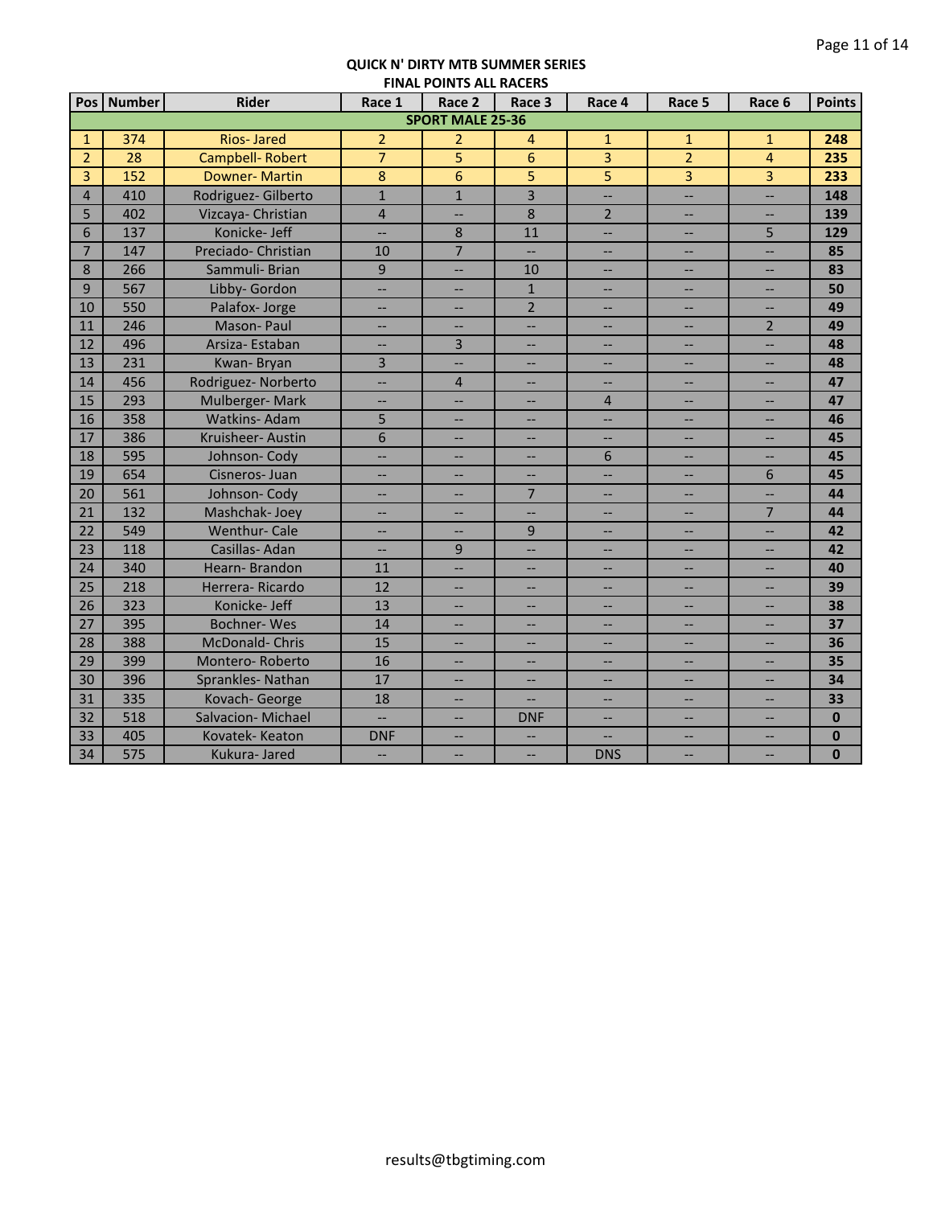|                | Pos   Number | <b>Rider</b>           | Race 1                   | Race 2                   | Race 3                   | Race 4                   | Race 5                   | Race 6                   | <b>Points</b> |
|----------------|--------------|------------------------|--------------------------|--------------------------|--------------------------|--------------------------|--------------------------|--------------------------|---------------|
|                |              |                        |                          | <b>SPORT MALE 25-36</b>  |                          |                          |                          |                          |               |
| $\mathbf{1}$   | 374          | <b>Rios-Jared</b>      | $\overline{2}$           | $\overline{2}$           | 4                        | $\mathbf{1}$             | $\mathbf{1}$             | $\mathbf{1}$             | 248           |
| $\overline{2}$ | 28           | <b>Campbell-Robert</b> | $\overline{7}$           | $\overline{5}$           | 6                        | $\overline{3}$           | $\overline{2}$           | $\overline{4}$           | 235           |
| 3              | 152          | <b>Downer-Martin</b>   | 8                        | 6                        | 5                        | 5                        | 3                        | 3                        | 233           |
| $\overline{4}$ | 410          | Rodriguez- Gilberto    | $\overline{1}$           | $\overline{1}$           | $\overline{3}$           | <u></u>                  | $\overline{\phantom{a}}$ | $\overline{a}$           | 148           |
| 5              | 402          | Vizcaya- Christian     | $\overline{4}$           | -−                       | $\overline{8}$           | $\overline{2}$           | $\overline{\phantom{a}}$ | <u></u>                  | 139           |
| 6              | 137          | Konicke- Jeff          |                          | 8                        | 11                       | Ш,                       | $\overline{\phantom{a}}$ | 5                        | 129           |
| $\overline{7}$ | 147          | Preciado- Christian    | 10                       | $\overline{7}$           |                          | $\overline{\phantom{0}}$ | $\overline{\phantom{a}}$ | <u></u>                  | 85            |
| 8              | 266          | Sammuli- Brian         | $\overline{9}$           | --                       | 10                       | --                       | --                       | $\overline{\phantom{a}}$ | 83            |
| 9              | 567          | Libby- Gordon          | --                       | --                       | $\mathbf{1}$             | --                       | --                       | $\overline{\phantom{a}}$ | 50            |
| 10             | 550          | Palafox-Jorge          | --                       | --                       | $\overline{2}$           | --                       | --                       | --                       | 49            |
| 11             | 246          | Mason-Paul             | --                       | $\qquad \qquad -$        | <b></b>                  | $\overline{\phantom{a}}$ | $\overline{\phantom{a}}$ | $\overline{2}$           | 49            |
| 12             | 496          | Arsiza-Estaban         | $\overline{\phantom{a}}$ | 3                        | $\overline{\phantom{a}}$ | $\overline{\phantom{a}}$ | $\qquad \qquad -$        | <u></u>                  | 48            |
| 13             | 231          | Kwan-Bryan             | $\overline{3}$           | <u></u>                  | <u></u>                  | Щ.                       | $\overline{\phantom{a}}$ | Щ,                       | 48            |
| 14             | 456          | Rodriguez- Norberto    | Ш,                       | $\overline{4}$           | $\overline{\phantom{0}}$ | Ш,                       | $\overline{\phantom{a}}$ | $\overline{\phantom{a}}$ | 47            |
| 15             | 293          | Mulberger-Mark         | <u></u>                  | --                       |                          | $\overline{4}$           | --                       | --                       | 47            |
| 16             | 358          | Watkins-Adam           | 5                        | --                       |                          | Ш,                       | --                       | --                       | 46            |
| 17             | 386          | Kruisheer-Austin       | 6                        |                          |                          | -−                       | $\overline{\phantom{a}}$ | --                       | 45            |
| 18             | 595          | Johnson-Cody           | --                       |                          |                          | 6                        | --                       | <u></u>                  | 45            |
| 19             | 654          | Cisneros-Juan          | --                       | --                       | $\overline{\phantom{a}}$ | Ш,                       | $\overline{\phantom{a}}$ | 6                        | 45            |
| 20             | 561          | Johnson-Cody           |                          |                          | $\overline{7}$           |                          | --                       | --                       | 44            |
| 21             | 132          | Mashchak-Joey          | --                       | --                       | <u></u>                  | --                       | $\overline{\phantom{a}}$ | $\overline{7}$           | 44            |
| 22             | 549          | <b>Wenthur-Cale</b>    | --                       |                          | 9                        |                          | $-$                      | Ш,                       | 42            |
| 23             | 118          | Casillas-Adan          | --                       | $\overline{9}$           | <u>. .</u>               | $\overline{\phantom{0}}$ | $\overline{\phantom{a}}$ | $\overline{\phantom{0}}$ | 42            |
| 24             | 340          | Hearn-Brandon          | 11                       | <u></u>                  | $\overline{\phantom{0}}$ | --                       | --                       | --                       | 40            |
| 25             | 218          | Herrera-Ricardo        | 12                       |                          |                          |                          | --                       | --                       | 39            |
| 26             | 323          | Konicke-Jeff           | 13                       |                          | $\overline{a}$           | --                       | --                       | --                       | 38            |
| 27             | 395          | <b>Bochner-Wes</b>     | 14                       | --                       | --                       | --                       | $-$                      | $-$                      | 37            |
| 28             | 388          | McDonald-Chris         | 15                       | --                       | --                       | --                       | $-$                      | $-$                      | 36            |
| 29             | 399          | Montero-Roberto        | 16                       | --                       | $\overline{\phantom{a}}$ | Ш,                       | Ш,                       | --                       | 35            |
| 30             | 396          | Sprankles-Nathan       | 17                       | $\overline{\phantom{a}}$ | $\qquad \qquad -$        | $\overline{\phantom{a}}$ | $\qquad \qquad -$        | --                       | 34            |
| 31             | 335          | Kovach-George          | 18                       | $\hspace{0.05cm} -$      | $\qquad \qquad -$        | $\overline{\phantom{a}}$ | $\qquad \qquad -$        | $\overline{\phantom{a}}$ | 33            |
| 32             | 518          | Salvacion-Michael      | $\overline{\phantom{a}}$ | --                       | <b>DNF</b>               | $\overline{\phantom{a}}$ | $\qquad \qquad -$        | $\qquad \qquad -$        | $\mathbf{0}$  |
| 33             | 405          | Kovatek-Keaton         | <b>DNF</b>               | --                       | $\overline{\phantom{a}}$ | $\overline{\phantom{a}}$ | $\overline{\phantom{a}}$ | --                       | $\bf{0}$      |
| 34             | 575          | Kukura- Jared          | $\overline{\phantom{a}}$ | Ш,                       | $\overline{\phantom{a}}$ | <b>DNS</b>               | Ш,                       | Щ,                       | $\mathbf{0}$  |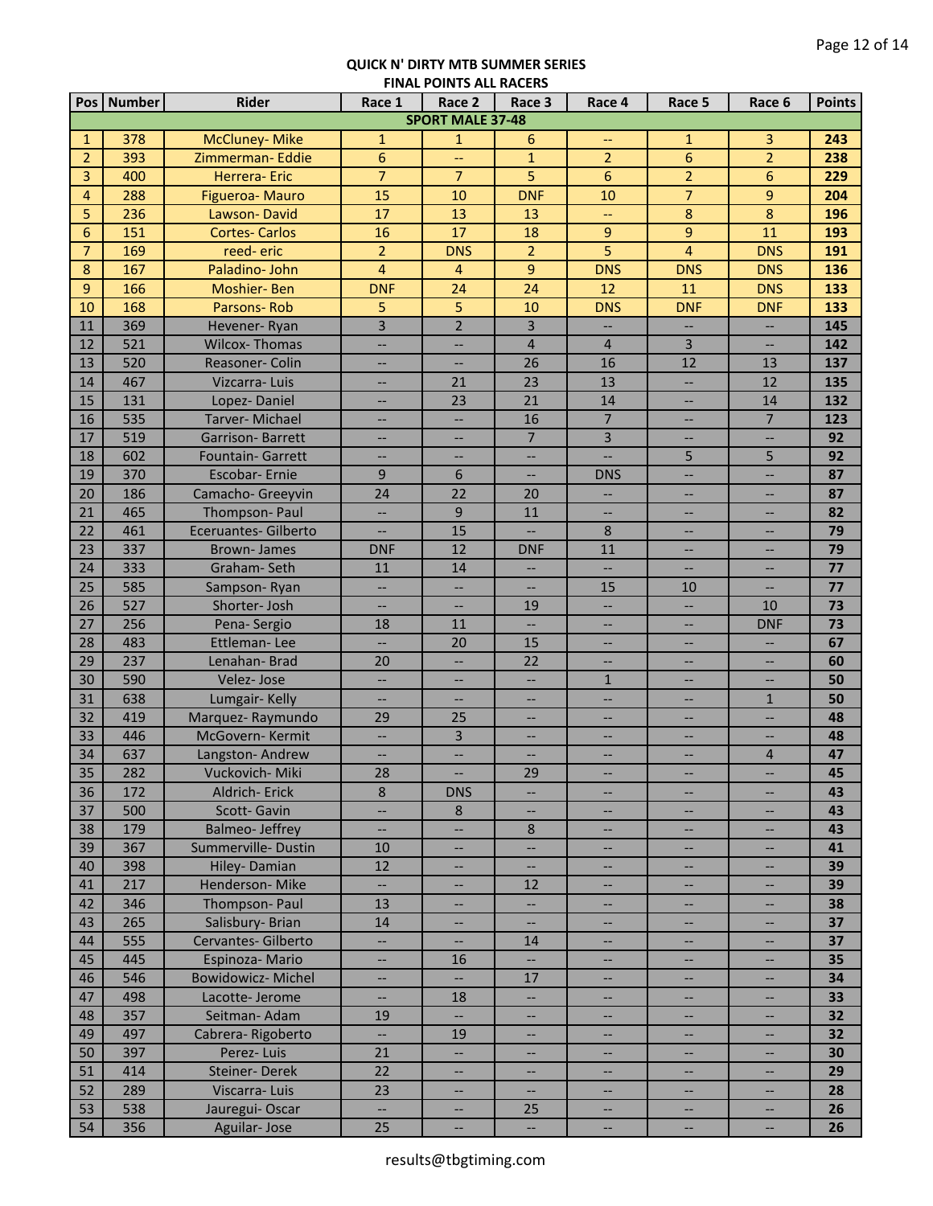| <b>SPORT MALE 37-48</b><br>378<br><b>McCluney-Mike</b><br>$\mathbf{1}$<br>6<br>3<br>243<br>$\mathbf{1}$<br>$\mathbf{1}$<br>1<br>$\overline{2}$<br>$\overline{6}$<br>6<br>393<br>$\mathbf{1}$<br>$\overline{2}$<br>$\overline{2}$<br>Zimmerman-Eddie<br>238<br>$\overline{\phantom{a}}$<br>$\overline{7}$<br>5<br>3<br>400<br>Herrera- Eric<br>$\overline{7}$<br>6<br>$\overline{2}$<br>6<br>229<br>$\overline{7}$<br>15<br><b>DNF</b><br>$\boldsymbol{9}$<br>$\overline{4}$<br>288<br>10<br>10<br>204<br>Figueroa- Mauro<br>8<br>$\bf 8$<br>5<br>236<br>17<br>13<br>196<br>Lawson-David<br>13<br>$-$<br>6<br>151<br>17<br>18<br>9<br>$9$<br><b>Cortes-Carlos</b><br>16<br>11<br>193<br>5<br>$\overline{7}$<br>$\overline{2}$<br>4<br>169<br>reed-eric<br>$\overline{2}$<br><b>DNS</b><br>191<br><b>DNS</b><br>$\overline{4}$<br>$\overline{9}$<br>8<br>167<br>Paladino- John<br>$\overline{4}$<br><b>DNS</b><br><b>DNS</b><br>136<br><b>DNS</b><br>9<br>166<br>24<br>Moshier-Ben<br><b>DNF</b><br>24<br>12<br>11<br><b>DNS</b><br>133<br>5<br>168<br>5<br>10<br>Parsons-Rob<br>10<br><b>DNS</b><br><b>DNF</b><br><b>DNF</b><br>133<br>$\overline{3}$<br>$\overline{2}$<br>$\overline{3}$<br>369<br>11<br>145<br>Hevener-Ryan<br>--<br>--<br>--<br>12<br>521<br><b>Wilcox-Thomas</b><br>$\overline{4}$<br>3<br>$\overline{4}$<br>142<br>$\qquad \qquad -$<br>$\overline{\phantom{a}}$<br>$\overline{\phantom{a}}$<br>13<br>520<br>Reasoner- Colin<br>26<br>16<br>12<br>137<br>13<br>$\overline{\phantom{a}}$<br>$\overline{\phantom{a}}$<br>23<br>13<br>14<br>467<br>Vizcarra-Luis<br>21<br>12<br>135<br>ш,<br>$\overline{\phantom{a}}$<br>15<br>21<br>131<br>23<br>14<br>132<br>Lopez-Daniel<br>14<br>$\qquad \qquad -$<br>--<br>$\overline{7}$<br>$\overline{7}$<br>16<br>535<br>16<br>Tarver-Michael<br>123<br><u></u><br><u></u><br>--<br>$\overline{7}$<br>$\overline{3}$<br>17<br>519<br>92<br><b>Garrison-Barrett</b><br><u></u><br>--<br>--<br>18<br>602<br>5<br>5<br>92<br><b>Fountain- Garrett</b><br>$\overline{\phantom{a}}$<br>$\overline{\phantom{0}}$<br>$\overline{\phantom{0}}$<br>19<br>370<br>9<br>6<br>Escobar- Ernie<br>$\overline{a}$<br><b>DNS</b><br><u></u><br><u>. .</u><br>87<br>22<br>20<br>186<br>20<br>87<br>24<br>Camacho- Greeyvin<br>--<br>--<br>9<br>21<br>465<br>Thompson-Paul<br>--<br>11<br>82<br><u></u><br>--<br>Ш,<br>22<br>15<br>461<br>8<br>79<br><b>Eceruantes- Gilberto</b><br>--<br>--<br>$-$<br>23<br>337<br>12<br><b>Brown-James</b><br><b>DNF</b><br><b>DNF</b><br>11<br>79<br>--<br>--<br>333<br>14<br>77<br>24<br>Graham-Seth<br>11<br>--<br>$\overline{\phantom{a}}$<br>25<br>585<br>15<br>77<br>10<br>Sampson-Ryan<br>$\overline{\phantom{a}}$<br>26<br>527<br>Shorter-Josh<br>19<br>10<br>73<br>$-$<br>$\overline{\phantom{a}}$<br>--<br>256<br>11<br>73<br>27<br>Pena-Sergio<br>18<br><b>DNF</b><br>$\overline{\phantom{0}}$<br>$-$<br>--<br>483<br>Ettleman-Lee<br>15<br>67<br>28<br>$\overline{\phantom{a}}$<br>20<br>$\overline{a}$<br>--<br>--<br>29<br>237<br>22<br>Lenahan-Brad<br>20<br>60<br>--<br>--<br>30<br>590<br>Velez-Jose<br>$\mathbf{1}$<br>50<br><u></u><br>$\overline{\phantom{a}}$<br>--<br>31<br>638<br>Lumgair-Kelly<br>50<br>$\mathbf{1}$<br>$\overline{\phantom{0}}$<br>$\overline{\phantom{a}}$<br>$\overline{a}$<br>32<br>Marquez-Raymundo<br>29<br>25<br>419<br>48<br>--<br>$-$<br>--<br>--<br>$\overline{3}$<br>33<br>446<br>McGovern-Kermit<br>48<br>$\overline{\phantom{a}}$<br>--<br>$\overline{\phantom{a}}$<br>--<br>--<br>637<br>47<br>34<br>$\overline{4}$<br>Langston-Andrew<br>$\overline{\phantom{a}}$<br>$\overline{\phantom{a}}$<br>$\overline{\phantom{a}}$<br>--<br>$\overline{\phantom{a}}$<br>35<br>282<br>Vuckovich-Miki<br>28<br>29<br>45<br>--<br>--<br>$\hspace{0.05cm} \hspace{0.02cm} \cdots$<br>$\overline{\phantom{m}}$<br>$\,8\,$<br>36<br>172<br>Aldrich-Erick<br><b>DNS</b><br>43<br>--<br>--<br>$\overline{\phantom{a}}$<br>$\overline{\phantom{a}}$<br>500<br>37<br>Scott-Gavin<br>$\bf 8$<br>43<br>Щ,<br>$\overline{\phantom{m}}$<br>$\overline{\phantom{a}}$<br>$-$<br>$\overline{\phantom{a}}$<br>179<br><b>Balmeo-Jeffrey</b><br>38<br>8<br>43<br>$\overline{\phantom{a}}$<br>$\overline{\phantom{a}}$<br>$\overline{\phantom{a}}$<br>$-$<br>$\hspace{0.05cm} \ldots$<br>39<br>367<br>Summerville-Dustin<br>10<br>41<br>--<br>$\overline{\phantom{a}}$<br>$\overline{\phantom{a}}$<br>--<br>$\overline{\phantom{a}}$<br>Hiley-Damian<br>40<br>398<br>12<br>39<br>$\overline{\phantom{a}}$<br>$\overline{\phantom{a}}$<br>$\overline{\phantom{a}}$<br>--<br>$\qquad \qquad -$<br>Henderson-Mike<br>217<br>$\overline{\phantom{a}}$<br>41<br>12<br>39<br>--<br>--<br>$\overline{\phantom{a}}$<br>--<br>Thompson-Paul<br>42<br>346<br>13<br>Ш,<br>38<br>--<br>$- -$<br>Salisbury- Brian<br>43<br>265<br>37<br>14<br>$\overline{\phantom{a}}$<br>--<br>--<br>$\overline{\phantom{a}}$<br>555<br>44<br>Cervantes- Gilberto<br><u>. .</u><br>37<br>14<br>--<br>--<br>$- -$<br>45<br>445<br>16<br>35<br>Espinoza-Mario<br>Ш,<br>--<br>--<br>$\overline{\phantom{a}}$<br>46<br>546<br><b>Bowidowicz-Michel</b><br>17<br>34<br>Ш,<br>--<br>--<br><b></b><br>--<br>47<br>498<br>Lacotte-Jerome<br>18<br>33<br>--<br>--<br>$- -$<br>357<br>48<br>Seitman-Adam<br>19<br>32<br>--<br>--<br>49<br>497<br>Cabrera-Rigoberto<br>19<br>32<br>Ц.<br>--<br>$\qquad \qquad -$<br>397<br>21<br>50<br>Perez-Luis<br>30<br>$\overline{\phantom{a}}$<br>$\qquad \qquad -$<br>22<br>Steiner-Derek<br>414<br>51<br>29<br>--<br>--<br>$\hspace{0.05cm}$ – $\hspace{0.05cm}$<br>--<br>--<br>289<br>Viscarra-Luis<br>23<br>52<br>28<br>$\overline{\phantom{0}}$<br>--<br>$- -$<br>--<br>--<br>538<br>Jauregui-Oscar<br>53<br>25<br>$\overline{a}$<br>26<br>--<br>$\overline{\phantom{a}}$<br>-- |    | Pos Number | <b>Rider</b> | Race 1 | <b>FINAL FUINTS ALL INACLINS</b><br>Race 2 | Race 3                                              | Race 4 | Race 5 | Race 6 | <b>Points</b> |
|-------------------------------------------------------------------------------------------------------------------------------------------------------------------------------------------------------------------------------------------------------------------------------------------------------------------------------------------------------------------------------------------------------------------------------------------------------------------------------------------------------------------------------------------------------------------------------------------------------------------------------------------------------------------------------------------------------------------------------------------------------------------------------------------------------------------------------------------------------------------------------------------------------------------------------------------------------------------------------------------------------------------------------------------------------------------------------------------------------------------------------------------------------------------------------------------------------------------------------------------------------------------------------------------------------------------------------------------------------------------------------------------------------------------------------------------------------------------------------------------------------------------------------------------------------------------------------------------------------------------------------------------------------------------------------------------------------------------------------------------------------------------------------------------------------------------------------------------------------------------------------------------------------------------------------------------------------------------------------------------------------------------------------------------------------------------------------------------------------------------------------------------------------------------------------------------------------------------------------------------------------------------------------------------------------------------------------------------------------------------------------------------------------------------------------------------------------------------------------------------------------------------------------------------------------------------------------------------------------------------------------------------------------------------------------------------------------------------------------------------------------------------------------------------------------------------------------------------------------------------------------------------------------------------------------------------------------------------------------------------------------------------------------------------------------------------------------------------------------------------------------------------------------------------------------------------------------------------------------------------------------------------------------------------------------------------------------------------------------------------------------------------------------------------------------------------------------------------------------------------------------------------------------------------------------------------------------------------------------------------------------------------------------------------------------------------------------------------------------------------------------------------------------------------------------------------------------------------------------------------------------------------------------------------------------------------------------------------------------------------------------------------------------------------------------------------------------------------------------------------------------------------------------------------------------------------------------------------------------------------------------------------------------------------------------------------------------------------------------------------------------------------------------------------------------------------------------------------------------------------------------------------------------------------------------------------------------------------------------------------------------------------------------------------------------------------------------------------------------------------------------------------------------------------------------------------------------------------------------------------------------------------------------------------------------------------------------------------------------------------------------------------------------------------------------------------------------------------------------------------------------------------------------------------------------------------------------------------------------------------------------------------------------------------------------------------------------------------------------------------------------------------------------------------------------------------------------------------------------------------------------------------------------------------------------------------------------------------------------------------------------------------------------------------------------------------------------------------------------------------------------------------------------------|----|------------|--------------|--------|--------------------------------------------|-----------------------------------------------------|--------|--------|--------|---------------|
|                                                                                                                                                                                                                                                                                                                                                                                                                                                                                                                                                                                                                                                                                                                                                                                                                                                                                                                                                                                                                                                                                                                                                                                                                                                                                                                                                                                                                                                                                                                                                                                                                                                                                                                                                                                                                                                                                                                                                                                                                                                                                                                                                                                                                                                                                                                                                                                                                                                                                                                                                                                                                                                                                                                                                                                                                                                                                                                                                                                                                                                                                                                                                                                                                                                                                                                                                                                                                                                                                                                                                                                                                                                                                                                                                                                                                                                                                                                                                                                                                                                                                                                                                                                                                                                                                                                                                                                                                                                                                                                                                                                                                                                                                                                                                                                                                                                                                                                                                                                                                                                                                                                                                                                                                                                                                                                                                                                                                                                                                                                                                                                                                                                                                                                                                                                     |    |            |              |        |                                            |                                                     |        |        |        |               |
|                                                                                                                                                                                                                                                                                                                                                                                                                                                                                                                                                                                                                                                                                                                                                                                                                                                                                                                                                                                                                                                                                                                                                                                                                                                                                                                                                                                                                                                                                                                                                                                                                                                                                                                                                                                                                                                                                                                                                                                                                                                                                                                                                                                                                                                                                                                                                                                                                                                                                                                                                                                                                                                                                                                                                                                                                                                                                                                                                                                                                                                                                                                                                                                                                                                                                                                                                                                                                                                                                                                                                                                                                                                                                                                                                                                                                                                                                                                                                                                                                                                                                                                                                                                                                                                                                                                                                                                                                                                                                                                                                                                                                                                                                                                                                                                                                                                                                                                                                                                                                                                                                                                                                                                                                                                                                                                                                                                                                                                                                                                                                                                                                                                                                                                                                                                     |    |            |              |        |                                            |                                                     |        |        |        |               |
|                                                                                                                                                                                                                                                                                                                                                                                                                                                                                                                                                                                                                                                                                                                                                                                                                                                                                                                                                                                                                                                                                                                                                                                                                                                                                                                                                                                                                                                                                                                                                                                                                                                                                                                                                                                                                                                                                                                                                                                                                                                                                                                                                                                                                                                                                                                                                                                                                                                                                                                                                                                                                                                                                                                                                                                                                                                                                                                                                                                                                                                                                                                                                                                                                                                                                                                                                                                                                                                                                                                                                                                                                                                                                                                                                                                                                                                                                                                                                                                                                                                                                                                                                                                                                                                                                                                                                                                                                                                                                                                                                                                                                                                                                                                                                                                                                                                                                                                                                                                                                                                                                                                                                                                                                                                                                                                                                                                                                                                                                                                                                                                                                                                                                                                                                                                     |    |            |              |        |                                            |                                                     |        |        |        |               |
|                                                                                                                                                                                                                                                                                                                                                                                                                                                                                                                                                                                                                                                                                                                                                                                                                                                                                                                                                                                                                                                                                                                                                                                                                                                                                                                                                                                                                                                                                                                                                                                                                                                                                                                                                                                                                                                                                                                                                                                                                                                                                                                                                                                                                                                                                                                                                                                                                                                                                                                                                                                                                                                                                                                                                                                                                                                                                                                                                                                                                                                                                                                                                                                                                                                                                                                                                                                                                                                                                                                                                                                                                                                                                                                                                                                                                                                                                                                                                                                                                                                                                                                                                                                                                                                                                                                                                                                                                                                                                                                                                                                                                                                                                                                                                                                                                                                                                                                                                                                                                                                                                                                                                                                                                                                                                                                                                                                                                                                                                                                                                                                                                                                                                                                                                                                     |    |            |              |        |                                            |                                                     |        |        |        |               |
|                                                                                                                                                                                                                                                                                                                                                                                                                                                                                                                                                                                                                                                                                                                                                                                                                                                                                                                                                                                                                                                                                                                                                                                                                                                                                                                                                                                                                                                                                                                                                                                                                                                                                                                                                                                                                                                                                                                                                                                                                                                                                                                                                                                                                                                                                                                                                                                                                                                                                                                                                                                                                                                                                                                                                                                                                                                                                                                                                                                                                                                                                                                                                                                                                                                                                                                                                                                                                                                                                                                                                                                                                                                                                                                                                                                                                                                                                                                                                                                                                                                                                                                                                                                                                                                                                                                                                                                                                                                                                                                                                                                                                                                                                                                                                                                                                                                                                                                                                                                                                                                                                                                                                                                                                                                                                                                                                                                                                                                                                                                                                                                                                                                                                                                                                                                     |    |            |              |        |                                            |                                                     |        |        |        |               |
|                                                                                                                                                                                                                                                                                                                                                                                                                                                                                                                                                                                                                                                                                                                                                                                                                                                                                                                                                                                                                                                                                                                                                                                                                                                                                                                                                                                                                                                                                                                                                                                                                                                                                                                                                                                                                                                                                                                                                                                                                                                                                                                                                                                                                                                                                                                                                                                                                                                                                                                                                                                                                                                                                                                                                                                                                                                                                                                                                                                                                                                                                                                                                                                                                                                                                                                                                                                                                                                                                                                                                                                                                                                                                                                                                                                                                                                                                                                                                                                                                                                                                                                                                                                                                                                                                                                                                                                                                                                                                                                                                                                                                                                                                                                                                                                                                                                                                                                                                                                                                                                                                                                                                                                                                                                                                                                                                                                                                                                                                                                                                                                                                                                                                                                                                                                     |    |            |              |        |                                            |                                                     |        |        |        |               |
|                                                                                                                                                                                                                                                                                                                                                                                                                                                                                                                                                                                                                                                                                                                                                                                                                                                                                                                                                                                                                                                                                                                                                                                                                                                                                                                                                                                                                                                                                                                                                                                                                                                                                                                                                                                                                                                                                                                                                                                                                                                                                                                                                                                                                                                                                                                                                                                                                                                                                                                                                                                                                                                                                                                                                                                                                                                                                                                                                                                                                                                                                                                                                                                                                                                                                                                                                                                                                                                                                                                                                                                                                                                                                                                                                                                                                                                                                                                                                                                                                                                                                                                                                                                                                                                                                                                                                                                                                                                                                                                                                                                                                                                                                                                                                                                                                                                                                                                                                                                                                                                                                                                                                                                                                                                                                                                                                                                                                                                                                                                                                                                                                                                                                                                                                                                     |    |            |              |        |                                            |                                                     |        |        |        |               |
|                                                                                                                                                                                                                                                                                                                                                                                                                                                                                                                                                                                                                                                                                                                                                                                                                                                                                                                                                                                                                                                                                                                                                                                                                                                                                                                                                                                                                                                                                                                                                                                                                                                                                                                                                                                                                                                                                                                                                                                                                                                                                                                                                                                                                                                                                                                                                                                                                                                                                                                                                                                                                                                                                                                                                                                                                                                                                                                                                                                                                                                                                                                                                                                                                                                                                                                                                                                                                                                                                                                                                                                                                                                                                                                                                                                                                                                                                                                                                                                                                                                                                                                                                                                                                                                                                                                                                                                                                                                                                                                                                                                                                                                                                                                                                                                                                                                                                                                                                                                                                                                                                                                                                                                                                                                                                                                                                                                                                                                                                                                                                                                                                                                                                                                                                                                     |    |            |              |        |                                            |                                                     |        |        |        |               |
|                                                                                                                                                                                                                                                                                                                                                                                                                                                                                                                                                                                                                                                                                                                                                                                                                                                                                                                                                                                                                                                                                                                                                                                                                                                                                                                                                                                                                                                                                                                                                                                                                                                                                                                                                                                                                                                                                                                                                                                                                                                                                                                                                                                                                                                                                                                                                                                                                                                                                                                                                                                                                                                                                                                                                                                                                                                                                                                                                                                                                                                                                                                                                                                                                                                                                                                                                                                                                                                                                                                                                                                                                                                                                                                                                                                                                                                                                                                                                                                                                                                                                                                                                                                                                                                                                                                                                                                                                                                                                                                                                                                                                                                                                                                                                                                                                                                                                                                                                                                                                                                                                                                                                                                                                                                                                                                                                                                                                                                                                                                                                                                                                                                                                                                                                                                     |    |            |              |        |                                            |                                                     |        |        |        |               |
|                                                                                                                                                                                                                                                                                                                                                                                                                                                                                                                                                                                                                                                                                                                                                                                                                                                                                                                                                                                                                                                                                                                                                                                                                                                                                                                                                                                                                                                                                                                                                                                                                                                                                                                                                                                                                                                                                                                                                                                                                                                                                                                                                                                                                                                                                                                                                                                                                                                                                                                                                                                                                                                                                                                                                                                                                                                                                                                                                                                                                                                                                                                                                                                                                                                                                                                                                                                                                                                                                                                                                                                                                                                                                                                                                                                                                                                                                                                                                                                                                                                                                                                                                                                                                                                                                                                                                                                                                                                                                                                                                                                                                                                                                                                                                                                                                                                                                                                                                                                                                                                                                                                                                                                                                                                                                                                                                                                                                                                                                                                                                                                                                                                                                                                                                                                     |    |            |              |        |                                            |                                                     |        |        |        |               |
|                                                                                                                                                                                                                                                                                                                                                                                                                                                                                                                                                                                                                                                                                                                                                                                                                                                                                                                                                                                                                                                                                                                                                                                                                                                                                                                                                                                                                                                                                                                                                                                                                                                                                                                                                                                                                                                                                                                                                                                                                                                                                                                                                                                                                                                                                                                                                                                                                                                                                                                                                                                                                                                                                                                                                                                                                                                                                                                                                                                                                                                                                                                                                                                                                                                                                                                                                                                                                                                                                                                                                                                                                                                                                                                                                                                                                                                                                                                                                                                                                                                                                                                                                                                                                                                                                                                                                                                                                                                                                                                                                                                                                                                                                                                                                                                                                                                                                                                                                                                                                                                                                                                                                                                                                                                                                                                                                                                                                                                                                                                                                                                                                                                                                                                                                                                     |    |            |              |        |                                            |                                                     |        |        |        |               |
|                                                                                                                                                                                                                                                                                                                                                                                                                                                                                                                                                                                                                                                                                                                                                                                                                                                                                                                                                                                                                                                                                                                                                                                                                                                                                                                                                                                                                                                                                                                                                                                                                                                                                                                                                                                                                                                                                                                                                                                                                                                                                                                                                                                                                                                                                                                                                                                                                                                                                                                                                                                                                                                                                                                                                                                                                                                                                                                                                                                                                                                                                                                                                                                                                                                                                                                                                                                                                                                                                                                                                                                                                                                                                                                                                                                                                                                                                                                                                                                                                                                                                                                                                                                                                                                                                                                                                                                                                                                                                                                                                                                                                                                                                                                                                                                                                                                                                                                                                                                                                                                                                                                                                                                                                                                                                                                                                                                                                                                                                                                                                                                                                                                                                                                                                                                     |    |            |              |        |                                            |                                                     |        |        |        |               |
|                                                                                                                                                                                                                                                                                                                                                                                                                                                                                                                                                                                                                                                                                                                                                                                                                                                                                                                                                                                                                                                                                                                                                                                                                                                                                                                                                                                                                                                                                                                                                                                                                                                                                                                                                                                                                                                                                                                                                                                                                                                                                                                                                                                                                                                                                                                                                                                                                                                                                                                                                                                                                                                                                                                                                                                                                                                                                                                                                                                                                                                                                                                                                                                                                                                                                                                                                                                                                                                                                                                                                                                                                                                                                                                                                                                                                                                                                                                                                                                                                                                                                                                                                                                                                                                                                                                                                                                                                                                                                                                                                                                                                                                                                                                                                                                                                                                                                                                                                                                                                                                                                                                                                                                                                                                                                                                                                                                                                                                                                                                                                                                                                                                                                                                                                                                     |    |            |              |        |                                            |                                                     |        |        |        |               |
|                                                                                                                                                                                                                                                                                                                                                                                                                                                                                                                                                                                                                                                                                                                                                                                                                                                                                                                                                                                                                                                                                                                                                                                                                                                                                                                                                                                                                                                                                                                                                                                                                                                                                                                                                                                                                                                                                                                                                                                                                                                                                                                                                                                                                                                                                                                                                                                                                                                                                                                                                                                                                                                                                                                                                                                                                                                                                                                                                                                                                                                                                                                                                                                                                                                                                                                                                                                                                                                                                                                                                                                                                                                                                                                                                                                                                                                                                                                                                                                                                                                                                                                                                                                                                                                                                                                                                                                                                                                                                                                                                                                                                                                                                                                                                                                                                                                                                                                                                                                                                                                                                                                                                                                                                                                                                                                                                                                                                                                                                                                                                                                                                                                                                                                                                                                     |    |            |              |        |                                            |                                                     |        |        |        |               |
|                                                                                                                                                                                                                                                                                                                                                                                                                                                                                                                                                                                                                                                                                                                                                                                                                                                                                                                                                                                                                                                                                                                                                                                                                                                                                                                                                                                                                                                                                                                                                                                                                                                                                                                                                                                                                                                                                                                                                                                                                                                                                                                                                                                                                                                                                                                                                                                                                                                                                                                                                                                                                                                                                                                                                                                                                                                                                                                                                                                                                                                                                                                                                                                                                                                                                                                                                                                                                                                                                                                                                                                                                                                                                                                                                                                                                                                                                                                                                                                                                                                                                                                                                                                                                                                                                                                                                                                                                                                                                                                                                                                                                                                                                                                                                                                                                                                                                                                                                                                                                                                                                                                                                                                                                                                                                                                                                                                                                                                                                                                                                                                                                                                                                                                                                                                     |    |            |              |        |                                            |                                                     |        |        |        |               |
|                                                                                                                                                                                                                                                                                                                                                                                                                                                                                                                                                                                                                                                                                                                                                                                                                                                                                                                                                                                                                                                                                                                                                                                                                                                                                                                                                                                                                                                                                                                                                                                                                                                                                                                                                                                                                                                                                                                                                                                                                                                                                                                                                                                                                                                                                                                                                                                                                                                                                                                                                                                                                                                                                                                                                                                                                                                                                                                                                                                                                                                                                                                                                                                                                                                                                                                                                                                                                                                                                                                                                                                                                                                                                                                                                                                                                                                                                                                                                                                                                                                                                                                                                                                                                                                                                                                                                                                                                                                                                                                                                                                                                                                                                                                                                                                                                                                                                                                                                                                                                                                                                                                                                                                                                                                                                                                                                                                                                                                                                                                                                                                                                                                                                                                                                                                     |    |            |              |        |                                            |                                                     |        |        |        |               |
|                                                                                                                                                                                                                                                                                                                                                                                                                                                                                                                                                                                                                                                                                                                                                                                                                                                                                                                                                                                                                                                                                                                                                                                                                                                                                                                                                                                                                                                                                                                                                                                                                                                                                                                                                                                                                                                                                                                                                                                                                                                                                                                                                                                                                                                                                                                                                                                                                                                                                                                                                                                                                                                                                                                                                                                                                                                                                                                                                                                                                                                                                                                                                                                                                                                                                                                                                                                                                                                                                                                                                                                                                                                                                                                                                                                                                                                                                                                                                                                                                                                                                                                                                                                                                                                                                                                                                                                                                                                                                                                                                                                                                                                                                                                                                                                                                                                                                                                                                                                                                                                                                                                                                                                                                                                                                                                                                                                                                                                                                                                                                                                                                                                                                                                                                                                     |    |            |              |        |                                            |                                                     |        |        |        |               |
|                                                                                                                                                                                                                                                                                                                                                                                                                                                                                                                                                                                                                                                                                                                                                                                                                                                                                                                                                                                                                                                                                                                                                                                                                                                                                                                                                                                                                                                                                                                                                                                                                                                                                                                                                                                                                                                                                                                                                                                                                                                                                                                                                                                                                                                                                                                                                                                                                                                                                                                                                                                                                                                                                                                                                                                                                                                                                                                                                                                                                                                                                                                                                                                                                                                                                                                                                                                                                                                                                                                                                                                                                                                                                                                                                                                                                                                                                                                                                                                                                                                                                                                                                                                                                                                                                                                                                                                                                                                                                                                                                                                                                                                                                                                                                                                                                                                                                                                                                                                                                                                                                                                                                                                                                                                                                                                                                                                                                                                                                                                                                                                                                                                                                                                                                                                     |    |            |              |        |                                            |                                                     |        |        |        |               |
|                                                                                                                                                                                                                                                                                                                                                                                                                                                                                                                                                                                                                                                                                                                                                                                                                                                                                                                                                                                                                                                                                                                                                                                                                                                                                                                                                                                                                                                                                                                                                                                                                                                                                                                                                                                                                                                                                                                                                                                                                                                                                                                                                                                                                                                                                                                                                                                                                                                                                                                                                                                                                                                                                                                                                                                                                                                                                                                                                                                                                                                                                                                                                                                                                                                                                                                                                                                                                                                                                                                                                                                                                                                                                                                                                                                                                                                                                                                                                                                                                                                                                                                                                                                                                                                                                                                                                                                                                                                                                                                                                                                                                                                                                                                                                                                                                                                                                                                                                                                                                                                                                                                                                                                                                                                                                                                                                                                                                                                                                                                                                                                                                                                                                                                                                                                     |    |            |              |        |                                            |                                                     |        |        |        |               |
|                                                                                                                                                                                                                                                                                                                                                                                                                                                                                                                                                                                                                                                                                                                                                                                                                                                                                                                                                                                                                                                                                                                                                                                                                                                                                                                                                                                                                                                                                                                                                                                                                                                                                                                                                                                                                                                                                                                                                                                                                                                                                                                                                                                                                                                                                                                                                                                                                                                                                                                                                                                                                                                                                                                                                                                                                                                                                                                                                                                                                                                                                                                                                                                                                                                                                                                                                                                                                                                                                                                                                                                                                                                                                                                                                                                                                                                                                                                                                                                                                                                                                                                                                                                                                                                                                                                                                                                                                                                                                                                                                                                                                                                                                                                                                                                                                                                                                                                                                                                                                                                                                                                                                                                                                                                                                                                                                                                                                                                                                                                                                                                                                                                                                                                                                                                     |    |            |              |        |                                            |                                                     |        |        |        |               |
|                                                                                                                                                                                                                                                                                                                                                                                                                                                                                                                                                                                                                                                                                                                                                                                                                                                                                                                                                                                                                                                                                                                                                                                                                                                                                                                                                                                                                                                                                                                                                                                                                                                                                                                                                                                                                                                                                                                                                                                                                                                                                                                                                                                                                                                                                                                                                                                                                                                                                                                                                                                                                                                                                                                                                                                                                                                                                                                                                                                                                                                                                                                                                                                                                                                                                                                                                                                                                                                                                                                                                                                                                                                                                                                                                                                                                                                                                                                                                                                                                                                                                                                                                                                                                                                                                                                                                                                                                                                                                                                                                                                                                                                                                                                                                                                                                                                                                                                                                                                                                                                                                                                                                                                                                                                                                                                                                                                                                                                                                                                                                                                                                                                                                                                                                                                     |    |            |              |        |                                            |                                                     |        |        |        |               |
|                                                                                                                                                                                                                                                                                                                                                                                                                                                                                                                                                                                                                                                                                                                                                                                                                                                                                                                                                                                                                                                                                                                                                                                                                                                                                                                                                                                                                                                                                                                                                                                                                                                                                                                                                                                                                                                                                                                                                                                                                                                                                                                                                                                                                                                                                                                                                                                                                                                                                                                                                                                                                                                                                                                                                                                                                                                                                                                                                                                                                                                                                                                                                                                                                                                                                                                                                                                                                                                                                                                                                                                                                                                                                                                                                                                                                                                                                                                                                                                                                                                                                                                                                                                                                                                                                                                                                                                                                                                                                                                                                                                                                                                                                                                                                                                                                                                                                                                                                                                                                                                                                                                                                                                                                                                                                                                                                                                                                                                                                                                                                                                                                                                                                                                                                                                     |    |            |              |        |                                            |                                                     |        |        |        |               |
|                                                                                                                                                                                                                                                                                                                                                                                                                                                                                                                                                                                                                                                                                                                                                                                                                                                                                                                                                                                                                                                                                                                                                                                                                                                                                                                                                                                                                                                                                                                                                                                                                                                                                                                                                                                                                                                                                                                                                                                                                                                                                                                                                                                                                                                                                                                                                                                                                                                                                                                                                                                                                                                                                                                                                                                                                                                                                                                                                                                                                                                                                                                                                                                                                                                                                                                                                                                                                                                                                                                                                                                                                                                                                                                                                                                                                                                                                                                                                                                                                                                                                                                                                                                                                                                                                                                                                                                                                                                                                                                                                                                                                                                                                                                                                                                                                                                                                                                                                                                                                                                                                                                                                                                                                                                                                                                                                                                                                                                                                                                                                                                                                                                                                                                                                                                     |    |            |              |        |                                            |                                                     |        |        |        |               |
|                                                                                                                                                                                                                                                                                                                                                                                                                                                                                                                                                                                                                                                                                                                                                                                                                                                                                                                                                                                                                                                                                                                                                                                                                                                                                                                                                                                                                                                                                                                                                                                                                                                                                                                                                                                                                                                                                                                                                                                                                                                                                                                                                                                                                                                                                                                                                                                                                                                                                                                                                                                                                                                                                                                                                                                                                                                                                                                                                                                                                                                                                                                                                                                                                                                                                                                                                                                                                                                                                                                                                                                                                                                                                                                                                                                                                                                                                                                                                                                                                                                                                                                                                                                                                                                                                                                                                                                                                                                                                                                                                                                                                                                                                                                                                                                                                                                                                                                                                                                                                                                                                                                                                                                                                                                                                                                                                                                                                                                                                                                                                                                                                                                                                                                                                                                     |    |            |              |        |                                            |                                                     |        |        |        |               |
|                                                                                                                                                                                                                                                                                                                                                                                                                                                                                                                                                                                                                                                                                                                                                                                                                                                                                                                                                                                                                                                                                                                                                                                                                                                                                                                                                                                                                                                                                                                                                                                                                                                                                                                                                                                                                                                                                                                                                                                                                                                                                                                                                                                                                                                                                                                                                                                                                                                                                                                                                                                                                                                                                                                                                                                                                                                                                                                                                                                                                                                                                                                                                                                                                                                                                                                                                                                                                                                                                                                                                                                                                                                                                                                                                                                                                                                                                                                                                                                                                                                                                                                                                                                                                                                                                                                                                                                                                                                                                                                                                                                                                                                                                                                                                                                                                                                                                                                                                                                                                                                                                                                                                                                                                                                                                                                                                                                                                                                                                                                                                                                                                                                                                                                                                                                     |    |            |              |        |                                            |                                                     |        |        |        |               |
|                                                                                                                                                                                                                                                                                                                                                                                                                                                                                                                                                                                                                                                                                                                                                                                                                                                                                                                                                                                                                                                                                                                                                                                                                                                                                                                                                                                                                                                                                                                                                                                                                                                                                                                                                                                                                                                                                                                                                                                                                                                                                                                                                                                                                                                                                                                                                                                                                                                                                                                                                                                                                                                                                                                                                                                                                                                                                                                                                                                                                                                                                                                                                                                                                                                                                                                                                                                                                                                                                                                                                                                                                                                                                                                                                                                                                                                                                                                                                                                                                                                                                                                                                                                                                                                                                                                                                                                                                                                                                                                                                                                                                                                                                                                                                                                                                                                                                                                                                                                                                                                                                                                                                                                                                                                                                                                                                                                                                                                                                                                                                                                                                                                                                                                                                                                     |    |            |              |        |                                            |                                                     |        |        |        |               |
|                                                                                                                                                                                                                                                                                                                                                                                                                                                                                                                                                                                                                                                                                                                                                                                                                                                                                                                                                                                                                                                                                                                                                                                                                                                                                                                                                                                                                                                                                                                                                                                                                                                                                                                                                                                                                                                                                                                                                                                                                                                                                                                                                                                                                                                                                                                                                                                                                                                                                                                                                                                                                                                                                                                                                                                                                                                                                                                                                                                                                                                                                                                                                                                                                                                                                                                                                                                                                                                                                                                                                                                                                                                                                                                                                                                                                                                                                                                                                                                                                                                                                                                                                                                                                                                                                                                                                                                                                                                                                                                                                                                                                                                                                                                                                                                                                                                                                                                                                                                                                                                                                                                                                                                                                                                                                                                                                                                                                                                                                                                                                                                                                                                                                                                                                                                     |    |            |              |        |                                            |                                                     |        |        |        |               |
|                                                                                                                                                                                                                                                                                                                                                                                                                                                                                                                                                                                                                                                                                                                                                                                                                                                                                                                                                                                                                                                                                                                                                                                                                                                                                                                                                                                                                                                                                                                                                                                                                                                                                                                                                                                                                                                                                                                                                                                                                                                                                                                                                                                                                                                                                                                                                                                                                                                                                                                                                                                                                                                                                                                                                                                                                                                                                                                                                                                                                                                                                                                                                                                                                                                                                                                                                                                                                                                                                                                                                                                                                                                                                                                                                                                                                                                                                                                                                                                                                                                                                                                                                                                                                                                                                                                                                                                                                                                                                                                                                                                                                                                                                                                                                                                                                                                                                                                                                                                                                                                                                                                                                                                                                                                                                                                                                                                                                                                                                                                                                                                                                                                                                                                                                                                     |    |            |              |        |                                            |                                                     |        |        |        |               |
|                                                                                                                                                                                                                                                                                                                                                                                                                                                                                                                                                                                                                                                                                                                                                                                                                                                                                                                                                                                                                                                                                                                                                                                                                                                                                                                                                                                                                                                                                                                                                                                                                                                                                                                                                                                                                                                                                                                                                                                                                                                                                                                                                                                                                                                                                                                                                                                                                                                                                                                                                                                                                                                                                                                                                                                                                                                                                                                                                                                                                                                                                                                                                                                                                                                                                                                                                                                                                                                                                                                                                                                                                                                                                                                                                                                                                                                                                                                                                                                                                                                                                                                                                                                                                                                                                                                                                                                                                                                                                                                                                                                                                                                                                                                                                                                                                                                                                                                                                                                                                                                                                                                                                                                                                                                                                                                                                                                                                                                                                                                                                                                                                                                                                                                                                                                     |    |            |              |        |                                            |                                                     |        |        |        |               |
|                                                                                                                                                                                                                                                                                                                                                                                                                                                                                                                                                                                                                                                                                                                                                                                                                                                                                                                                                                                                                                                                                                                                                                                                                                                                                                                                                                                                                                                                                                                                                                                                                                                                                                                                                                                                                                                                                                                                                                                                                                                                                                                                                                                                                                                                                                                                                                                                                                                                                                                                                                                                                                                                                                                                                                                                                                                                                                                                                                                                                                                                                                                                                                                                                                                                                                                                                                                                                                                                                                                                                                                                                                                                                                                                                                                                                                                                                                                                                                                                                                                                                                                                                                                                                                                                                                                                                                                                                                                                                                                                                                                                                                                                                                                                                                                                                                                                                                                                                                                                                                                                                                                                                                                                                                                                                                                                                                                                                                                                                                                                                                                                                                                                                                                                                                                     |    |            |              |        |                                            |                                                     |        |        |        |               |
|                                                                                                                                                                                                                                                                                                                                                                                                                                                                                                                                                                                                                                                                                                                                                                                                                                                                                                                                                                                                                                                                                                                                                                                                                                                                                                                                                                                                                                                                                                                                                                                                                                                                                                                                                                                                                                                                                                                                                                                                                                                                                                                                                                                                                                                                                                                                                                                                                                                                                                                                                                                                                                                                                                                                                                                                                                                                                                                                                                                                                                                                                                                                                                                                                                                                                                                                                                                                                                                                                                                                                                                                                                                                                                                                                                                                                                                                                                                                                                                                                                                                                                                                                                                                                                                                                                                                                                                                                                                                                                                                                                                                                                                                                                                                                                                                                                                                                                                                                                                                                                                                                                                                                                                                                                                                                                                                                                                                                                                                                                                                                                                                                                                                                                                                                                                     |    |            |              |        |                                            |                                                     |        |        |        |               |
|                                                                                                                                                                                                                                                                                                                                                                                                                                                                                                                                                                                                                                                                                                                                                                                                                                                                                                                                                                                                                                                                                                                                                                                                                                                                                                                                                                                                                                                                                                                                                                                                                                                                                                                                                                                                                                                                                                                                                                                                                                                                                                                                                                                                                                                                                                                                                                                                                                                                                                                                                                                                                                                                                                                                                                                                                                                                                                                                                                                                                                                                                                                                                                                                                                                                                                                                                                                                                                                                                                                                                                                                                                                                                                                                                                                                                                                                                                                                                                                                                                                                                                                                                                                                                                                                                                                                                                                                                                                                                                                                                                                                                                                                                                                                                                                                                                                                                                                                                                                                                                                                                                                                                                                                                                                                                                                                                                                                                                                                                                                                                                                                                                                                                                                                                                                     |    |            |              |        |                                            |                                                     |        |        |        |               |
|                                                                                                                                                                                                                                                                                                                                                                                                                                                                                                                                                                                                                                                                                                                                                                                                                                                                                                                                                                                                                                                                                                                                                                                                                                                                                                                                                                                                                                                                                                                                                                                                                                                                                                                                                                                                                                                                                                                                                                                                                                                                                                                                                                                                                                                                                                                                                                                                                                                                                                                                                                                                                                                                                                                                                                                                                                                                                                                                                                                                                                                                                                                                                                                                                                                                                                                                                                                                                                                                                                                                                                                                                                                                                                                                                                                                                                                                                                                                                                                                                                                                                                                                                                                                                                                                                                                                                                                                                                                                                                                                                                                                                                                                                                                                                                                                                                                                                                                                                                                                                                                                                                                                                                                                                                                                                                                                                                                                                                                                                                                                                                                                                                                                                                                                                                                     |    |            |              |        |                                            |                                                     |        |        |        |               |
|                                                                                                                                                                                                                                                                                                                                                                                                                                                                                                                                                                                                                                                                                                                                                                                                                                                                                                                                                                                                                                                                                                                                                                                                                                                                                                                                                                                                                                                                                                                                                                                                                                                                                                                                                                                                                                                                                                                                                                                                                                                                                                                                                                                                                                                                                                                                                                                                                                                                                                                                                                                                                                                                                                                                                                                                                                                                                                                                                                                                                                                                                                                                                                                                                                                                                                                                                                                                                                                                                                                                                                                                                                                                                                                                                                                                                                                                                                                                                                                                                                                                                                                                                                                                                                                                                                                                                                                                                                                                                                                                                                                                                                                                                                                                                                                                                                                                                                                                                                                                                                                                                                                                                                                                                                                                                                                                                                                                                                                                                                                                                                                                                                                                                                                                                                                     |    |            |              |        |                                            |                                                     |        |        |        |               |
|                                                                                                                                                                                                                                                                                                                                                                                                                                                                                                                                                                                                                                                                                                                                                                                                                                                                                                                                                                                                                                                                                                                                                                                                                                                                                                                                                                                                                                                                                                                                                                                                                                                                                                                                                                                                                                                                                                                                                                                                                                                                                                                                                                                                                                                                                                                                                                                                                                                                                                                                                                                                                                                                                                                                                                                                                                                                                                                                                                                                                                                                                                                                                                                                                                                                                                                                                                                                                                                                                                                                                                                                                                                                                                                                                                                                                                                                                                                                                                                                                                                                                                                                                                                                                                                                                                                                                                                                                                                                                                                                                                                                                                                                                                                                                                                                                                                                                                                                                                                                                                                                                                                                                                                                                                                                                                                                                                                                                                                                                                                                                                                                                                                                                                                                                                                     |    |            |              |        |                                            |                                                     |        |        |        |               |
|                                                                                                                                                                                                                                                                                                                                                                                                                                                                                                                                                                                                                                                                                                                                                                                                                                                                                                                                                                                                                                                                                                                                                                                                                                                                                                                                                                                                                                                                                                                                                                                                                                                                                                                                                                                                                                                                                                                                                                                                                                                                                                                                                                                                                                                                                                                                                                                                                                                                                                                                                                                                                                                                                                                                                                                                                                                                                                                                                                                                                                                                                                                                                                                                                                                                                                                                                                                                                                                                                                                                                                                                                                                                                                                                                                                                                                                                                                                                                                                                                                                                                                                                                                                                                                                                                                                                                                                                                                                                                                                                                                                                                                                                                                                                                                                                                                                                                                                                                                                                                                                                                                                                                                                                                                                                                                                                                                                                                                                                                                                                                                                                                                                                                                                                                                                     |    |            |              |        |                                            |                                                     |        |        |        |               |
|                                                                                                                                                                                                                                                                                                                                                                                                                                                                                                                                                                                                                                                                                                                                                                                                                                                                                                                                                                                                                                                                                                                                                                                                                                                                                                                                                                                                                                                                                                                                                                                                                                                                                                                                                                                                                                                                                                                                                                                                                                                                                                                                                                                                                                                                                                                                                                                                                                                                                                                                                                                                                                                                                                                                                                                                                                                                                                                                                                                                                                                                                                                                                                                                                                                                                                                                                                                                                                                                                                                                                                                                                                                                                                                                                                                                                                                                                                                                                                                                                                                                                                                                                                                                                                                                                                                                                                                                                                                                                                                                                                                                                                                                                                                                                                                                                                                                                                                                                                                                                                                                                                                                                                                                                                                                                                                                                                                                                                                                                                                                                                                                                                                                                                                                                                                     |    |            |              |        |                                            |                                                     |        |        |        |               |
|                                                                                                                                                                                                                                                                                                                                                                                                                                                                                                                                                                                                                                                                                                                                                                                                                                                                                                                                                                                                                                                                                                                                                                                                                                                                                                                                                                                                                                                                                                                                                                                                                                                                                                                                                                                                                                                                                                                                                                                                                                                                                                                                                                                                                                                                                                                                                                                                                                                                                                                                                                                                                                                                                                                                                                                                                                                                                                                                                                                                                                                                                                                                                                                                                                                                                                                                                                                                                                                                                                                                                                                                                                                                                                                                                                                                                                                                                                                                                                                                                                                                                                                                                                                                                                                                                                                                                                                                                                                                                                                                                                                                                                                                                                                                                                                                                                                                                                                                                                                                                                                                                                                                                                                                                                                                                                                                                                                                                                                                                                                                                                                                                                                                                                                                                                                     |    |            |              |        |                                            |                                                     |        |        |        |               |
|                                                                                                                                                                                                                                                                                                                                                                                                                                                                                                                                                                                                                                                                                                                                                                                                                                                                                                                                                                                                                                                                                                                                                                                                                                                                                                                                                                                                                                                                                                                                                                                                                                                                                                                                                                                                                                                                                                                                                                                                                                                                                                                                                                                                                                                                                                                                                                                                                                                                                                                                                                                                                                                                                                                                                                                                                                                                                                                                                                                                                                                                                                                                                                                                                                                                                                                                                                                                                                                                                                                                                                                                                                                                                                                                                                                                                                                                                                                                                                                                                                                                                                                                                                                                                                                                                                                                                                                                                                                                                                                                                                                                                                                                                                                                                                                                                                                                                                                                                                                                                                                                                                                                                                                                                                                                                                                                                                                                                                                                                                                                                                                                                                                                                                                                                                                     |    |            |              |        |                                            |                                                     |        |        |        |               |
|                                                                                                                                                                                                                                                                                                                                                                                                                                                                                                                                                                                                                                                                                                                                                                                                                                                                                                                                                                                                                                                                                                                                                                                                                                                                                                                                                                                                                                                                                                                                                                                                                                                                                                                                                                                                                                                                                                                                                                                                                                                                                                                                                                                                                                                                                                                                                                                                                                                                                                                                                                                                                                                                                                                                                                                                                                                                                                                                                                                                                                                                                                                                                                                                                                                                                                                                                                                                                                                                                                                                                                                                                                                                                                                                                                                                                                                                                                                                                                                                                                                                                                                                                                                                                                                                                                                                                                                                                                                                                                                                                                                                                                                                                                                                                                                                                                                                                                                                                                                                                                                                                                                                                                                                                                                                                                                                                                                                                                                                                                                                                                                                                                                                                                                                                                                     |    |            |              |        |                                            |                                                     |        |        |        |               |
|                                                                                                                                                                                                                                                                                                                                                                                                                                                                                                                                                                                                                                                                                                                                                                                                                                                                                                                                                                                                                                                                                                                                                                                                                                                                                                                                                                                                                                                                                                                                                                                                                                                                                                                                                                                                                                                                                                                                                                                                                                                                                                                                                                                                                                                                                                                                                                                                                                                                                                                                                                                                                                                                                                                                                                                                                                                                                                                                                                                                                                                                                                                                                                                                                                                                                                                                                                                                                                                                                                                                                                                                                                                                                                                                                                                                                                                                                                                                                                                                                                                                                                                                                                                                                                                                                                                                                                                                                                                                                                                                                                                                                                                                                                                                                                                                                                                                                                                                                                                                                                                                                                                                                                                                                                                                                                                                                                                                                                                                                                                                                                                                                                                                                                                                                                                     |    |            |              |        |                                            |                                                     |        |        |        |               |
|                                                                                                                                                                                                                                                                                                                                                                                                                                                                                                                                                                                                                                                                                                                                                                                                                                                                                                                                                                                                                                                                                                                                                                                                                                                                                                                                                                                                                                                                                                                                                                                                                                                                                                                                                                                                                                                                                                                                                                                                                                                                                                                                                                                                                                                                                                                                                                                                                                                                                                                                                                                                                                                                                                                                                                                                                                                                                                                                                                                                                                                                                                                                                                                                                                                                                                                                                                                                                                                                                                                                                                                                                                                                                                                                                                                                                                                                                                                                                                                                                                                                                                                                                                                                                                                                                                                                                                                                                                                                                                                                                                                                                                                                                                                                                                                                                                                                                                                                                                                                                                                                                                                                                                                                                                                                                                                                                                                                                                                                                                                                                                                                                                                                                                                                                                                     |    |            |              |        |                                            |                                                     |        |        |        |               |
|                                                                                                                                                                                                                                                                                                                                                                                                                                                                                                                                                                                                                                                                                                                                                                                                                                                                                                                                                                                                                                                                                                                                                                                                                                                                                                                                                                                                                                                                                                                                                                                                                                                                                                                                                                                                                                                                                                                                                                                                                                                                                                                                                                                                                                                                                                                                                                                                                                                                                                                                                                                                                                                                                                                                                                                                                                                                                                                                                                                                                                                                                                                                                                                                                                                                                                                                                                                                                                                                                                                                                                                                                                                                                                                                                                                                                                                                                                                                                                                                                                                                                                                                                                                                                                                                                                                                                                                                                                                                                                                                                                                                                                                                                                                                                                                                                                                                                                                                                                                                                                                                                                                                                                                                                                                                                                                                                                                                                                                                                                                                                                                                                                                                                                                                                                                     |    |            |              |        |                                            |                                                     |        |        |        |               |
|                                                                                                                                                                                                                                                                                                                                                                                                                                                                                                                                                                                                                                                                                                                                                                                                                                                                                                                                                                                                                                                                                                                                                                                                                                                                                                                                                                                                                                                                                                                                                                                                                                                                                                                                                                                                                                                                                                                                                                                                                                                                                                                                                                                                                                                                                                                                                                                                                                                                                                                                                                                                                                                                                                                                                                                                                                                                                                                                                                                                                                                                                                                                                                                                                                                                                                                                                                                                                                                                                                                                                                                                                                                                                                                                                                                                                                                                                                                                                                                                                                                                                                                                                                                                                                                                                                                                                                                                                                                                                                                                                                                                                                                                                                                                                                                                                                                                                                                                                                                                                                                                                                                                                                                                                                                                                                                                                                                                                                                                                                                                                                                                                                                                                                                                                                                     |    |            |              |        |                                            |                                                     |        |        |        |               |
|                                                                                                                                                                                                                                                                                                                                                                                                                                                                                                                                                                                                                                                                                                                                                                                                                                                                                                                                                                                                                                                                                                                                                                                                                                                                                                                                                                                                                                                                                                                                                                                                                                                                                                                                                                                                                                                                                                                                                                                                                                                                                                                                                                                                                                                                                                                                                                                                                                                                                                                                                                                                                                                                                                                                                                                                                                                                                                                                                                                                                                                                                                                                                                                                                                                                                                                                                                                                                                                                                                                                                                                                                                                                                                                                                                                                                                                                                                                                                                                                                                                                                                                                                                                                                                                                                                                                                                                                                                                                                                                                                                                                                                                                                                                                                                                                                                                                                                                                                                                                                                                                                                                                                                                                                                                                                                                                                                                                                                                                                                                                                                                                                                                                                                                                                                                     |    |            |              |        |                                            |                                                     |        |        |        |               |
|                                                                                                                                                                                                                                                                                                                                                                                                                                                                                                                                                                                                                                                                                                                                                                                                                                                                                                                                                                                                                                                                                                                                                                                                                                                                                                                                                                                                                                                                                                                                                                                                                                                                                                                                                                                                                                                                                                                                                                                                                                                                                                                                                                                                                                                                                                                                                                                                                                                                                                                                                                                                                                                                                                                                                                                                                                                                                                                                                                                                                                                                                                                                                                                                                                                                                                                                                                                                                                                                                                                                                                                                                                                                                                                                                                                                                                                                                                                                                                                                                                                                                                                                                                                                                                                                                                                                                                                                                                                                                                                                                                                                                                                                                                                                                                                                                                                                                                                                                                                                                                                                                                                                                                                                                                                                                                                                                                                                                                                                                                                                                                                                                                                                                                                                                                                     |    |            |              |        |                                            |                                                     |        |        |        |               |
|                                                                                                                                                                                                                                                                                                                                                                                                                                                                                                                                                                                                                                                                                                                                                                                                                                                                                                                                                                                                                                                                                                                                                                                                                                                                                                                                                                                                                                                                                                                                                                                                                                                                                                                                                                                                                                                                                                                                                                                                                                                                                                                                                                                                                                                                                                                                                                                                                                                                                                                                                                                                                                                                                                                                                                                                                                                                                                                                                                                                                                                                                                                                                                                                                                                                                                                                                                                                                                                                                                                                                                                                                                                                                                                                                                                                                                                                                                                                                                                                                                                                                                                                                                                                                                                                                                                                                                                                                                                                                                                                                                                                                                                                                                                                                                                                                                                                                                                                                                                                                                                                                                                                                                                                                                                                                                                                                                                                                                                                                                                                                                                                                                                                                                                                                                                     |    |            |              |        |                                            |                                                     |        |        |        |               |
|                                                                                                                                                                                                                                                                                                                                                                                                                                                                                                                                                                                                                                                                                                                                                                                                                                                                                                                                                                                                                                                                                                                                                                                                                                                                                                                                                                                                                                                                                                                                                                                                                                                                                                                                                                                                                                                                                                                                                                                                                                                                                                                                                                                                                                                                                                                                                                                                                                                                                                                                                                                                                                                                                                                                                                                                                                                                                                                                                                                                                                                                                                                                                                                                                                                                                                                                                                                                                                                                                                                                                                                                                                                                                                                                                                                                                                                                                                                                                                                                                                                                                                                                                                                                                                                                                                                                                                                                                                                                                                                                                                                                                                                                                                                                                                                                                                                                                                                                                                                                                                                                                                                                                                                                                                                                                                                                                                                                                                                                                                                                                                                                                                                                                                                                                                                     |    |            |              |        |                                            |                                                     |        |        |        |               |
|                                                                                                                                                                                                                                                                                                                                                                                                                                                                                                                                                                                                                                                                                                                                                                                                                                                                                                                                                                                                                                                                                                                                                                                                                                                                                                                                                                                                                                                                                                                                                                                                                                                                                                                                                                                                                                                                                                                                                                                                                                                                                                                                                                                                                                                                                                                                                                                                                                                                                                                                                                                                                                                                                                                                                                                                                                                                                                                                                                                                                                                                                                                                                                                                                                                                                                                                                                                                                                                                                                                                                                                                                                                                                                                                                                                                                                                                                                                                                                                                                                                                                                                                                                                                                                                                                                                                                                                                                                                                                                                                                                                                                                                                                                                                                                                                                                                                                                                                                                                                                                                                                                                                                                                                                                                                                                                                                                                                                                                                                                                                                                                                                                                                                                                                                                                     |    |            |              |        |                                            |                                                     |        |        |        |               |
|                                                                                                                                                                                                                                                                                                                                                                                                                                                                                                                                                                                                                                                                                                                                                                                                                                                                                                                                                                                                                                                                                                                                                                                                                                                                                                                                                                                                                                                                                                                                                                                                                                                                                                                                                                                                                                                                                                                                                                                                                                                                                                                                                                                                                                                                                                                                                                                                                                                                                                                                                                                                                                                                                                                                                                                                                                                                                                                                                                                                                                                                                                                                                                                                                                                                                                                                                                                                                                                                                                                                                                                                                                                                                                                                                                                                                                                                                                                                                                                                                                                                                                                                                                                                                                                                                                                                                                                                                                                                                                                                                                                                                                                                                                                                                                                                                                                                                                                                                                                                                                                                                                                                                                                                                                                                                                                                                                                                                                                                                                                                                                                                                                                                                                                                                                                     |    |            |              |        |                                            |                                                     |        |        |        |               |
|                                                                                                                                                                                                                                                                                                                                                                                                                                                                                                                                                                                                                                                                                                                                                                                                                                                                                                                                                                                                                                                                                                                                                                                                                                                                                                                                                                                                                                                                                                                                                                                                                                                                                                                                                                                                                                                                                                                                                                                                                                                                                                                                                                                                                                                                                                                                                                                                                                                                                                                                                                                                                                                                                                                                                                                                                                                                                                                                                                                                                                                                                                                                                                                                                                                                                                                                                                                                                                                                                                                                                                                                                                                                                                                                                                                                                                                                                                                                                                                                                                                                                                                                                                                                                                                                                                                                                                                                                                                                                                                                                                                                                                                                                                                                                                                                                                                                                                                                                                                                                                                                                                                                                                                                                                                                                                                                                                                                                                                                                                                                                                                                                                                                                                                                                                                     |    |            |              |        |                                            |                                                     |        |        |        |               |
|                                                                                                                                                                                                                                                                                                                                                                                                                                                                                                                                                                                                                                                                                                                                                                                                                                                                                                                                                                                                                                                                                                                                                                                                                                                                                                                                                                                                                                                                                                                                                                                                                                                                                                                                                                                                                                                                                                                                                                                                                                                                                                                                                                                                                                                                                                                                                                                                                                                                                                                                                                                                                                                                                                                                                                                                                                                                                                                                                                                                                                                                                                                                                                                                                                                                                                                                                                                                                                                                                                                                                                                                                                                                                                                                                                                                                                                                                                                                                                                                                                                                                                                                                                                                                                                                                                                                                                                                                                                                                                                                                                                                                                                                                                                                                                                                                                                                                                                                                                                                                                                                                                                                                                                                                                                                                                                                                                                                                                                                                                                                                                                                                                                                                                                                                                                     |    |            |              |        |                                            |                                                     |        |        |        |               |
|                                                                                                                                                                                                                                                                                                                                                                                                                                                                                                                                                                                                                                                                                                                                                                                                                                                                                                                                                                                                                                                                                                                                                                                                                                                                                                                                                                                                                                                                                                                                                                                                                                                                                                                                                                                                                                                                                                                                                                                                                                                                                                                                                                                                                                                                                                                                                                                                                                                                                                                                                                                                                                                                                                                                                                                                                                                                                                                                                                                                                                                                                                                                                                                                                                                                                                                                                                                                                                                                                                                                                                                                                                                                                                                                                                                                                                                                                                                                                                                                                                                                                                                                                                                                                                                                                                                                                                                                                                                                                                                                                                                                                                                                                                                                                                                                                                                                                                                                                                                                                                                                                                                                                                                                                                                                                                                                                                                                                                                                                                                                                                                                                                                                                                                                                                                     |    |            |              |        |                                            |                                                     |        |        |        |               |
|                                                                                                                                                                                                                                                                                                                                                                                                                                                                                                                                                                                                                                                                                                                                                                                                                                                                                                                                                                                                                                                                                                                                                                                                                                                                                                                                                                                                                                                                                                                                                                                                                                                                                                                                                                                                                                                                                                                                                                                                                                                                                                                                                                                                                                                                                                                                                                                                                                                                                                                                                                                                                                                                                                                                                                                                                                                                                                                                                                                                                                                                                                                                                                                                                                                                                                                                                                                                                                                                                                                                                                                                                                                                                                                                                                                                                                                                                                                                                                                                                                                                                                                                                                                                                                                                                                                                                                                                                                                                                                                                                                                                                                                                                                                                                                                                                                                                                                                                                                                                                                                                                                                                                                                                                                                                                                                                                                                                                                                                                                                                                                                                                                                                                                                                                                                     |    |            |              |        |                                            |                                                     |        |        |        |               |
|                                                                                                                                                                                                                                                                                                                                                                                                                                                                                                                                                                                                                                                                                                                                                                                                                                                                                                                                                                                                                                                                                                                                                                                                                                                                                                                                                                                                                                                                                                                                                                                                                                                                                                                                                                                                                                                                                                                                                                                                                                                                                                                                                                                                                                                                                                                                                                                                                                                                                                                                                                                                                                                                                                                                                                                                                                                                                                                                                                                                                                                                                                                                                                                                                                                                                                                                                                                                                                                                                                                                                                                                                                                                                                                                                                                                                                                                                                                                                                                                                                                                                                                                                                                                                                                                                                                                                                                                                                                                                                                                                                                                                                                                                                                                                                                                                                                                                                                                                                                                                                                                                                                                                                                                                                                                                                                                                                                                                                                                                                                                                                                                                                                                                                                                                                                     | 54 | 356        | Aguilar-Jose | 25     |                                            | $\hspace{0.05cm} -\hspace{0.05cm} -\hspace{0.05cm}$ |        |        | $-$    | 26            |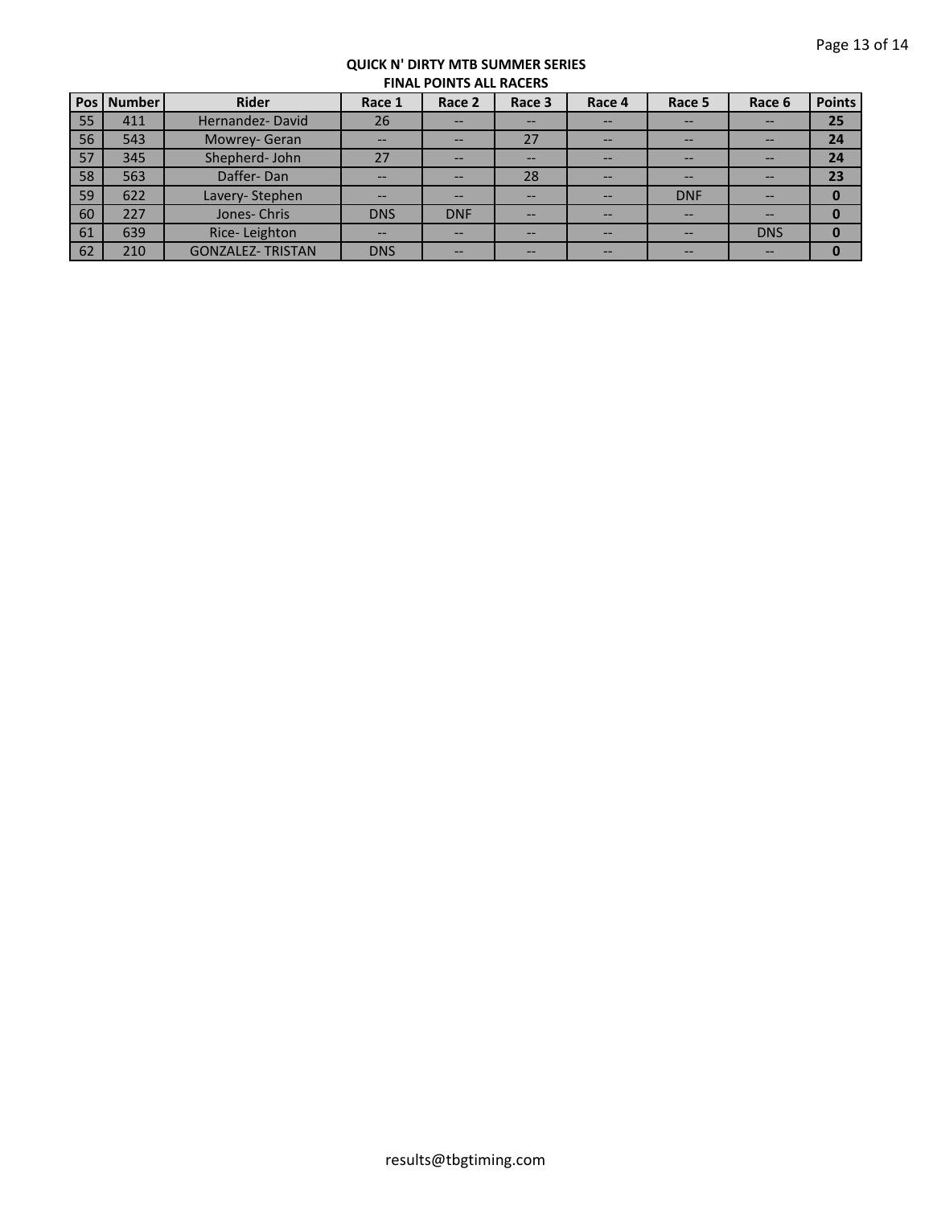| Pos l | <b>Number</b> | <b>Rider</b>            | Race 1     | Race 2     | Race 3 | Race 4 | Race 5     | Race 6     | <b>Points</b> |  |
|-------|---------------|-------------------------|------------|------------|--------|--------|------------|------------|---------------|--|
| 55    | 411           | Hernandez-David         | 26         | --         | --     |        | --         | --         | 25            |  |
| 56    | 543           | Mowrey- Geran           | --         | $- -$      | 27     | --     | --         | --         | 24            |  |
| 57    | 345           | Shepherd- John          | 27         | --         | --     | --     | --         | --         | 24            |  |
| 58    | 563           | Daffer-Dan              | --         | --         | 28     | --     | --         | --         | 23            |  |
| 59    | 622           | Lavery-Stephen          | --         | --         | --     | --     | <b>DNF</b> | --         | 0             |  |
| 60    | 227           | Jones-Chris             | <b>DNS</b> | <b>DNF</b> | --     | --     | --         | --         |               |  |
| 61    | 639           | Rice-Leighton           |            | --         | --     |        | --         | <b>DNS</b> |               |  |
| 62    | 210           | <b>GONZALEZ-TRISTAN</b> | <b>DNS</b> | $- -$      | --     | --     | --         | $- -$      | 0             |  |
|       |               |                         |            |            |        |        |            |            |               |  |